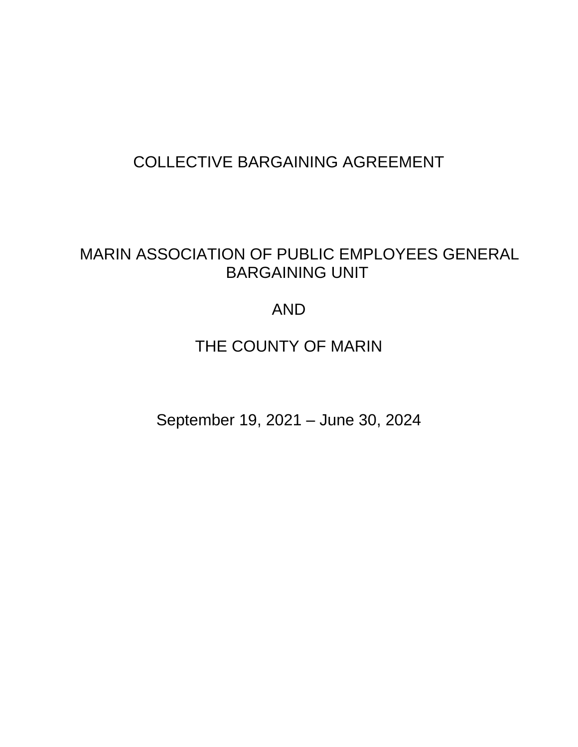# COLLECTIVE BARGAINING AGREEMENT

# MARIN ASSOCIATION OF PUBLIC EMPLOYEES GENERAL BARGAINING UNIT

# AND

# THE COUNTY OF MARIN

September 19, 2021 – June 30, 2024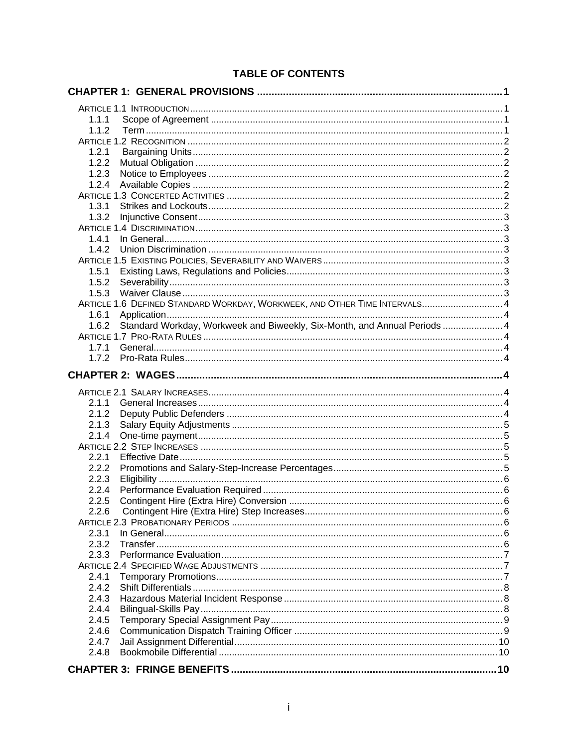| 1.1.1<br>1.1.2<br>1.2.1<br>1.2.2<br>1.2.3<br>1.2.4<br>1.3.1<br>1.3.2<br>1.4.1<br>1.4.2<br>1.5.1<br>1.5.2<br>1.5.3<br>ARTICLE 1.6 DEFINED STANDARD WORKDAY, WORKWEEK, AND OTHER TIME INTERVALS 4<br>1.6.1<br>Standard Workday, Workweek and Biweekly, Six-Month, and Annual Periods  4<br>1.6.2<br>1.7.1<br>2.1.1<br>2.1.2<br>2.1.3<br>2.1.4<br>2.2.1<br>2.2.2<br>2.2.3<br>2.2.4<br>2.2.5<br>2.2.6<br>2.3.1<br>2.3.2<br>2.3.3<br>2.4.1<br>2.4.2<br>2.4.3<br>2.4.4<br>2.4.5<br>2.4.6<br>2.4.7<br>2.4.8 |  |
|------------------------------------------------------------------------------------------------------------------------------------------------------------------------------------------------------------------------------------------------------------------------------------------------------------------------------------------------------------------------------------------------------------------------------------------------------------------------------------------------------|--|
|                                                                                                                                                                                                                                                                                                                                                                                                                                                                                                      |  |
|                                                                                                                                                                                                                                                                                                                                                                                                                                                                                                      |  |
|                                                                                                                                                                                                                                                                                                                                                                                                                                                                                                      |  |
|                                                                                                                                                                                                                                                                                                                                                                                                                                                                                                      |  |
|                                                                                                                                                                                                                                                                                                                                                                                                                                                                                                      |  |
|                                                                                                                                                                                                                                                                                                                                                                                                                                                                                                      |  |
|                                                                                                                                                                                                                                                                                                                                                                                                                                                                                                      |  |
|                                                                                                                                                                                                                                                                                                                                                                                                                                                                                                      |  |
|                                                                                                                                                                                                                                                                                                                                                                                                                                                                                                      |  |
|                                                                                                                                                                                                                                                                                                                                                                                                                                                                                                      |  |
|                                                                                                                                                                                                                                                                                                                                                                                                                                                                                                      |  |
|                                                                                                                                                                                                                                                                                                                                                                                                                                                                                                      |  |
|                                                                                                                                                                                                                                                                                                                                                                                                                                                                                                      |  |
|                                                                                                                                                                                                                                                                                                                                                                                                                                                                                                      |  |
|                                                                                                                                                                                                                                                                                                                                                                                                                                                                                                      |  |
|                                                                                                                                                                                                                                                                                                                                                                                                                                                                                                      |  |
|                                                                                                                                                                                                                                                                                                                                                                                                                                                                                                      |  |
|                                                                                                                                                                                                                                                                                                                                                                                                                                                                                                      |  |
|                                                                                                                                                                                                                                                                                                                                                                                                                                                                                                      |  |
|                                                                                                                                                                                                                                                                                                                                                                                                                                                                                                      |  |
|                                                                                                                                                                                                                                                                                                                                                                                                                                                                                                      |  |
|                                                                                                                                                                                                                                                                                                                                                                                                                                                                                                      |  |
|                                                                                                                                                                                                                                                                                                                                                                                                                                                                                                      |  |
|                                                                                                                                                                                                                                                                                                                                                                                                                                                                                                      |  |
|                                                                                                                                                                                                                                                                                                                                                                                                                                                                                                      |  |
|                                                                                                                                                                                                                                                                                                                                                                                                                                                                                                      |  |
|                                                                                                                                                                                                                                                                                                                                                                                                                                                                                                      |  |
|                                                                                                                                                                                                                                                                                                                                                                                                                                                                                                      |  |
|                                                                                                                                                                                                                                                                                                                                                                                                                                                                                                      |  |
|                                                                                                                                                                                                                                                                                                                                                                                                                                                                                                      |  |
|                                                                                                                                                                                                                                                                                                                                                                                                                                                                                                      |  |
|                                                                                                                                                                                                                                                                                                                                                                                                                                                                                                      |  |
|                                                                                                                                                                                                                                                                                                                                                                                                                                                                                                      |  |
|                                                                                                                                                                                                                                                                                                                                                                                                                                                                                                      |  |
|                                                                                                                                                                                                                                                                                                                                                                                                                                                                                                      |  |
|                                                                                                                                                                                                                                                                                                                                                                                                                                                                                                      |  |
|                                                                                                                                                                                                                                                                                                                                                                                                                                                                                                      |  |
|                                                                                                                                                                                                                                                                                                                                                                                                                                                                                                      |  |
|                                                                                                                                                                                                                                                                                                                                                                                                                                                                                                      |  |
|                                                                                                                                                                                                                                                                                                                                                                                                                                                                                                      |  |
|                                                                                                                                                                                                                                                                                                                                                                                                                                                                                                      |  |
|                                                                                                                                                                                                                                                                                                                                                                                                                                                                                                      |  |
|                                                                                                                                                                                                                                                                                                                                                                                                                                                                                                      |  |
|                                                                                                                                                                                                                                                                                                                                                                                                                                                                                                      |  |
|                                                                                                                                                                                                                                                                                                                                                                                                                                                                                                      |  |
|                                                                                                                                                                                                                                                                                                                                                                                                                                                                                                      |  |
|                                                                                                                                                                                                                                                                                                                                                                                                                                                                                                      |  |
|                                                                                                                                                                                                                                                                                                                                                                                                                                                                                                      |  |
|                                                                                                                                                                                                                                                                                                                                                                                                                                                                                                      |  |
|                                                                                                                                                                                                                                                                                                                                                                                                                                                                                                      |  |
|                                                                                                                                                                                                                                                                                                                                                                                                                                                                                                      |  |
|                                                                                                                                                                                                                                                                                                                                                                                                                                                                                                      |  |

## **TABLE OF CONTENTS**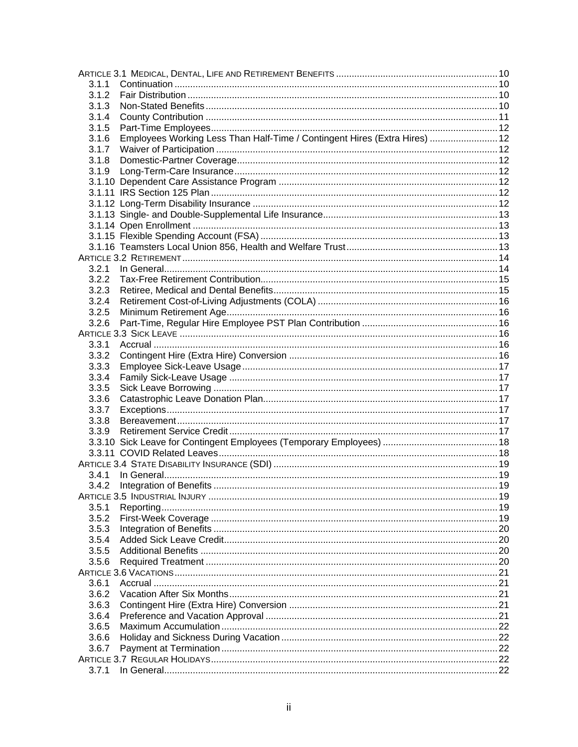| 3.1.1 |                                                                            |  |
|-------|----------------------------------------------------------------------------|--|
| 3.1.2 |                                                                            |  |
| 3.1.3 |                                                                            |  |
| 3.1.4 |                                                                            |  |
| 3.1.5 |                                                                            |  |
| 3.1.6 | Employees Working Less Than Half-Time / Contingent Hires (Extra Hires)  12 |  |
| 3.1.7 |                                                                            |  |
| 3.1.8 |                                                                            |  |
| 3.1.9 |                                                                            |  |
|       |                                                                            |  |
|       |                                                                            |  |
|       |                                                                            |  |
|       |                                                                            |  |
|       |                                                                            |  |
|       |                                                                            |  |
|       |                                                                            |  |
|       |                                                                            |  |
| 3.2.1 |                                                                            |  |
| 3.2.2 |                                                                            |  |
| 3.2.3 |                                                                            |  |
| 3.2.4 |                                                                            |  |
| 3.2.5 |                                                                            |  |
| 3.2.6 |                                                                            |  |
|       |                                                                            |  |
| 3.3.1 |                                                                            |  |
| 3.3.2 |                                                                            |  |
| 3.3.3 |                                                                            |  |
| 3.3.4 |                                                                            |  |
| 3.3.5 |                                                                            |  |
| 3.3.6 |                                                                            |  |
| 3.3.7 |                                                                            |  |
| 3.3.8 |                                                                            |  |
| 3.3.9 |                                                                            |  |
|       |                                                                            |  |
|       |                                                                            |  |
|       |                                                                            |  |
| 3.4.1 |                                                                            |  |
| 3.4.2 |                                                                            |  |
|       |                                                                            |  |
| 3.5.1 |                                                                            |  |
| 3.5.2 |                                                                            |  |
| 3.5.3 |                                                                            |  |
| 3.5.4 |                                                                            |  |
| 3.5.5 |                                                                            |  |
| 3.5.6 |                                                                            |  |
|       |                                                                            |  |
| 3.6.1 |                                                                            |  |
| 3.6.2 |                                                                            |  |
| 3.6.3 |                                                                            |  |
| 3.6.4 |                                                                            |  |
| 3.6.5 |                                                                            |  |
| 3.6.6 |                                                                            |  |
| 3.6.7 |                                                                            |  |
|       |                                                                            |  |
| 3.7.1 |                                                                            |  |
|       |                                                                            |  |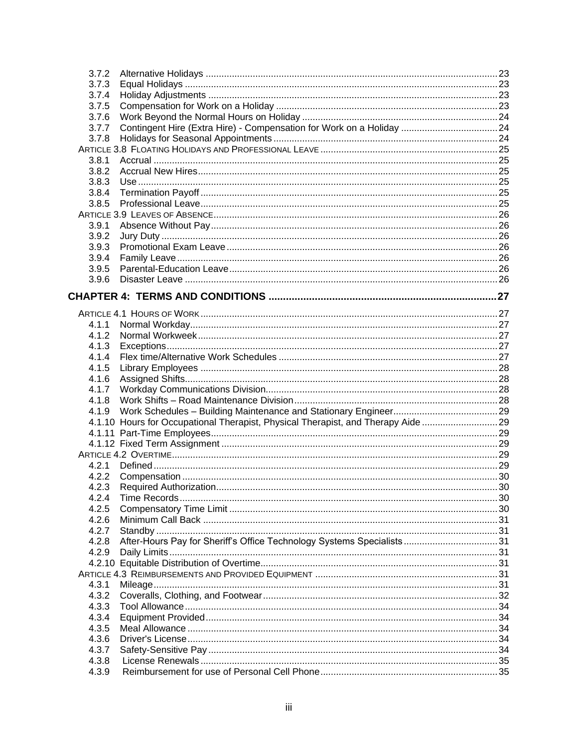| 3.7.2 |                                                                                   |  |
|-------|-----------------------------------------------------------------------------------|--|
| 3.7.3 |                                                                                   |  |
| 3.7.4 |                                                                                   |  |
| 3.7.5 |                                                                                   |  |
| 3.7.6 |                                                                                   |  |
| 3.7.7 |                                                                                   |  |
| 3.7.8 |                                                                                   |  |
|       |                                                                                   |  |
| 3.8.1 |                                                                                   |  |
| 3.8.2 |                                                                                   |  |
| 3.8.3 |                                                                                   |  |
| 3.8.4 |                                                                                   |  |
| 3.8.5 |                                                                                   |  |
|       |                                                                                   |  |
| 3.9.1 |                                                                                   |  |
| 3.9.2 |                                                                                   |  |
| 3.9.3 |                                                                                   |  |
| 3.9.4 |                                                                                   |  |
| 3.9.5 |                                                                                   |  |
| 3.9.6 |                                                                                   |  |
|       |                                                                                   |  |
|       |                                                                                   |  |
|       |                                                                                   |  |
| 4.1.1 |                                                                                   |  |
| 4.1.2 |                                                                                   |  |
| 4.1.3 |                                                                                   |  |
| 4.1.4 |                                                                                   |  |
| 4.1.5 |                                                                                   |  |
| 4.1.6 |                                                                                   |  |
| 4.1.7 |                                                                                   |  |
| 4.1.8 |                                                                                   |  |
| 4.1.9 |                                                                                   |  |
|       | 4.1.10 Hours for Occupational Therapist, Physical Therapist, and Therapy Aide  29 |  |
|       |                                                                                   |  |
|       |                                                                                   |  |
|       |                                                                                   |  |
| 4.2.1 |                                                                                   |  |
| 4.2.2 |                                                                                   |  |
| 4.2.3 |                                                                                   |  |
|       |                                                                                   |  |
| 4.2.4 |                                                                                   |  |
| 4.2.5 |                                                                                   |  |
| 4.2.6 |                                                                                   |  |
| 4.2.7 |                                                                                   |  |
| 4.2.8 |                                                                                   |  |
| 4.2.9 |                                                                                   |  |
|       |                                                                                   |  |
|       |                                                                                   |  |
| 4.3.1 |                                                                                   |  |
| 4.3.2 |                                                                                   |  |
| 4.3.3 |                                                                                   |  |
| 4.3.4 |                                                                                   |  |
| 4.3.5 |                                                                                   |  |
| 4.3.6 |                                                                                   |  |
| 4.3.7 |                                                                                   |  |
| 4.3.8 |                                                                                   |  |
| 4.3.9 |                                                                                   |  |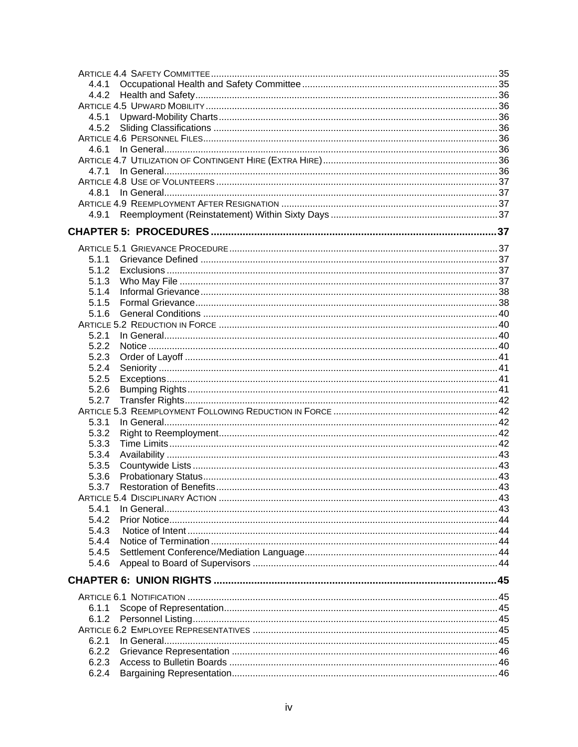| 4.4.1          |  |
|----------------|--|
|                |  |
|                |  |
| 4.5.1          |  |
| 4.5.2          |  |
|                |  |
| 4.6.1          |  |
|                |  |
|                |  |
|                |  |
| 4.8.1          |  |
|                |  |
| 4.9.1          |  |
|                |  |
|                |  |
| 5.1.1          |  |
| 5.1.2          |  |
| 5.1.3          |  |
| 5.1.4          |  |
| 5.1.5          |  |
| 5.1.6          |  |
|                |  |
| 5.2.1          |  |
| 5.2.2          |  |
| 5.2.3          |  |
| 5.2.4          |  |
| 5.2.5          |  |
| 5.2.6          |  |
| 5.2.7          |  |
|                |  |
| 5.3.1          |  |
| 5.3.2          |  |
| 5.3.3          |  |
|                |  |
| 5.3.4          |  |
| 5.3.5<br>5.3.6 |  |
|                |  |
| 5.3.7          |  |
| 5.4.1          |  |
|                |  |
| 5.4.2          |  |
| 5.4.3<br>5.4.4 |  |
|                |  |
| 5.4.5          |  |
| 5.4.6          |  |
|                |  |
|                |  |
| 6.1.1          |  |
| 6.1.2          |  |
|                |  |
| 6.2.1          |  |
| 6.2.2          |  |
| 6.2.3          |  |
|                |  |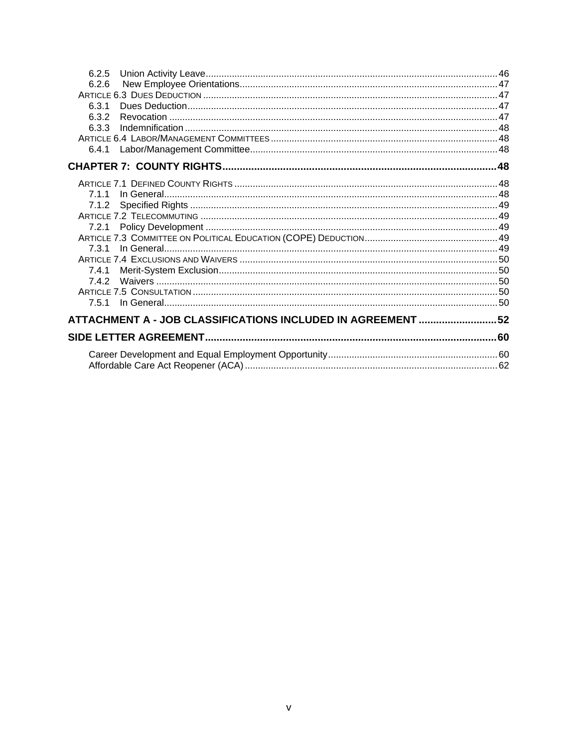| 6.2.5                                                       |  |
|-------------------------------------------------------------|--|
| 6.2.6                                                       |  |
|                                                             |  |
| 6.3.1                                                       |  |
| 6.3.2                                                       |  |
| 6.3.3                                                       |  |
|                                                             |  |
| 6.4.1                                                       |  |
|                                                             |  |
|                                                             |  |
| 711                                                         |  |
| 7.1.2                                                       |  |
|                                                             |  |
| 7.2.1                                                       |  |
|                                                             |  |
|                                                             |  |
|                                                             |  |
| 7.4.1                                                       |  |
| 742                                                         |  |
|                                                             |  |
| 7.5.1                                                       |  |
| ATTACHMENT A - JOB CLASSIFICATIONS INCLUDED IN AGREEMENT 52 |  |
|                                                             |  |
|                                                             |  |
|                                                             |  |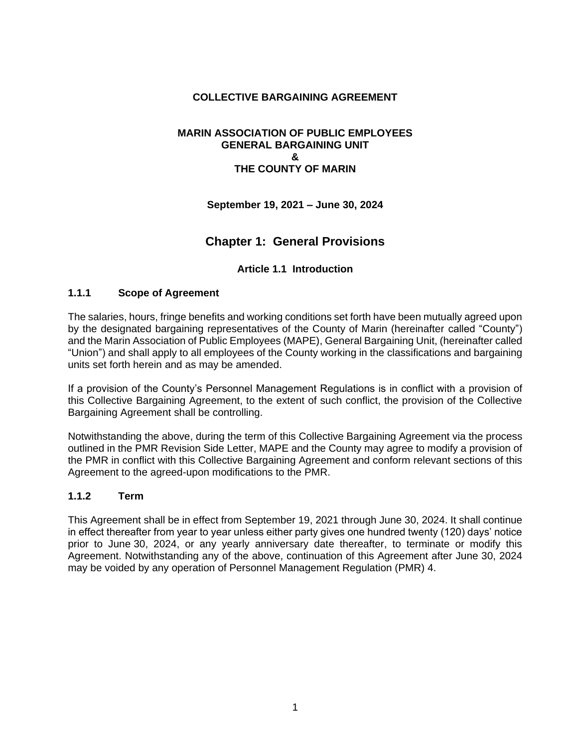#### **COLLECTIVE BARGAINING AGREEMENT**

#### **MARIN ASSOCIATION OF PUBLIC EMPLOYEES GENERAL BARGAINING UNIT & THE COUNTY OF MARIN**

**September 19, 2021 – June 30, 2024**

## **Chapter 1: General Provisions**

#### **Article 1.1 Introduction**

#### <span id="page-6-2"></span><span id="page-6-1"></span><span id="page-6-0"></span>**1.1.1 Scope of Agreement**

The salaries, hours, fringe benefits and working conditions set forth have been mutually agreed upon by the designated bargaining representatives of the County of Marin (hereinafter called "County") and the Marin Association of Public Employees (MAPE), General Bargaining Unit, (hereinafter called "Union") and shall apply to all employees of the County working in the classifications and bargaining units set forth herein and as may be amended.

If a provision of the County's Personnel Management Regulations is in conflict with a provision of this Collective Bargaining Agreement, to the extent of such conflict, the provision of the Collective Bargaining Agreement shall be controlling.

Notwithstanding the above, during the term of this Collective Bargaining Agreement via the process outlined in the PMR Revision Side Letter, MAPE and the County may agree to modify a provision of the PMR in conflict with this Collective Bargaining Agreement and conform relevant sections of this Agreement to the agreed-upon modifications to the PMR.

#### <span id="page-6-3"></span>**1.1.2 Term**

This Agreement shall be in effect from September 19, 2021 through June 30, 2024. It shall continue in effect thereafter from year to year unless either party gives one hundred twenty (120) days' notice prior to June 30, 2024, or any yearly anniversary date thereafter, to terminate or modify this Agreement. Notwithstanding any of the above, continuation of this Agreement after June 30, 2024 may be voided by any operation of Personnel Management Regulation (PMR) 4.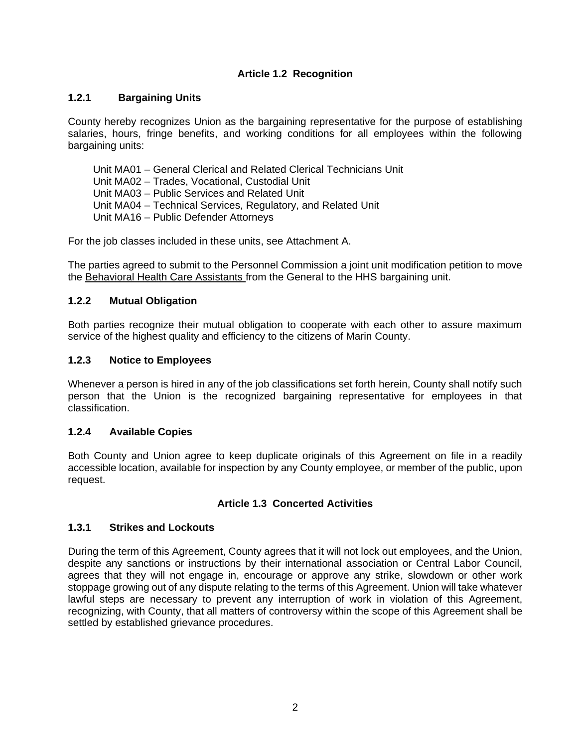## **Article 1.2 Recognition**

### <span id="page-7-1"></span><span id="page-7-0"></span>**1.2.1 Bargaining Units**

County hereby recognizes Union as the bargaining representative for the purpose of establishing salaries, hours, fringe benefits, and working conditions for all employees within the following bargaining units:

Unit MA01 – General Clerical and Related Clerical Technicians Unit Unit MA02 – Trades, Vocational, Custodial Unit Unit MA03 – Public Services and Related Unit Unit MA04 – Technical Services, Regulatory, and Related Unit Unit MA16 – Public Defender Attorneys

For the job classes included in these units, see Attachment A.

The parties agreed to submit to the Personnel Commission a joint unit modification petition to move the Behavioral Health Care Assistants from the General to the HHS bargaining unit.

#### <span id="page-7-2"></span>**1.2.2 Mutual Obligation**

Both parties recognize their mutual obligation to cooperate with each other to assure maximum service of the highest quality and efficiency to the citizens of Marin County.

#### <span id="page-7-3"></span>**1.2.3 Notice to Employees**

Whenever a person is hired in any of the job classifications set forth herein, County shall notify such person that the Union is the recognized bargaining representative for employees in that classification.

#### <span id="page-7-4"></span>**1.2.4 Available Copies**

Both County and Union agree to keep duplicate originals of this Agreement on file in a readily accessible location, available for inspection by any County employee, or member of the public, upon request.

#### **Article 1.3 Concerted Activities**

#### <span id="page-7-6"></span><span id="page-7-5"></span>**1.3.1 Strikes and Lockouts**

During the term of this Agreement, County agrees that it will not lock out employees, and the Union, despite any sanctions or instructions by their international association or Central Labor Council, agrees that they will not engage in, encourage or approve any strike, slowdown or other work stoppage growing out of any dispute relating to the terms of this Agreement. Union will take whatever lawful steps are necessary to prevent any interruption of work in violation of this Agreement, recognizing, with County, that all matters of controversy within the scope of this Agreement shall be settled by established grievance procedures.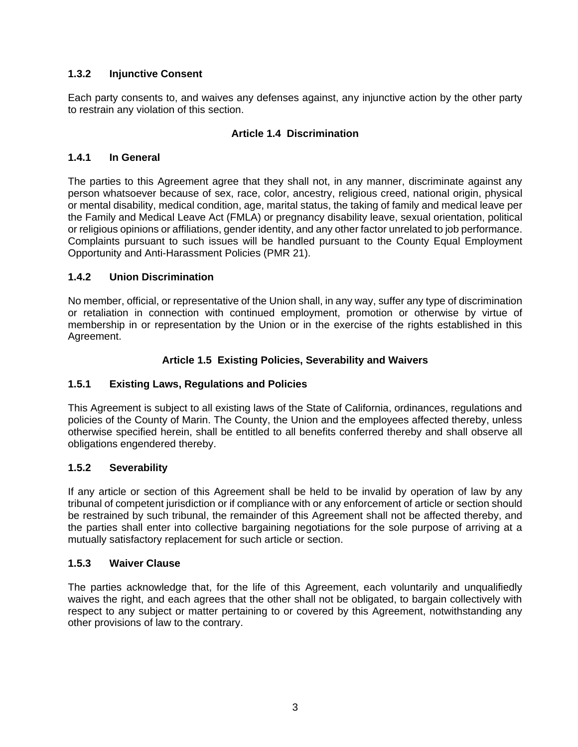## <span id="page-8-0"></span>**1.3.2 Injunctive Consent**

Each party consents to, and waives any defenses against, any injunctive action by the other party to restrain any violation of this section.

## **Article 1.4 Discrimination**

### <span id="page-8-2"></span><span id="page-8-1"></span>**1.4.1 In General**

The parties to this Agreement agree that they shall not, in any manner, discriminate against any person whatsoever because of sex, race, color, ancestry, religious creed, national origin, physical or mental disability, medical condition, age, marital status, the taking of family and medical leave per the Family and Medical Leave Act (FMLA) or pregnancy disability leave, sexual orientation, political or religious opinions or affiliations, gender identity, and any other factor unrelated to job performance. Complaints pursuant to such issues will be handled pursuant to the County Equal Employment Opportunity and Anti-Harassment Policies (PMR 21).

### <span id="page-8-3"></span>**1.4.2 Union Discrimination**

No member, official, or representative of the Union shall, in any way, suffer any type of discrimination or retaliation in connection with continued employment, promotion or otherwise by virtue of membership in or representation by the Union or in the exercise of the rights established in this Agreement.

## **Article 1.5 Existing Policies, Severability and Waivers**

#### <span id="page-8-5"></span><span id="page-8-4"></span>**1.5.1 Existing Laws, Regulations and Policies**

This Agreement is subject to all existing laws of the State of California, ordinances, regulations and policies of the County of Marin. The County, the Union and the employees affected thereby, unless otherwise specified herein, shall be entitled to all benefits conferred thereby and shall observe all obligations engendered thereby.

#### <span id="page-8-6"></span>**1.5.2 Severability**

If any article or section of this Agreement shall be held to be invalid by operation of law by any tribunal of competent jurisdiction or if compliance with or any enforcement of article or section should be restrained by such tribunal, the remainder of this Agreement shall not be affected thereby, and the parties shall enter into collective bargaining negotiations for the sole purpose of arriving at a mutually satisfactory replacement for such article or section.

#### <span id="page-8-7"></span>**1.5.3 Waiver Clause**

The parties acknowledge that, for the life of this Agreement, each voluntarily and unqualifiedly waives the right, and each agrees that the other shall not be obligated, to bargain collectively with respect to any subject or matter pertaining to or covered by this Agreement, notwithstanding any other provisions of law to the contrary.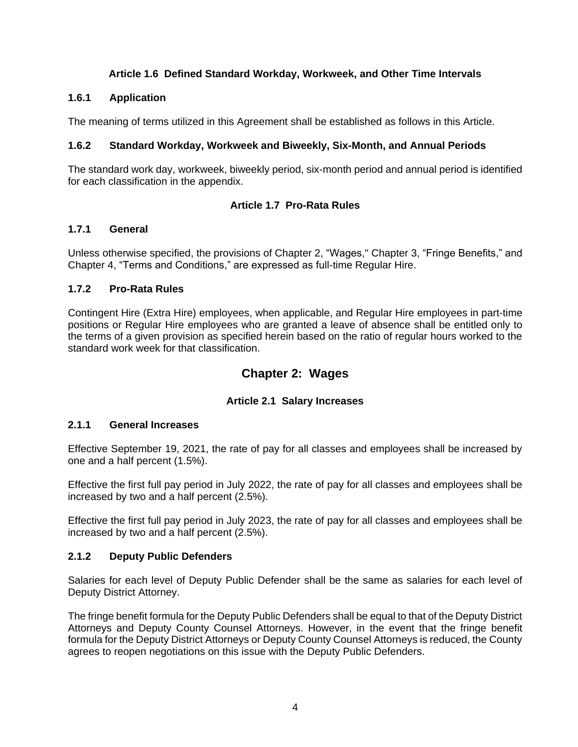## **Article 1.6 Defined Standard Workday, Workweek, and Other Time Intervals**

## <span id="page-9-1"></span><span id="page-9-0"></span>**1.6.1 Application**

The meaning of terms utilized in this Agreement shall be established as follows in this Article.

## <span id="page-9-2"></span>**1.6.2 Standard Workday, Workweek and Biweekly, Six-Month, and Annual Periods**

The standard work day, workweek, biweekly period, six-month period and annual period is identified for each classification in the appendix.

### **Article 1.7 Pro-Rata Rules**

### <span id="page-9-4"></span><span id="page-9-3"></span>**1.7.1 General**

Unless otherwise specified, the provisions of Chapter 2, "Wages," Chapter 3, "Fringe Benefits," and Chapter 4, "Terms and Conditions," are expressed as full-time Regular Hire.

### <span id="page-9-5"></span>**1.7.2 Pro-Rata Rules**

Contingent Hire (Extra Hire) employees, when applicable, and Regular Hire employees in part-time positions or Regular Hire employees who are granted a leave of absence shall be entitled only to the terms of a given provision as specified herein based on the ratio of regular hours worked to the standard work week for that classification.

## **Chapter 2: Wages**

## **Article 2.1 Salary Increases**

## <span id="page-9-8"></span><span id="page-9-7"></span><span id="page-9-6"></span>**2.1.1 General Increases**

Effective September 19, 2021, the rate of pay for all classes and employees shall be increased by one and a half percent (1.5%).

Effective the first full pay period in July 2022, the rate of pay for all classes and employees shall be increased by two and a half percent (2.5%).

Effective the first full pay period in July 2023, the rate of pay for all classes and employees shall be increased by two and a half percent (2.5%).

## <span id="page-9-9"></span>**2.1.2 Deputy Public Defenders**

Salaries for each level of Deputy Public Defender shall be the same as salaries for each level of Deputy District Attorney.

The fringe benefit formula for the Deputy Public Defenders shall be equal to that of the Deputy District Attorneys and Deputy County Counsel Attorneys. However, in the event that the fringe benefit formula for the Deputy District Attorneys or Deputy County Counsel Attorneys is reduced, the County agrees to reopen negotiations on this issue with the Deputy Public Defenders.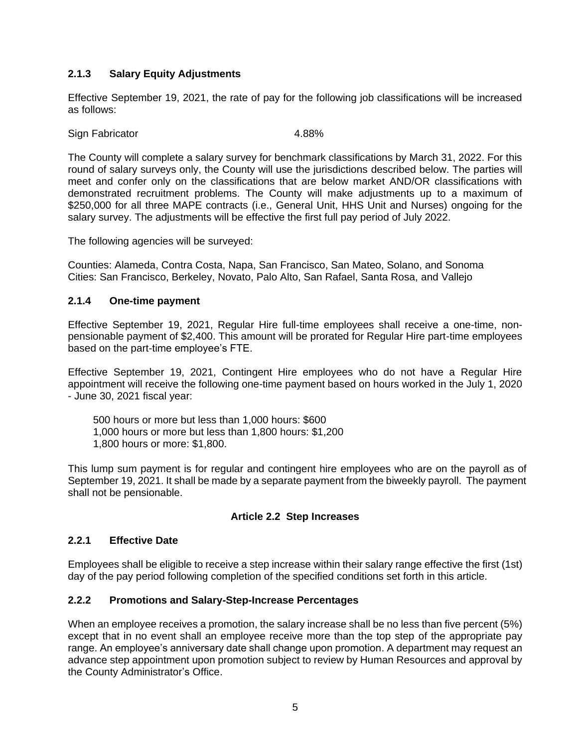## <span id="page-10-0"></span>**2.1.3 Salary Equity Adjustments**

Effective September 19, 2021, the rate of pay for the following job classifications will be increased as follows:

Sign Fabricator 4.88%

The County will complete a salary survey for benchmark classifications by March 31, 2022. For this round of salary surveys only, the County will use the jurisdictions described below. The parties will meet and confer only on the classifications that are below market AND/OR classifications with demonstrated recruitment problems. The County will make adjustments up to a maximum of \$250,000 for all three MAPE contracts (i.e., General Unit, HHS Unit and Nurses) ongoing for the salary survey. The adjustments will be effective the first full pay period of July 2022.

The following agencies will be surveyed:

Counties: Alameda, Contra Costa, Napa, San Francisco, San Mateo, Solano, and Sonoma Cities: San Francisco, Berkeley, Novato, Palo Alto, San Rafael, Santa Rosa, and Vallejo

#### <span id="page-10-1"></span>**2.1.4 One-time payment**

Effective September 19, 2021, Regular Hire full-time employees shall receive a one-time, nonpensionable payment of \$2,400. This amount will be prorated for Regular Hire part-time employees based on the part-time employee's FTE.

Effective September 19, 2021, Contingent Hire employees who do not have a Regular Hire appointment will receive the following one-time payment based on hours worked in the July 1, 2020 - June 30, 2021 fiscal year:

500 hours or more but less than 1,000 hours: \$600 1,000 hours or more but less than 1,800 hours: \$1,200 1,800 hours or more: \$1,800.

This lump sum payment is for regular and contingent hire employees who are on the payroll as of September 19, 2021. It shall be made by a separate payment from the biweekly payroll. The payment shall not be pensionable.

#### **Article 2.2 Step Increases**

#### <span id="page-10-3"></span><span id="page-10-2"></span>**2.2.1 Effective Date**

Employees shall be eligible to receive a step increase within their salary range effective the first (1st) day of the pay period following completion of the specified conditions set forth in this article.

#### <span id="page-10-4"></span>**2.2.2 Promotions and Salary-Step-Increase Percentages**

When an employee receives a promotion, the salary increase shall be no less than five percent (5%) except that in no event shall an employee receive more than the top step of the appropriate pay range. An employee's anniversary date shall change upon promotion. A department may request an advance step appointment upon promotion subject to review by Human Resources and approval by the County Administrator's Office.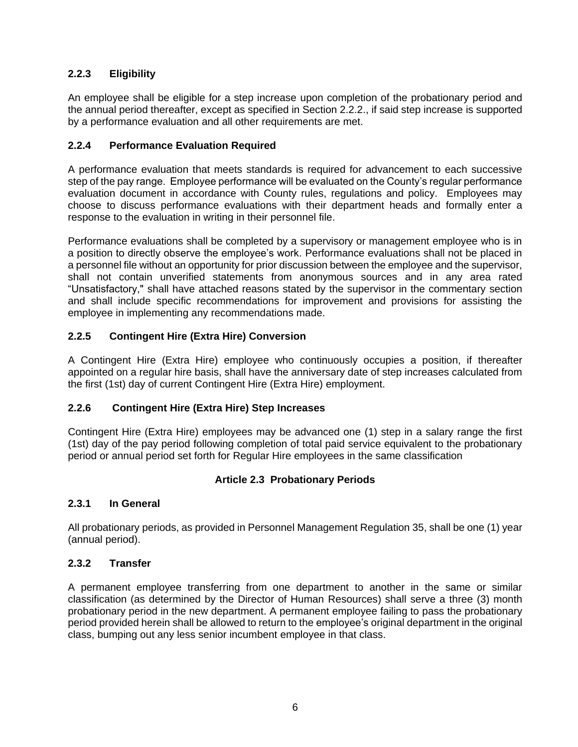## <span id="page-11-0"></span>**2.2.3 Eligibility**

An employee shall be eligible for a step increase upon completion of the probationary period and the annual period thereafter, except as specified in Section 2.2.2., if said step increase is supported by a performance evaluation and all other requirements are met.

## <span id="page-11-1"></span>**2.2.4 Performance Evaluation Required**

A performance evaluation that meets standards is required for advancement to each successive step of the pay range. Employee performance will be evaluated on the County's regular performance evaluation document in accordance with County rules, regulations and policy. Employees may choose to discuss performance evaluations with their department heads and formally enter a response to the evaluation in writing in their personnel file.

Performance evaluations shall be completed by a supervisory or management employee who is in a position to directly observe the employee's work. Performance evaluations shall not be placed in a personnel file without an opportunity for prior discussion between the employee and the supervisor, shall not contain unverified statements from anonymous sources and in any area rated "Unsatisfactory," shall have attached reasons stated by the supervisor in the commentary section and shall include specific recommendations for improvement and provisions for assisting the employee in implementing any recommendations made.

## <span id="page-11-2"></span>**2.2.5 Contingent Hire (Extra Hire) Conversion**

A Contingent Hire (Extra Hire) employee who continuously occupies a position, if thereafter appointed on a regular hire basis, shall have the anniversary date of step increases calculated from the first (1st) day of current Contingent Hire (Extra Hire) employment.

## <span id="page-11-3"></span>**2.2.6 Contingent Hire (Extra Hire) Step Increases**

Contingent Hire (Extra Hire) employees may be advanced one (1) step in a salary range the first (1st) day of the pay period following completion of total paid service equivalent to the probationary period or annual period set forth for Regular Hire employees in the same classification

## **Article 2.3 Probationary Periods**

#### <span id="page-11-5"></span><span id="page-11-4"></span>**2.3.1 In General**

All probationary periods, as provided in Personnel Management Regulation 35, shall be one (1) year (annual period).

#### <span id="page-11-6"></span>**2.3.2 Transfer**

A permanent employee transferring from one department to another in the same or similar classification (as determined by the Director of Human Resources) shall serve a three (3) month probationary period in the new department. A permanent employee failing to pass the probationary period provided herein shall be allowed to return to the employee's original department in the original class, bumping out any less senior incumbent employee in that class.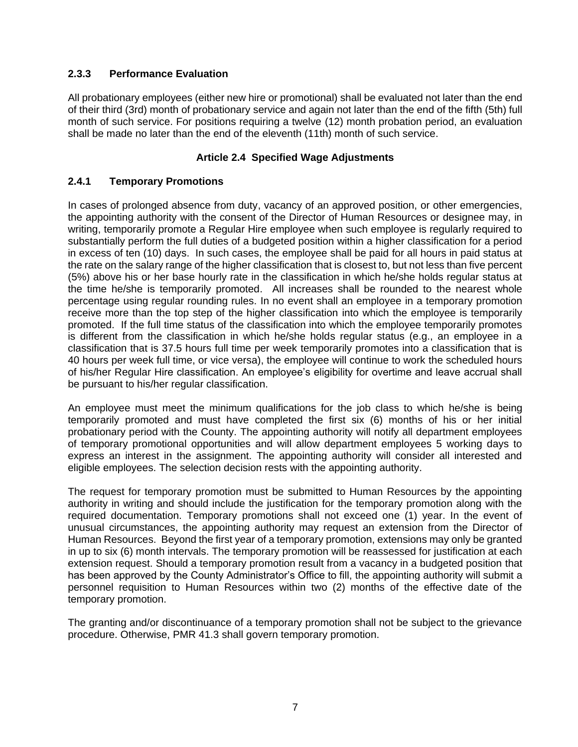## <span id="page-12-0"></span>**2.3.3 Performance Evaluation**

All probationary employees (either new hire or promotional) shall be evaluated not later than the end of their third (3rd) month of probationary service and again not later than the end of the fifth (5th) full month of such service. For positions requiring a twelve (12) month probation period, an evaluation shall be made no later than the end of the eleventh (11th) month of such service.

#### **Article 2.4 Specified Wage Adjustments**

#### <span id="page-12-2"></span><span id="page-12-1"></span>**2.4.1 Temporary Promotions**

In cases of prolonged absence from duty, vacancy of an approved position, or other emergencies, the appointing authority with the consent of the Director of Human Resources or designee may, in writing, temporarily promote a Regular Hire employee when such employee is regularly required to substantially perform the full duties of a budgeted position within a higher classification for a period in excess of ten (10) days. In such cases, the employee shall be paid for all hours in paid status at the rate on the salary range of the higher classification that is closest to, but not less than five percent (5%) above his or her base hourly rate in the classification in which he/she holds regular status at the time he/she is temporarily promoted. All increases shall be rounded to the nearest whole percentage using regular rounding rules. In no event shall an employee in a temporary promotion receive more than the top step of the higher classification into which the employee is temporarily promoted. If the full time status of the classification into which the employee temporarily promotes is different from the classification in which he/she holds regular status (e.g., an employee in a classification that is 37.5 hours full time per week temporarily promotes into a classification that is 40 hours per week full time, or vice versa), the employee will continue to work the scheduled hours of his/her Regular Hire classification. An employee's eligibility for overtime and leave accrual shall be pursuant to his/her regular classification.

An employee must meet the minimum qualifications for the job class to which he/she is being temporarily promoted and must have completed the first six (6) months of his or her initial probationary period with the County. The appointing authority will notify all department employees of temporary promotional opportunities and will allow department employees 5 working days to express an interest in the assignment. The appointing authority will consider all interested and eligible employees. The selection decision rests with the appointing authority.

The request for temporary promotion must be submitted to Human Resources by the appointing authority in writing and should include the justification for the temporary promotion along with the required documentation. Temporary promotions shall not exceed one (1) year. In the event of unusual circumstances, the appointing authority may request an extension from the Director of Human Resources. Beyond the first year of a temporary promotion, extensions may only be granted in up to six (6) month intervals. The temporary promotion will be reassessed for justification at each extension request. Should a temporary promotion result from a vacancy in a budgeted position that has been approved by the County Administrator's Office to fill, the appointing authority will submit a personnel requisition to Human Resources within two (2) months of the effective date of the temporary promotion.

The granting and/or discontinuance of a temporary promotion shall not be subject to the grievance procedure. Otherwise, PMR 41.3 shall govern temporary promotion.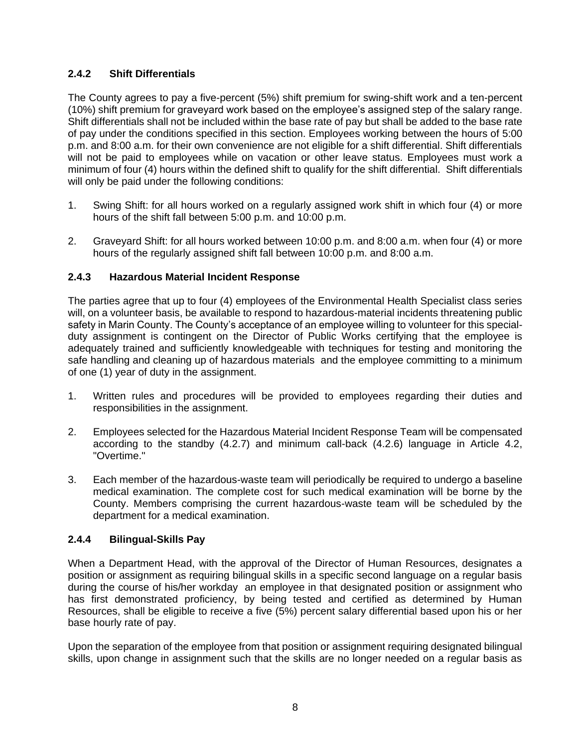## <span id="page-13-0"></span>**2.4.2 Shift Differentials**

The County agrees to pay a five-percent (5%) shift premium for swing-shift work and a ten-percent (10%) shift premium for graveyard work based on the employee's assigned step of the salary range. Shift differentials shall not be included within the base rate of pay but shall be added to the base rate of pay under the conditions specified in this section. Employees working between the hours of 5:00 p.m. and 8:00 a.m. for their own convenience are not eligible for a shift differential. Shift differentials will not be paid to employees while on vacation or other leave status. Employees must work a minimum of four (4) hours within the defined shift to qualify for the shift differential. Shift differentials will only be paid under the following conditions:

- 1. Swing Shift: for all hours worked on a regularly assigned work shift in which four (4) or more hours of the shift fall between 5:00 p.m. and 10:00 p.m.
- 2. Graveyard Shift: for all hours worked between 10:00 p.m. and 8:00 a.m. when four (4) or more hours of the regularly assigned shift fall between 10:00 p.m. and 8:00 a.m.

### <span id="page-13-1"></span>**2.4.3 Hazardous Material Incident Response**

The parties agree that up to four (4) employees of the Environmental Health Specialist class series will, on a volunteer basis, be available to respond to hazardous-material incidents threatening public safety in Marin County. The County's acceptance of an employee willing to volunteer for this specialduty assignment is contingent on the Director of Public Works certifying that the employee is adequately trained and sufficiently knowledgeable with techniques for testing and monitoring the safe handling and cleaning up of hazardous materials and the employee committing to a minimum of one (1) year of duty in the assignment.

- 1. Written rules and procedures will be provided to employees regarding their duties and responsibilities in the assignment.
- 2. Employees selected for the Hazardous Material Incident Response Team will be compensated according to the standby (4.2.7) and minimum call-back (4.2.6) language in Article 4.2, "Overtime."
- 3. Each member of the hazardous-waste team will periodically be required to undergo a baseline medical examination. The complete cost for such medical examination will be borne by the County. Members comprising the current hazardous-waste team will be scheduled by the department for a medical examination.

#### <span id="page-13-2"></span>**2.4.4 Bilingual-Skills Pay**

When a Department Head, with the approval of the Director of Human Resources, designates a position or assignment as requiring bilingual skills in a specific second language on a regular basis during the course of his/her workday an employee in that designated position or assignment who has first demonstrated proficiency, by being tested and certified as determined by Human Resources, shall be eligible to receive a five (5%) percent salary differential based upon his or her base hourly rate of pay.

Upon the separation of the employee from that position or assignment requiring designated bilingual skills, upon change in assignment such that the skills are no longer needed on a regular basis as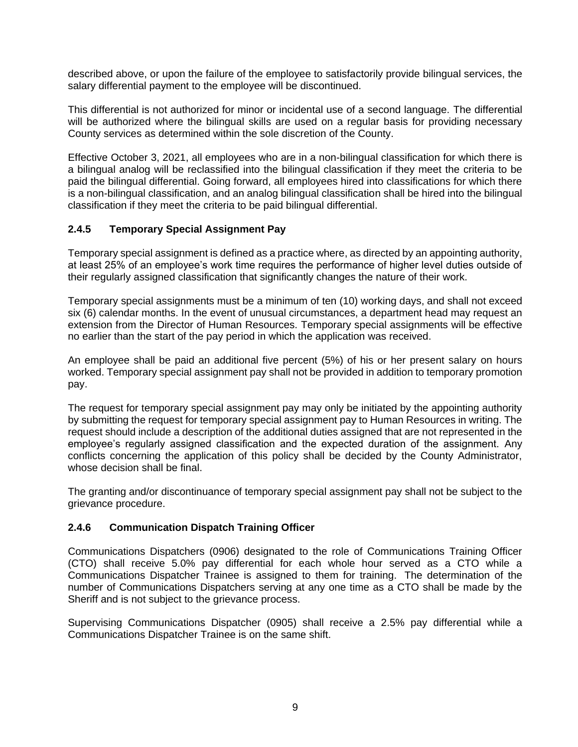described above, or upon the failure of the employee to satisfactorily provide bilingual services, the salary differential payment to the employee will be discontinued.

This differential is not authorized for minor or incidental use of a second language. The differential will be authorized where the bilingual skills are used on a regular basis for providing necessary County services as determined within the sole discretion of the County.

Effective October 3, 2021, all employees who are in a non-bilingual classification for which there is a bilingual analog will be reclassified into the bilingual classification if they meet the criteria to be paid the bilingual differential. Going forward, all employees hired into classifications for which there is a non-bilingual classification, and an analog bilingual classification shall be hired into the bilingual classification if they meet the criteria to be paid bilingual differential.

## <span id="page-14-0"></span>**2.4.5 Temporary Special Assignment Pay**

Temporary special assignment is defined as a practice where, as directed by an appointing authority, at least 25% of an employee's work time requires the performance of higher level duties outside of their regularly assigned classification that significantly changes the nature of their work.

Temporary special assignments must be a minimum of ten (10) working days, and shall not exceed six (6) calendar months. In the event of unusual circumstances, a department head may request an extension from the Director of Human Resources. Temporary special assignments will be effective no earlier than the start of the pay period in which the application was received.

An employee shall be paid an additional five percent (5%) of his or her present salary on hours worked. Temporary special assignment pay shall not be provided in addition to temporary promotion pay.

The request for temporary special assignment pay may only be initiated by the appointing authority by submitting the request for temporary special assignment pay to Human Resources in writing. The request should include a description of the additional duties assigned that are not represented in the employee's regularly assigned classification and the expected duration of the assignment. Any conflicts concerning the application of this policy shall be decided by the County Administrator, whose decision shall be final.

The granting and/or discontinuance of temporary special assignment pay shall not be subject to the grievance procedure.

## <span id="page-14-1"></span>**2.4.6 Communication Dispatch Training Officer**

Communications Dispatchers (0906) designated to the role of Communications Training Officer (CTO) shall receive 5.0% pay differential for each whole hour served as a CTO while a Communications Dispatcher Trainee is assigned to them for training. The determination of the number of Communications Dispatchers serving at any one time as a CTO shall be made by the Sheriff and is not subject to the grievance process.

Supervising Communications Dispatcher (0905) shall receive a 2.5% pay differential while a Communications Dispatcher Trainee is on the same shift.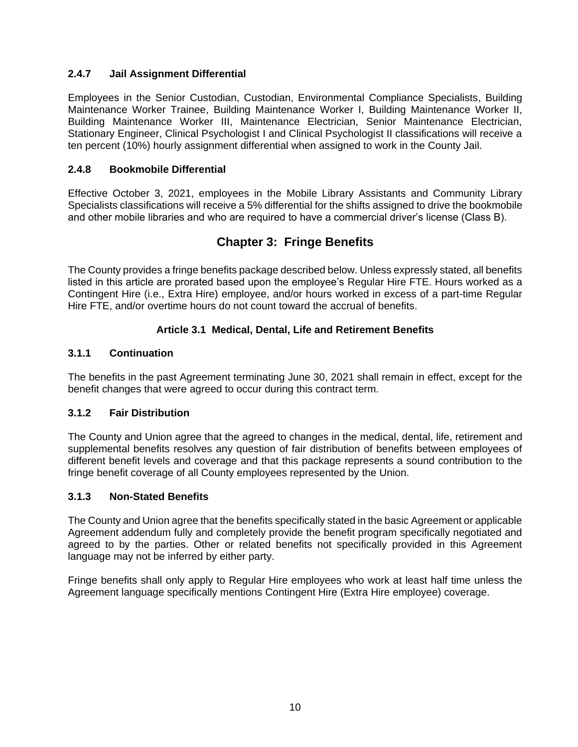## <span id="page-15-0"></span>**2.4.7 Jail Assignment Differential**

Employees in the Senior Custodian, Custodian, Environmental Compliance Specialists, Building Maintenance Worker Trainee, Building Maintenance Worker I, Building Maintenance Worker II, Building Maintenance Worker III, Maintenance Electrician, Senior Maintenance Electrician, Stationary Engineer, Clinical Psychologist I and Clinical Psychologist II classifications will receive a ten percent (10%) hourly assignment differential when assigned to work in the County Jail.

## <span id="page-15-1"></span>**2.4.8 Bookmobile Differential**

Effective October 3, 2021, employees in the Mobile Library Assistants and Community Library Specialists classifications will receive a 5% differential for the shifts assigned to drive the bookmobile and other mobile libraries and who are required to have a commercial driver's license (Class B).

## **Chapter 3: Fringe Benefits**

<span id="page-15-2"></span>The County provides a fringe benefits package described below. Unless expressly stated, all benefits listed in this article are prorated based upon the employee's Regular Hire FTE. Hours worked as a Contingent Hire (i.e., Extra Hire) employee, and/or hours worked in excess of a part-time Regular Hire FTE, and/or overtime hours do not count toward the accrual of benefits.

## **Article 3.1 Medical, Dental, Life and Retirement Benefits**

### <span id="page-15-4"></span><span id="page-15-3"></span>**3.1.1 Continuation**

The benefits in the past Agreement terminating June 30, 2021 shall remain in effect, except for the benefit changes that were agreed to occur during this contract term.

## <span id="page-15-5"></span>**3.1.2 Fair Distribution**

The County and Union agree that the agreed to changes in the medical, dental, life, retirement and supplemental benefits resolves any question of fair distribution of benefits between employees of different benefit levels and coverage and that this package represents a sound contribution to the fringe benefit coverage of all County employees represented by the Union.

#### <span id="page-15-6"></span>**3.1.3 Non-Stated Benefits**

The County and Union agree that the benefits specifically stated in the basic Agreement or applicable Agreement addendum fully and completely provide the benefit program specifically negotiated and agreed to by the parties. Other or related benefits not specifically provided in this Agreement language may not be inferred by either party.

Fringe benefits shall only apply to Regular Hire employees who work at least half time unless the Agreement language specifically mentions Contingent Hire (Extra Hire employee) coverage.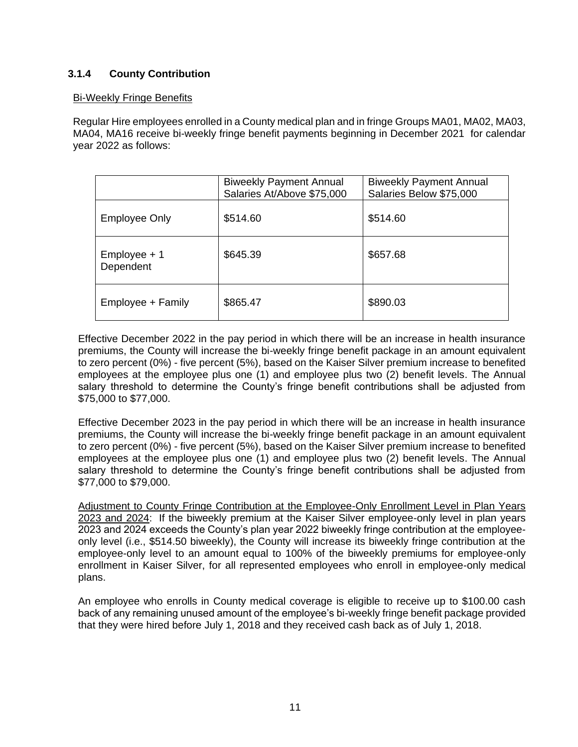## <span id="page-16-0"></span>**3.1.4 County Contribution**

#### Bi-Weekly Fringe Benefits

Regular Hire employees enrolled in a County medical plan and in fringe Groups MA01, MA02, MA03, MA04, MA16 receive bi-weekly fringe benefit payments beginning in December 2021 for calendar year 2022 as follows:

|                           | <b>Biweekly Payment Annual</b><br>Salaries At/Above \$75,000 | <b>Biweekly Payment Annual</b><br>Salaries Below \$75,000 |
|---------------------------|--------------------------------------------------------------|-----------------------------------------------------------|
| <b>Employee Only</b>      | \$514.60                                                     | \$514.60                                                  |
| Employee + 1<br>Dependent | \$645.39                                                     | \$657.68                                                  |
| Employee + Family         | \$865.47                                                     | \$890.03                                                  |

Effective December 2022 in the pay period in which there will be an increase in health insurance premiums, the County will increase the bi-weekly fringe benefit package in an amount equivalent to zero percent (0%) - five percent (5%), based on the Kaiser Silver premium increase to benefited employees at the employee plus one (1) and employee plus two (2) benefit levels. The Annual salary threshold to determine the County's fringe benefit contributions shall be adjusted from \$75,000 to \$77,000.

Effective December 2023 in the pay period in which there will be an increase in health insurance premiums, the County will increase the bi-weekly fringe benefit package in an amount equivalent to zero percent (0%) - five percent (5%), based on the Kaiser Silver premium increase to benefited employees at the employee plus one (1) and employee plus two (2) benefit levels. The Annual salary threshold to determine the County's fringe benefit contributions shall be adjusted from \$77,000 to \$79,000.

Adjustment to County Fringe Contribution at the Employee-Only Enrollment Level in Plan Years 2023 and 2024: If the biweekly premium at the Kaiser Silver employee-only level in plan years 2023 and 2024 exceeds the County's plan year 2022 biweekly fringe contribution at the employeeonly level (i.e., \$514.50 biweekly), the County will increase its biweekly fringe contribution at the employee-only level to an amount equal to 100% of the biweekly premiums for employee-only enrollment in Kaiser Silver, for all represented employees who enroll in employee-only medical plans.

An employee who enrolls in County medical coverage is eligible to receive up to \$100.00 cash back of any remaining unused amount of the employee's bi-weekly fringe benefit package provided that they were hired before July 1, 2018 and they received cash back as of July 1, 2018.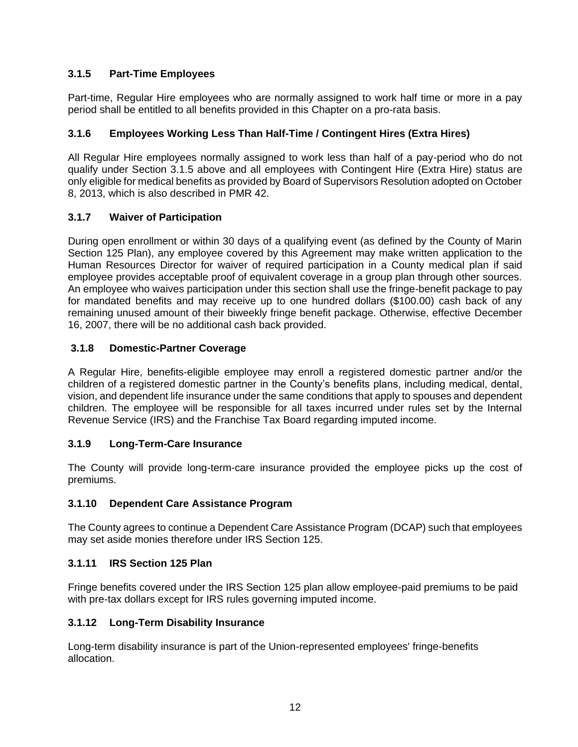## <span id="page-17-0"></span>**3.1.5 Part-Time Employees**

Part-time, Regular Hire employees who are normally assigned to work half time or more in a pay period shall be entitled to all benefits provided in this Chapter on a pro-rata basis.

## <span id="page-17-1"></span>**3.1.6 Employees Working Less Than Half-Time / Contingent Hires (Extra Hires)**

All Regular Hire employees normally assigned to work less than half of a pay-period who do not qualify under Section 3.1.5 above and all employees with Contingent Hire (Extra Hire) status are only eligible for medical benefits as provided by Board of Supervisors Resolution adopted on October 8, 2013, which is also described in PMR 42.

## <span id="page-17-2"></span>**3.1.7 Waiver of Participation**

During open enrollment or within 30 days of a qualifying event (as defined by the County of Marin Section 125 Plan), any employee covered by this Agreement may make written application to the Human Resources Director for waiver of required participation in a County medical plan if said employee provides acceptable proof of equivalent coverage in a group plan through other sources. An employee who waives participation under this section shall use the fringe-benefit package to pay for mandated benefits and may receive up to one hundred dollars (\$100.00) cash back of any remaining unused amount of their biweekly fringe benefit package. Otherwise, effective December 16, 2007, there will be no additional cash back provided.

## <span id="page-17-3"></span>**3.1.8 Domestic-Partner Coverage**

A Regular Hire, benefits-eligible employee may enroll a registered domestic partner and/or the children of a registered domestic partner in the County's benefits plans, including medical, dental, vision, and dependent life insurance under the same conditions that apply to spouses and dependent children. The employee will be responsible for all taxes incurred under rules set by the Internal Revenue Service (IRS) and the Franchise Tax Board regarding imputed income.

## <span id="page-17-4"></span>**3.1.9 Long-Term-Care Insurance**

The County will provide long-term-care insurance provided the employee picks up the cost of premiums.

## <span id="page-17-5"></span>**3.1.10 Dependent Care Assistance Program**

The County agrees to continue a Dependent Care Assistance Program (DCAP) such that employees may set aside monies therefore under IRS Section 125.

## <span id="page-17-6"></span>**3.1.11 IRS Section 125 Plan**

Fringe benefits covered under the IRS Section 125 plan allow employee-paid premiums to be paid with pre-tax dollars except for IRS rules governing imputed income.

## <span id="page-17-7"></span>**3.1.12 Long-Term Disability Insurance**

Long-term disability insurance is part of the Union-represented employees' fringe-benefits allocation.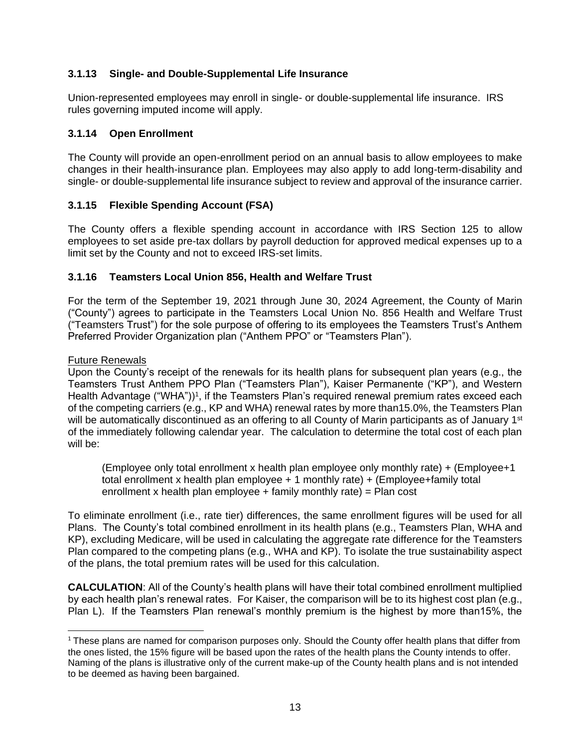## <span id="page-18-0"></span>**3.1.13 Single- and Double-Supplemental Life Insurance**

Union-represented employees may enroll in single- or double-supplemental life insurance. IRS rules governing imputed income will apply.

## <span id="page-18-1"></span>**3.1.14 Open Enrollment**

The County will provide an open-enrollment period on an annual basis to allow employees to make changes in their health-insurance plan. Employees may also apply to add long-term-disability and single- or double-supplemental life insurance subject to review and approval of the insurance carrier.

## <span id="page-18-2"></span>**3.1.15 Flexible Spending Account (FSA)**

The County offers a flexible spending account in accordance with IRS Section 125 to allow employees to set aside pre-tax dollars by payroll deduction for approved medical expenses up to a limit set by the County and not to exceed IRS-set limits.

## <span id="page-18-3"></span>**3.1.16 Teamsters Local Union 856, Health and Welfare Trust**

For the term of the September 19, 2021 through June 30, 2024 Agreement, the County of Marin ("County") agrees to participate in the Teamsters Local Union No. 856 Health and Welfare Trust ("Teamsters Trust") for the sole purpose of offering to its employees the Teamsters Trust's Anthem Preferred Provider Organization plan ("Anthem PPO" or "Teamsters Plan").

#### Future Renewals

Upon the County's receipt of the renewals for its health plans for subsequent plan years (e.g., the Teamsters Trust Anthem PPO Plan ("Teamsters Plan"), Kaiser Permanente ("KP"), and Western Health Advantage ("WHA"))<sup>1</sup>, if the Teamsters Plan's required renewal premium rates exceed each of the competing carriers (e.g., KP and WHA) renewal rates by more than15.0%, the Teamsters Plan will be automatically discontinued as an offering to all County of Marin participants as of January 1<sup>st</sup> of the immediately following calendar year. The calculation to determine the total cost of each plan will be:

(Employee only total enrollment x health plan employee only monthly rate) + (Employee+1 total enrollment x health plan employee + 1 monthly rate) + (Employee+family total enrollment x health plan employee  $+$  family monthly rate) = Plan cost

To eliminate enrollment (i.e., rate tier) differences, the same enrollment figures will be used for all Plans. The County's total combined enrollment in its health plans (e.g., Teamsters Plan, WHA and KP), excluding Medicare, will be used in calculating the aggregate rate difference for the Teamsters Plan compared to the competing plans (e.g., WHA and KP). To isolate the true sustainability aspect of the plans, the total premium rates will be used for this calculation.

**CALCULATION**: All of the County's health plans will have their total combined enrollment multiplied by each health plan's renewal rates. For Kaiser, the comparison will be to its highest cost plan (e.g., Plan L). If the Teamsters Plan renewal's monthly premium is the highest by more than15%, the

<sup>&</sup>lt;sup>1</sup> These plans are named for comparison purposes only. Should the County offer health plans that differ from the ones listed, the 15% figure will be based upon the rates of the health plans the County intends to offer. Naming of the plans is illustrative only of the current make-up of the County health plans and is not intended to be deemed as having been bargained.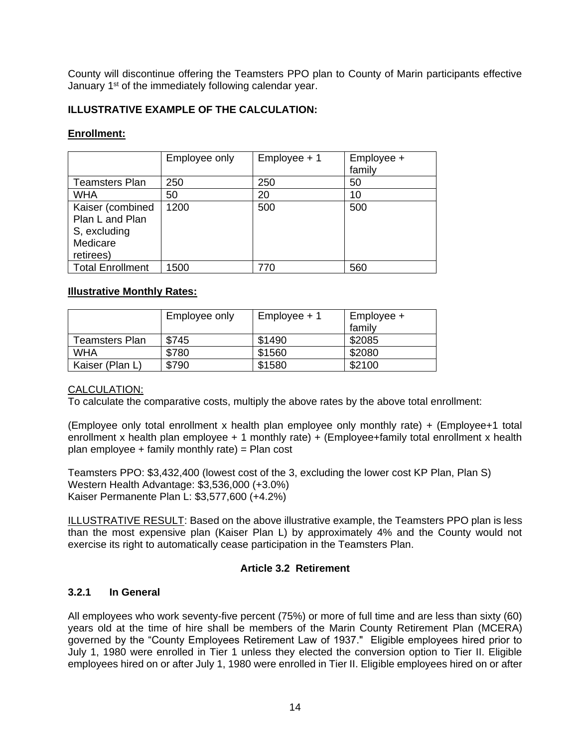County will discontinue offering the Teamsters PPO plan to County of Marin participants effective January 1<sup>st</sup> of the immediately following calendar year.

## **ILLUSTRATIVE EXAMPLE OF THE CALCULATION:**

#### **Enrollment:**

|                                                                              | Employee only | Employee + 1 | Employee +<br>family |
|------------------------------------------------------------------------------|---------------|--------------|----------------------|
| <b>Teamsters Plan</b>                                                        | 250           | 250          | 50                   |
| <b>WHA</b>                                                                   | 50            | 20           | 10                   |
| Kaiser (combined<br>Plan L and Plan<br>S, excluding<br>Medicare<br>retirees) | 1200          | 500          | 500                  |
| <b>Total Enrollment</b>                                                      | 1500          | 770          | 560                  |

### **Illustrative Monthly Rates:**

|                 | Employee only | $Employee + 1$ | Employee +<br>family |
|-----------------|---------------|----------------|----------------------|
| Teamsters Plan  | \$745         | \$1490         | \$2085               |
| <b>WHA</b>      | \$780         | \$1560         | \$2080               |
| Kaiser (Plan L) | \$790         | \$1580         | \$2100               |

#### CALCULATION:

To calculate the comparative costs, multiply the above rates by the above total enrollment:

(Employee only total enrollment x health plan employee only monthly rate) + (Employee+1 total enrollment x health plan employee + 1 monthly rate) + (Employee+family total enrollment x health plan employee  $+$  family monthly rate) = Plan cost

Teamsters PPO: \$3,432,400 (lowest cost of the 3, excluding the lower cost KP Plan, Plan S) Western Health Advantage: \$3,536,000 (+3.0%) Kaiser Permanente Plan L: \$3,577,600 (+4.2%)

ILLUSTRATIVE RESULT: Based on the above illustrative example, the Teamsters PPO plan is less than the most expensive plan (Kaiser Plan L) by approximately 4% and the County would not exercise its right to automatically cease participation in the Teamsters Plan.

#### **Article 3.2 Retirement**

#### <span id="page-19-1"></span><span id="page-19-0"></span>**3.2.1 In General**

All employees who work seventy-five percent (75%) or more of full time and are less than sixty (60) years old at the time of hire shall be members of the Marin County Retirement Plan (MCERA) governed by the "County Employees Retirement Law of 1937." Eligible employees hired prior to July 1, 1980 were enrolled in Tier 1 unless they elected the conversion option to Tier II. Eligible employees hired on or after July 1, 1980 were enrolled in Tier II. Eligible employees hired on or after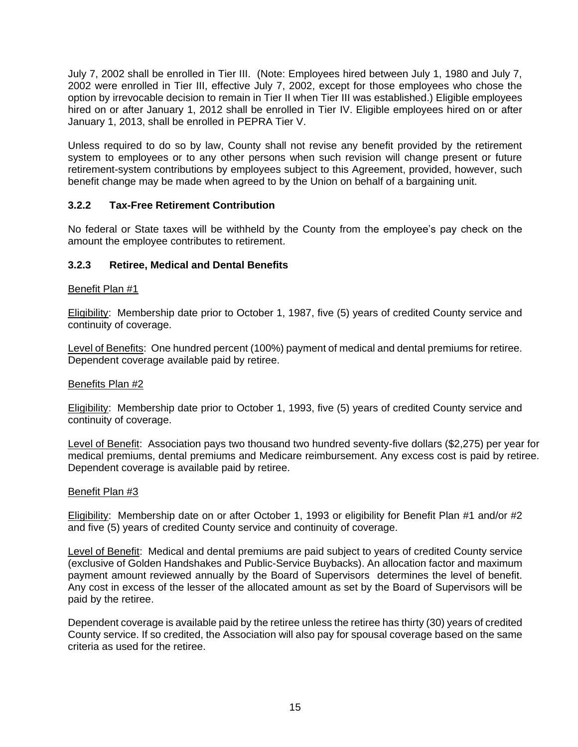July 7, 2002 shall be enrolled in Tier III. (Note: Employees hired between July 1, 1980 and July 7, 2002 were enrolled in Tier III, effective July 7, 2002, except for those employees who chose the option by irrevocable decision to remain in Tier II when Tier III was established.) Eligible employees hired on or after January 1, 2012 shall be enrolled in Tier IV. Eligible employees hired on or after January 1, 2013, shall be enrolled in PEPRA Tier V.

Unless required to do so by law, County shall not revise any benefit provided by the retirement system to employees or to any other persons when such revision will change present or future retirement-system contributions by employees subject to this Agreement, provided, however, such benefit change may be made when agreed to by the Union on behalf of a bargaining unit.

### <span id="page-20-0"></span>**3.2.2 Tax-Free Retirement Contribution**

No federal or State taxes will be withheld by the County from the employee's pay check on the amount the employee contributes to retirement.

#### <span id="page-20-1"></span>**3.2.3 Retiree, Medical and Dental Benefits**

#### Benefit Plan #1

Eligibility: Membership date prior to October 1, 1987, five (5) years of credited County service and continuity of coverage.

Level of Benefits: One hundred percent (100%) payment of medical and dental premiums for retiree. Dependent coverage available paid by retiree.

#### Benefits Plan #2

Eligibility: Membership date prior to October 1, 1993, five (5) years of credited County service and continuity of coverage.

Level of Benefit: Association pays two thousand two hundred seventy-five dollars (\$2,275) per year for medical premiums, dental premiums and Medicare reimbursement. Any excess cost is paid by retiree. Dependent coverage is available paid by retiree.

#### Benefit Plan #3

Eligibility: Membership date on or after October 1, 1993 or eligibility for Benefit Plan #1 and/or #2 and five (5) years of credited County service and continuity of coverage.

Level of Benefit: Medical and dental premiums are paid subject to years of credited County service (exclusive of Golden Handshakes and Public-Service Buybacks). An allocation factor and maximum payment amount reviewed annually by the Board of Supervisors determines the level of benefit. Any cost in excess of the lesser of the allocated amount as set by the Board of Supervisors will be paid by the retiree.

Dependent coverage is available paid by the retiree unless the retiree has thirty (30) years of credited County service. If so credited, the Association will also pay for spousal coverage based on the same criteria as used for the retiree.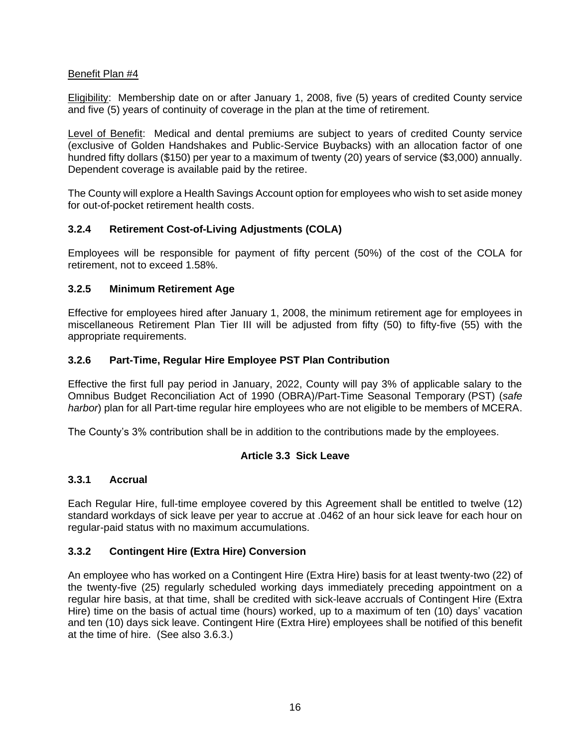### Benefit Plan #4

Eligibility: Membership date on or after January 1, 2008, five (5) years of credited County service and five (5) years of continuity of coverage in the plan at the time of retirement.

Level of Benefit: Medical and dental premiums are subject to years of credited County service (exclusive of Golden Handshakes and Public-Service Buybacks) with an allocation factor of one hundred fifty dollars (\$150) per year to a maximum of twenty (20) years of service (\$3,000) annually. Dependent coverage is available paid by the retiree.

The County will explore a Health Savings Account option for employees who wish to set aside money for out-of-pocket retirement health costs.

### <span id="page-21-0"></span>**3.2.4 Retirement Cost-of-Living Adjustments (COLA)**

Employees will be responsible for payment of fifty percent (50%) of the cost of the COLA for retirement, not to exceed 1.58%.

### <span id="page-21-1"></span>**3.2.5 Minimum Retirement Age**

Effective for employees hired after January 1, 2008, the minimum retirement age for employees in miscellaneous Retirement Plan Tier III will be adjusted from fifty (50) to fifty-five (55) with the appropriate requirements.

### <span id="page-21-2"></span>**3.2.6 Part-Time, Regular Hire Employee PST Plan Contribution**

Effective the first full pay period in January, 2022, County will pay 3% of applicable salary to the Omnibus Budget Reconciliation Act of 1990 (OBRA)/Part-Time Seasonal Temporary (PST) (*safe harbor*) plan for all Part-time regular hire employees who are not eligible to be members of MCERA.

<span id="page-21-3"></span>The County's 3% contribution shall be in addition to the contributions made by the employees.

#### **Article 3.3 Sick Leave**

#### <span id="page-21-4"></span>**3.3.1 Accrual**

Each Regular Hire, full-time employee covered by this Agreement shall be entitled to twelve (12) standard workdays of sick leave per year to accrue at .0462 of an hour sick leave for each hour on regular-paid status with no maximum accumulations.

#### <span id="page-21-5"></span>**3.3.2 Contingent Hire (Extra Hire) Conversion**

An employee who has worked on a Contingent Hire (Extra Hire) basis for at least twenty-two (22) of the twenty-five (25) regularly scheduled working days immediately preceding appointment on a regular hire basis, at that time, shall be credited with sick-leave accruals of Contingent Hire (Extra Hire) time on the basis of actual time (hours) worked, up to a maximum of ten (10) days' vacation and ten (10) days sick leave. Contingent Hire (Extra Hire) employees shall be notified of this benefit at the time of hire. (See also 3.6.3.)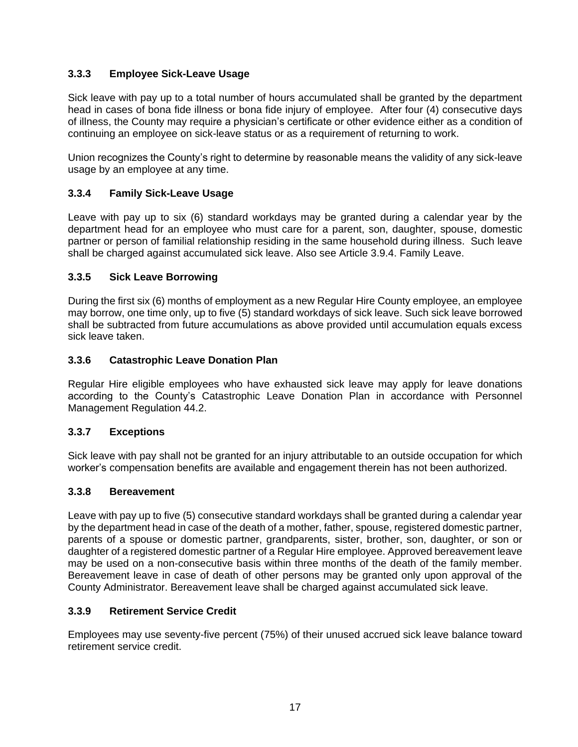## <span id="page-22-0"></span>**3.3.3 Employee Sick-Leave Usage**

Sick leave with pay up to a total number of hours accumulated shall be granted by the department head in cases of bona fide illness or bona fide injury of employee. After four (4) consecutive days of illness, the County may require a physician's certificate or other evidence either as a condition of continuing an employee on sick-leave status or as a requirement of returning to work.

Union recognizes the County's right to determine by reasonable means the validity of any sick-leave usage by an employee at any time.

## <span id="page-22-1"></span>**3.3.4 Family Sick-Leave Usage**

Leave with pay up to six (6) standard workdays may be granted during a calendar year by the department head for an employee who must care for a parent, son, daughter, spouse, domestic partner or person of familial relationship residing in the same household during illness. Such leave shall be charged against accumulated sick leave. Also see Article 3.9.4. Family Leave.

### <span id="page-22-2"></span>**3.3.5 Sick Leave Borrowing**

During the first six (6) months of employment as a new Regular Hire County employee, an employee may borrow, one time only, up to five (5) standard workdays of sick leave. Such sick leave borrowed shall be subtracted from future accumulations as above provided until accumulation equals excess sick leave taken.

### <span id="page-22-3"></span>**3.3.6 Catastrophic Leave Donation Plan**

Regular Hire eligible employees who have exhausted sick leave may apply for leave donations according to the County's Catastrophic Leave Donation Plan in accordance with Personnel Management Regulation 44.2.

#### <span id="page-22-4"></span>**3.3.7 Exceptions**

Sick leave with pay shall not be granted for an injury attributable to an outside occupation for which worker's compensation benefits are available and engagement therein has not been authorized.

#### <span id="page-22-5"></span>**3.3.8 Bereavement**

Leave with pay up to five (5) consecutive standard workdays shall be granted during a calendar year by the department head in case of the death of a mother, father, spouse, registered domestic partner, parents of a spouse or domestic partner, grandparents, sister, brother, son, daughter, or son or daughter of a registered domestic partner of a Regular Hire employee. Approved bereavement leave may be used on a non-consecutive basis within three months of the death of the family member. Bereavement leave in case of death of other persons may be granted only upon approval of the County Administrator. Bereavement leave shall be charged against accumulated sick leave.

#### <span id="page-22-6"></span>**3.3.9 Retirement Service Credit**

Employees may use seventy-five percent (75%) of their unused accrued sick leave balance toward retirement service credit.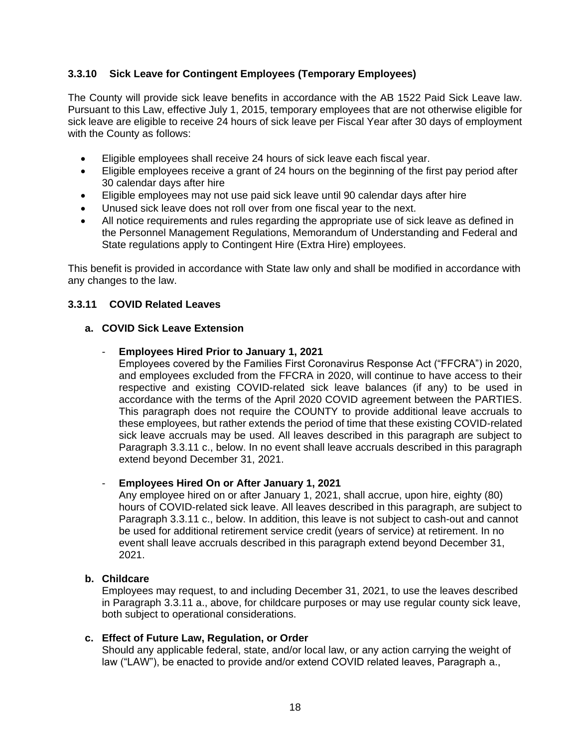### <span id="page-23-0"></span>**3.3.10 Sick Leave for Contingent Employees (Temporary Employees)**

The County will provide sick leave benefits in accordance with the AB 1522 Paid Sick Leave law. Pursuant to this Law, effective July 1, 2015, temporary employees that are not otherwise eligible for sick leave are eligible to receive 24 hours of sick leave per Fiscal Year after 30 days of employment with the County as follows:

- Eligible employees shall receive 24 hours of sick leave each fiscal year.
- Eligible employees receive a grant of 24 hours on the beginning of the first pay period after 30 calendar days after hire
- Eligible employees may not use paid sick leave until 90 calendar days after hire
- Unused sick leave does not roll over from one fiscal year to the next.
- All notice requirements and rules regarding the appropriate use of sick leave as defined in the Personnel Management Regulations, Memorandum of Understanding and Federal and State regulations apply to Contingent Hire (Extra Hire) employees.

This benefit is provided in accordance with State law only and shall be modified in accordance with any changes to the law.

#### <span id="page-23-1"></span>**3.3.11 COVID Related Leaves**

#### **a. COVID Sick Leave Extension**

#### - **Employees Hired Prior to January 1, 2021**

Employees covered by the Families First Coronavirus Response Act ("FFCRA") in 2020, and employees excluded from the FFCRA in 2020, will continue to have access to their respective and existing COVID-related sick leave balances (if any) to be used in accordance with the terms of the April 2020 COVID agreement between the PARTIES. This paragraph does not require the COUNTY to provide additional leave accruals to these employees, but rather extends the period of time that these existing COVID-related sick leave accruals may be used. All leaves described in this paragraph are subject to Paragraph 3.3.11 c., below. In no event shall leave accruals described in this paragraph extend beyond December 31, 2021.

#### - **Employees Hired On or After January 1, 2021**

Any employee hired on or after January 1, 2021, shall accrue, upon hire, eighty (80) hours of COVID-related sick leave. All leaves described in this paragraph, are subject to Paragraph 3.3.11 c., below. In addition, this leave is not subject to cash-out and cannot be used for additional retirement service credit (years of service) at retirement. In no event shall leave accruals described in this paragraph extend beyond December 31, 2021.

#### **b. Childcare**

Employees may request, to and including December 31, 2021, to use the leaves described in Paragraph 3.3.11 a., above, for childcare purposes or may use regular county sick leave, both subject to operational considerations.

#### **c. Effect of Future Law, Regulation, or Order**

Should any applicable federal, state, and/or local law, or any action carrying the weight of law ("LAW"), be enacted to provide and/or extend COVID related leaves, Paragraph a.,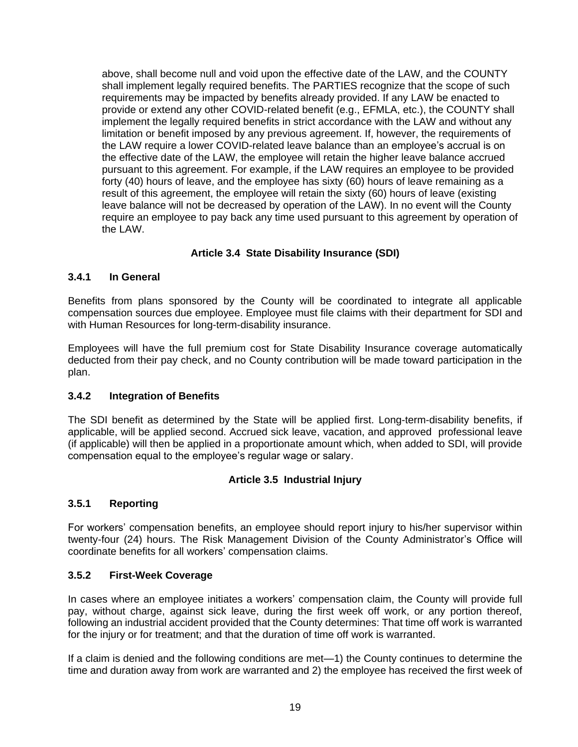above, shall become null and void upon the effective date of the LAW, and the COUNTY shall implement legally required benefits. The PARTIES recognize that the scope of such requirements may be impacted by benefits already provided. If any LAW be enacted to provide or extend any other COVID-related benefit (e.g., EFMLA, etc.), the COUNTY shall implement the legally required benefits in strict accordance with the LAW and without any limitation or benefit imposed by any previous agreement. If, however, the requirements of the LAW require a lower COVID-related leave balance than an employee's accrual is on the effective date of the LAW, the employee will retain the higher leave balance accrued pursuant to this agreement. For example, if the LAW requires an employee to be provided forty (40) hours of leave, and the employee has sixty (60) hours of leave remaining as a result of this agreement, the employee will retain the sixty (60) hours of leave (existing leave balance will not be decreased by operation of the LAW). In no event will the County require an employee to pay back any time used pursuant to this agreement by operation of the LAW.

## **Article 3.4 State Disability Insurance (SDI)**

### <span id="page-24-1"></span><span id="page-24-0"></span>**3.4.1 In General**

Benefits from plans sponsored by the County will be coordinated to integrate all applicable compensation sources due employee. Employee must file claims with their department for SDI and with Human Resources for long-term-disability insurance.

Employees will have the full premium cost for State Disability Insurance coverage automatically deducted from their pay check, and no County contribution will be made toward participation in the plan.

#### <span id="page-24-2"></span>**3.4.2 Integration of Benefits**

The SDI benefit as determined by the State will be applied first. Long-term-disability benefits, if applicable, will be applied second. Accrued sick leave, vacation, and approved professional leave (if applicable) will then be applied in a proportionate amount which, when added to SDI, will provide compensation equal to the employee's regular wage or salary.

## **Article 3.5 Industrial Injury**

## <span id="page-24-4"></span><span id="page-24-3"></span>**3.5.1 Reporting**

For workers' compensation benefits, an employee should report injury to his/her supervisor within twenty-four (24) hours. The Risk Management Division of the County Administrator's Office will coordinate benefits for all workers' compensation claims.

#### <span id="page-24-5"></span>**3.5.2 First-Week Coverage**

In cases where an employee initiates a workers' compensation claim, the County will provide full pay, without charge, against sick leave, during the first week off work, or any portion thereof, following an industrial accident provided that the County determines: That time off work is warranted for the injury or for treatment; and that the duration of time off work is warranted.

If a claim is denied and the following conditions are met—1) the County continues to determine the time and duration away from work are warranted and 2) the employee has received the first week of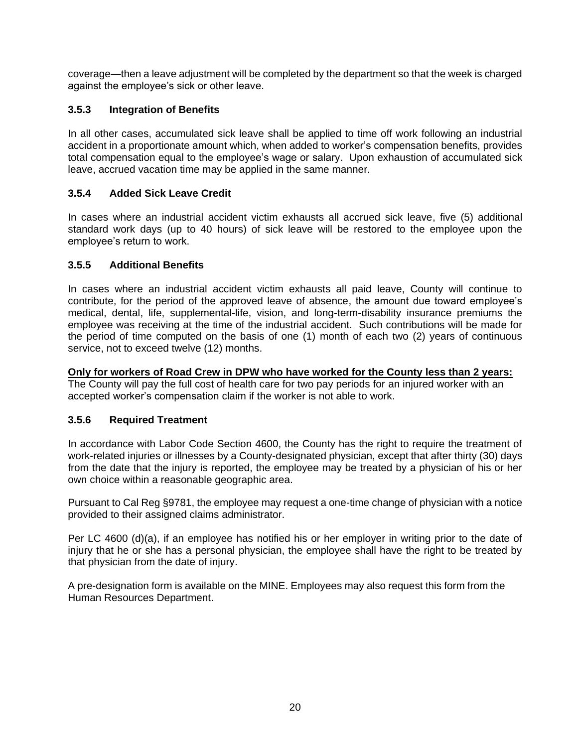coverage—then a leave adjustment will be completed by the department so that the week is charged against the employee's sick or other leave.

## <span id="page-25-0"></span>**3.5.3 Integration of Benefits**

In all other cases, accumulated sick leave shall be applied to time off work following an industrial accident in a proportionate amount which, when added to worker's compensation benefits, provides total compensation equal to the employee's wage or salary. Upon exhaustion of accumulated sick leave, accrued vacation time may be applied in the same manner.

## <span id="page-25-1"></span>**3.5.4 Added Sick Leave Credit**

In cases where an industrial accident victim exhausts all accrued sick leave, five (5) additional standard work days (up to 40 hours) of sick leave will be restored to the employee upon the employee's return to work.

## <span id="page-25-2"></span>**3.5.5 Additional Benefits**

In cases where an industrial accident victim exhausts all paid leave, County will continue to contribute, for the period of the approved leave of absence, the amount due toward employee's medical, dental, life, supplemental-life, vision, and long-term-disability insurance premiums the employee was receiving at the time of the industrial accident. Such contributions will be made for the period of time computed on the basis of one (1) month of each two (2) years of continuous service, not to exceed twelve (12) months.

## **Only for workers of Road Crew in DPW who have worked for the County less than 2 years:**

The County will pay the full cost of health care for two pay periods for an injured worker with an accepted worker's compensation claim if the worker is not able to work.

## <span id="page-25-3"></span>**3.5.6 Required Treatment**

In accordance with Labor Code Section 4600, the County has the right to require the treatment of work-related injuries or illnesses by a County-designated physician, except that after thirty (30) days from the date that the injury is reported, the employee may be treated by a physician of his or her own choice within a reasonable geographic area.

Pursuant to Cal Reg §9781, the employee may request a one-time change of physician with a notice provided to their assigned claims administrator.

Per LC 4600 (d)(a), if an employee has notified his or her employer in writing prior to the date of injury that he or she has a personal physician, the employee shall have the right to be treated by that physician from the date of injury.

A pre-designation form is available on the MINE. Employees may also request this form from the Human Resources Department.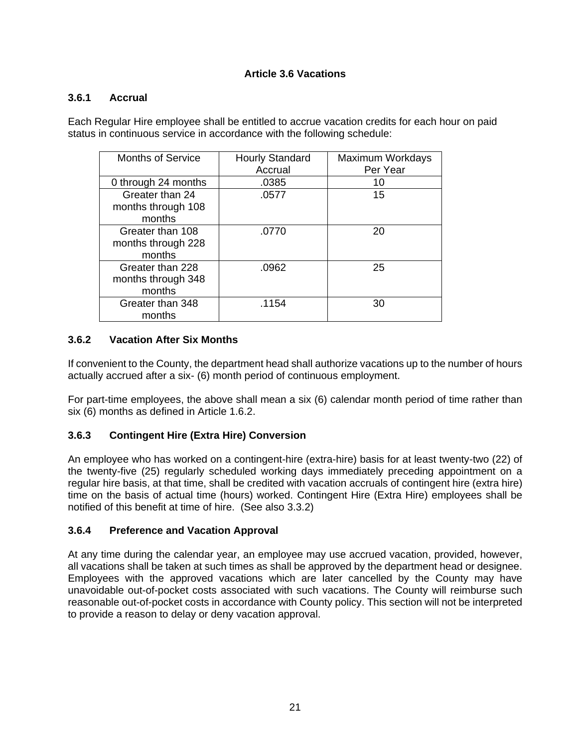## **Article 3.6 Vacations**

#### <span id="page-26-1"></span><span id="page-26-0"></span>**3.6.1 Accrual**

Each Regular Hire employee shall be entitled to accrue vacation credits for each hour on paid status in continuous service in accordance with the following schedule:

| <b>Months of Service</b>                         | <b>Hourly Standard</b><br>Accrual | <b>Maximum Workdays</b><br>Per Year |
|--------------------------------------------------|-----------------------------------|-------------------------------------|
| 0 through 24 months                              | .0385                             | 10                                  |
| Greater than 24<br>months through 108<br>months  | .0577                             | 15                                  |
| Greater than 108<br>months through 228<br>months | .0770                             | 20                                  |
| Greater than 228<br>months through 348<br>months | .0962                             | 25                                  |
| Greater than 348<br>months                       | .1154                             | 30                                  |

#### <span id="page-26-2"></span>**3.6.2 Vacation After Six Months**

If convenient to the County, the department head shall authorize vacations up to the number of hours actually accrued after a six- (6) month period of continuous employment.

For part-time employees, the above shall mean a six (6) calendar month period of time rather than six (6) months as defined in Article 1.6.2.

#### <span id="page-26-3"></span>**3.6.3 Contingent Hire (Extra Hire) Conversion**

An employee who has worked on a contingent-hire (extra-hire) basis for at least twenty-two (22) of the twenty-five (25) regularly scheduled working days immediately preceding appointment on a regular hire basis, at that time, shall be credited with vacation accruals of contingent hire (extra hire) time on the basis of actual time (hours) worked. Contingent Hire (Extra Hire) employees shall be notified of this benefit at time of hire. (See also 3.3.2)

#### <span id="page-26-4"></span>**3.6.4 Preference and Vacation Approval**

At any time during the calendar year, an employee may use accrued vacation, provided, however, all vacations shall be taken at such times as shall be approved by the department head or designee. Employees with the approved vacations which are later cancelled by the County may have unavoidable out-of-pocket costs associated with such vacations. The County will reimburse such reasonable out-of-pocket costs in accordance with County policy. This section will not be interpreted to provide a reason to delay or deny vacation approval.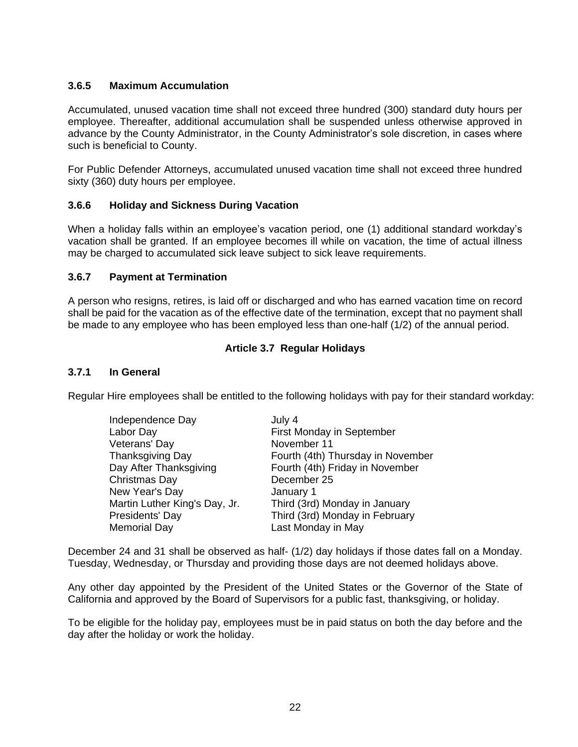### <span id="page-27-0"></span>**3.6.5 Maximum Accumulation**

Accumulated, unused vacation time shall not exceed three hundred (300) standard duty hours per employee. Thereafter, additional accumulation shall be suspended unless otherwise approved in advance by the County Administrator, in the County Administrator's sole discretion, in cases where such is beneficial to County.

For Public Defender Attorneys, accumulated unused vacation time shall not exceed three hundred sixty (360) duty hours per employee.

#### <span id="page-27-1"></span>**3.6.6 Holiday and Sickness During Vacation**

When a holiday falls within an employee's vacation period, one (1) additional standard workday's vacation shall be granted. If an employee becomes ill while on vacation, the time of actual illness may be charged to accumulated sick leave subject to sick leave requirements.

#### <span id="page-27-2"></span>**3.6.7 Payment at Termination**

A person who resigns, retires, is laid off or discharged and who has earned vacation time on record shall be paid for the vacation as of the effective date of the termination, except that no payment shall be made to any employee who has been employed less than one-half (1/2) of the annual period.

### **Article 3.7 Regular Holidays**

#### <span id="page-27-4"></span><span id="page-27-3"></span>**3.7.1 In General**

Regular Hire employees shall be entitled to the following holidays with pay for their standard workday:

| Independence Day              | July 4                            |
|-------------------------------|-----------------------------------|
| Labor Day                     | First Monday in September         |
| Veterans' Day                 | November 11                       |
| <b>Thanksgiving Day</b>       | Fourth (4th) Thursday in November |
| Day After Thanksgiving        | Fourth (4th) Friday in November   |
| Christmas Day                 | December 25                       |
| New Year's Day                | January 1                         |
| Martin Luther King's Day, Jr. | Third (3rd) Monday in January     |
| Presidents' Day               | Third (3rd) Monday in February    |
| <b>Memorial Day</b>           | Last Monday in May                |

December 24 and 31 shall be observed as half- (1/2) day holidays if those dates fall on a Monday. Tuesday, Wednesday, or Thursday and providing those days are not deemed holidays above.

Any other day appointed by the President of the United States or the Governor of the State of California and approved by the Board of Supervisors for a public fast, thanksgiving, or holiday.

To be eligible for the holiday pay, employees must be in paid status on both the day before and the day after the holiday or work the holiday.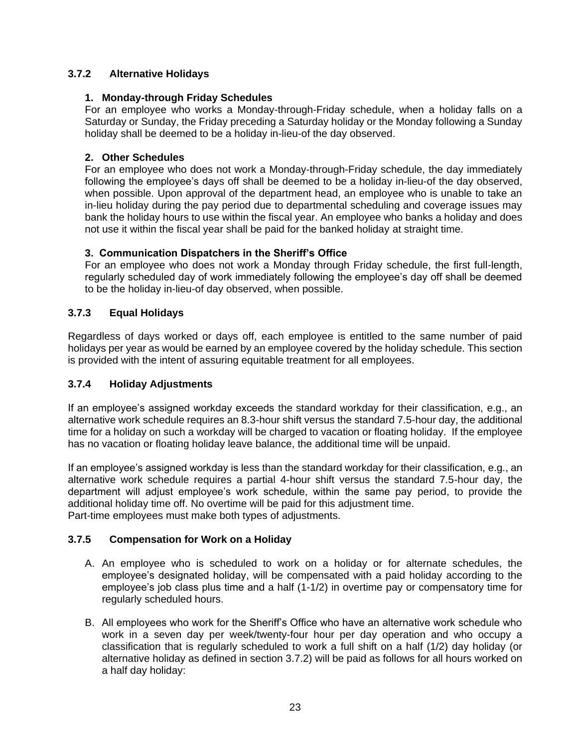## <span id="page-28-0"></span>**3.7.2 Alternative Holidays**

#### **1. Monday-through Friday Schedules**

For an employee who works a Monday-through-Friday schedule, when a holiday falls on a Saturday or Sunday, the Friday preceding a Saturday holiday or the Monday following a Sunday holiday shall be deemed to be a holiday in-lieu-of the day observed.

## **2. Other Schedules**

For an employee who does not work a Monday-through-Friday schedule, the day immediately following the employee's days off shall be deemed to be a holiday in-lieu-of the day observed, when possible. Upon approval of the department head, an employee who is unable to take an in-lieu holiday during the pay period due to departmental scheduling and coverage issues may bank the holiday hours to use within the fiscal year. An employee who banks a holiday and does not use it within the fiscal year shall be paid for the banked holiday at straight time.

### **3. Communication Dispatchers in the Sheriff's Office**

For an employee who does not work a Monday through Friday schedule, the first full-length, regularly scheduled day of work immediately following the employee's day off shall be deemed to be the holiday in-lieu-of day observed, when possible.

### <span id="page-28-1"></span>**3.7.3 Equal Holidays**

Regardless of days worked or days off, each employee is entitled to the same number of paid holidays per year as would be earned by an employee covered by the holiday schedule. This section is provided with the intent of assuring equitable treatment for all employees.

## <span id="page-28-2"></span>**3.7.4 Holiday Adjustments**

If an employee's assigned workday exceeds the standard workday for their classification, e.g., an alternative work schedule requires an 8.3-hour shift versus the standard 7.5-hour day, the additional time for a holiday on such a workday will be charged to vacation or floating holiday. If the employee has no vacation or floating holiday leave balance, the additional time will be unpaid.

If an employee's assigned workday is less than the standard workday for their classification, e.g., an alternative work schedule requires a partial 4-hour shift versus the standard 7.5-hour day, the department will adjust employee's work schedule, within the same pay period, to provide the additional holiday time off. No overtime will be paid for this adjustment time. Part-time employees must make both types of adjustments.

#### <span id="page-28-3"></span>**3.7.5 Compensation for Work on a Holiday**

- A. An employee who is scheduled to work on a holiday or for alternate schedules, the employee's designated holiday, will be compensated with a paid holiday according to the employee's job class plus time and a half (1-1/2) in overtime pay or compensatory time for regularly scheduled hours.
- B. All employees who work for the Sheriff's Office who have an alternative work schedule who work in a seven day per week/twenty-four hour per day operation and who occupy a classification that is regularly scheduled to work a full shift on a half (1/2) day holiday (or alternative holiday as defined in section 3.7.2) will be paid as follows for all hours worked on a half day holiday: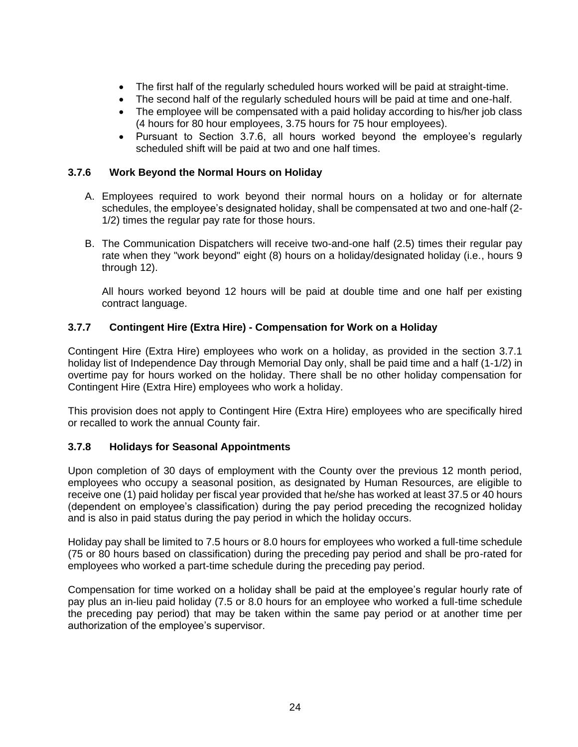- The first half of the regularly scheduled hours worked will be paid at straight-time.
- The second half of the regularly scheduled hours will be paid at time and one-half.
- The employee will be compensated with a paid holiday according to his/her iob class (4 hours for 80 hour employees, 3.75 hours for 75 hour employees).
- Pursuant to Section 3.7.6, all hours worked beyond the employee's regularly scheduled shift will be paid at two and one half times.

### <span id="page-29-0"></span>**3.7.6 Work Beyond the Normal Hours on Holiday**

- A. Employees required to work beyond their normal hours on a holiday or for alternate schedules, the employee's designated holiday, shall be compensated at two and one-half (2- 1/2) times the regular pay rate for those hours.
- B. The Communication Dispatchers will receive two-and-one half (2.5) times their regular pay rate when they "work beyond" eight (8) hours on a holiday/designated holiday (i.e., hours 9 through 12).

All hours worked beyond 12 hours will be paid at double time and one half per existing contract language.

### <span id="page-29-1"></span>**3.7.7 Contingent Hire (Extra Hire) - Compensation for Work on a Holiday**

Contingent Hire (Extra Hire) employees who work on a holiday, as provided in the section 3.7.1 holiday list of Independence Day through Memorial Day only, shall be paid time and a half (1-1/2) in overtime pay for hours worked on the holiday. There shall be no other holiday compensation for Contingent Hire (Extra Hire) employees who work a holiday.

This provision does not apply to Contingent Hire (Extra Hire) employees who are specifically hired or recalled to work the annual County fair.

#### <span id="page-29-2"></span>**3.7.8 Holidays for Seasonal Appointments**

Upon completion of 30 days of employment with the County over the previous 12 month period, employees who occupy a seasonal position, as designated by Human Resources, are eligible to receive one (1) paid holiday per fiscal year provided that he/she has worked at least 37.5 or 40 hours (dependent on employee's classification) during the pay period preceding the recognized holiday and is also in paid status during the pay period in which the holiday occurs.

Holiday pay shall be limited to 7.5 hours or 8.0 hours for employees who worked a full-time schedule (75 or 80 hours based on classification) during the preceding pay period and shall be pro-rated for employees who worked a part-time schedule during the preceding pay period.

Compensation for time worked on a holiday shall be paid at the employee's regular hourly rate of pay plus an in-lieu paid holiday (7.5 or 8.0 hours for an employee who worked a full-time schedule the preceding pay period) that may be taken within the same pay period or at another time per authorization of the employee's supervisor.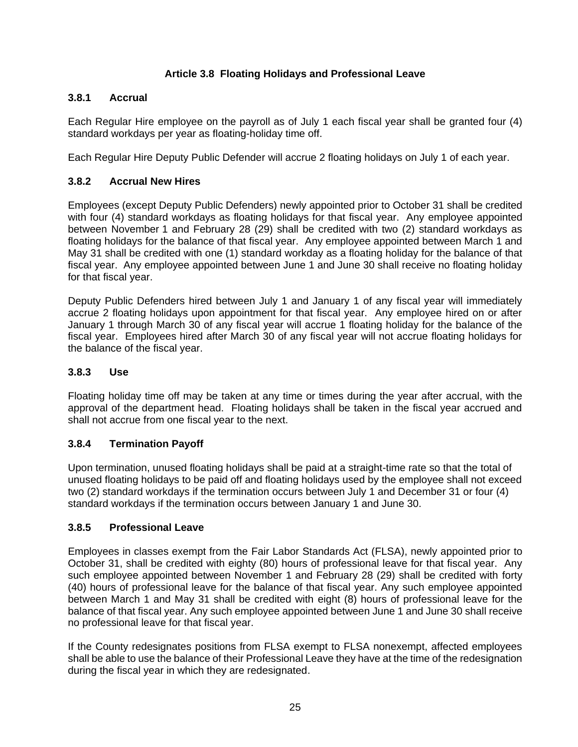## **Article 3.8 Floating Holidays and Professional Leave**

## <span id="page-30-1"></span><span id="page-30-0"></span>**3.8.1 Accrual**

Each Regular Hire employee on the payroll as of July 1 each fiscal year shall be granted four (4) standard workdays per year as floating-holiday time off.

Each Regular Hire Deputy Public Defender will accrue 2 floating holidays on July 1 of each year.

## <span id="page-30-2"></span>**3.8.2 Accrual New Hires**

Employees (except Deputy Public Defenders) newly appointed prior to October 31 shall be credited with four (4) standard workdays as floating holidays for that fiscal year. Any employee appointed between November 1 and February 28 (29) shall be credited with two (2) standard workdays as floating holidays for the balance of that fiscal year. Any employee appointed between March 1 and May 31 shall be credited with one (1) standard workday as a floating holiday for the balance of that fiscal year. Any employee appointed between June 1 and June 30 shall receive no floating holiday for that fiscal year.

Deputy Public Defenders hired between July 1 and January 1 of any fiscal year will immediately accrue 2 floating holidays upon appointment for that fiscal year. Any employee hired on or after January 1 through March 30 of any fiscal year will accrue 1 floating holiday for the balance of the fiscal year. Employees hired after March 30 of any fiscal year will not accrue floating holidays for the balance of the fiscal year.

## <span id="page-30-3"></span>**3.8.3 Use**

Floating holiday time off may be taken at any time or times during the year after accrual, with the approval of the department head. Floating holidays shall be taken in the fiscal year accrued and shall not accrue from one fiscal year to the next.

## <span id="page-30-4"></span>**3.8.4 Termination Payoff**

Upon termination, unused floating holidays shall be paid at a straight-time rate so that the total of unused floating holidays to be paid off and floating holidays used by the employee shall not exceed two (2) standard workdays if the termination occurs between July 1 and December 31 or four (4) standard workdays if the termination occurs between January 1 and June 30.

## <span id="page-30-5"></span>**3.8.5 Professional Leave**

Employees in classes exempt from the Fair Labor Standards Act (FLSA), newly appointed prior to October 31, shall be credited with eighty (80) hours of professional leave for that fiscal year. Any such employee appointed between November 1 and February 28 (29) shall be credited with forty (40) hours of professional leave for the balance of that fiscal year. Any such employee appointed between March 1 and May 31 shall be credited with eight (8) hours of professional leave for the balance of that fiscal year. Any such employee appointed between June 1 and June 30 shall receive no professional leave for that fiscal year.

If the County redesignates positions from FLSA exempt to FLSA nonexempt, affected employees shall be able to use the balance of their Professional Leave they have at the time of the redesignation during the fiscal year in which they are redesignated.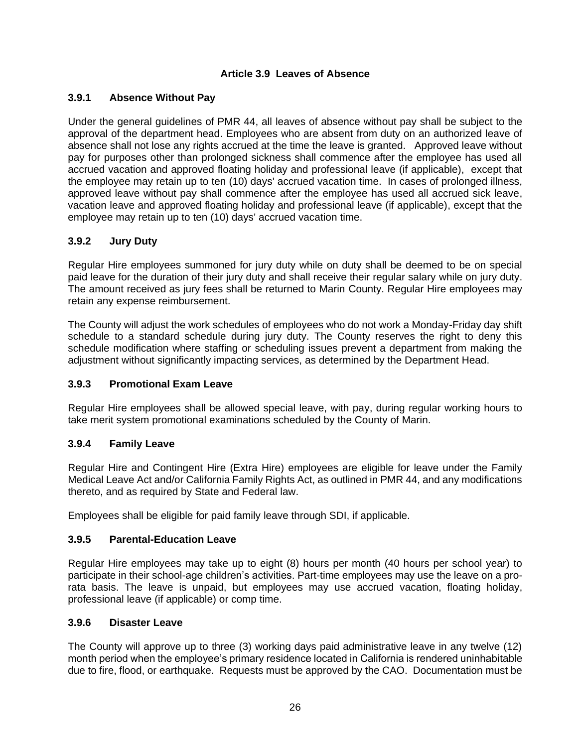#### **Article 3.9 Leaves of Absence**

### <span id="page-31-1"></span><span id="page-31-0"></span>**3.9.1 Absence Without Pay**

Under the general guidelines of PMR 44, all leaves of absence without pay shall be subject to the approval of the department head. Employees who are absent from duty on an authorized leave of absence shall not lose any rights accrued at the time the leave is granted. Approved leave without pay for purposes other than prolonged sickness shall commence after the employee has used all accrued vacation and approved floating holiday and professional leave (if applicable), except that the employee may retain up to ten (10) days' accrued vacation time. In cases of prolonged illness, approved leave without pay shall commence after the employee has used all accrued sick leave, vacation leave and approved floating holiday and professional leave (if applicable), except that the employee may retain up to ten (10) days' accrued vacation time.

### <span id="page-31-2"></span>**3.9.2 Jury Duty**

Regular Hire employees summoned for jury duty while on duty shall be deemed to be on special paid leave for the duration of their jury duty and shall receive their regular salary while on jury duty. The amount received as jury fees shall be returned to Marin County. Regular Hire employees may retain any expense reimbursement.

The County will adjust the work schedules of employees who do not work a Monday-Friday day shift schedule to a standard schedule during jury duty. The County reserves the right to deny this schedule modification where staffing or scheduling issues prevent a department from making the adjustment without significantly impacting services, as determined by the Department Head.

#### <span id="page-31-3"></span>**3.9.3 Promotional Exam Leave**

Regular Hire employees shall be allowed special leave, with pay, during regular working hours to take merit system promotional examinations scheduled by the County of Marin.

#### <span id="page-31-4"></span>**3.9.4 Family Leave**

Regular Hire and Contingent Hire (Extra Hire) employees are eligible for leave under the Family Medical Leave Act and/or California Family Rights Act, as outlined in PMR 44, and any modifications thereto, and as required by State and Federal law.

Employees shall be eligible for paid family leave through SDI, if applicable.

#### <span id="page-31-5"></span>**3.9.5 Parental-Education Leave**

Regular Hire employees may take up to eight (8) hours per month (40 hours per school year) to participate in their school-age children's activities. Part-time employees may use the leave on a prorata basis. The leave is unpaid, but employees may use accrued vacation, floating holiday, professional leave (if applicable) or comp time.

#### <span id="page-31-6"></span>**3.9.6 Disaster Leave**

The County will approve up to three (3) working days paid administrative leave in any twelve (12) month period when the employee's primary residence located in California is rendered uninhabitable due to fire, flood, or earthquake. Requests must be approved by the CAO. Documentation must be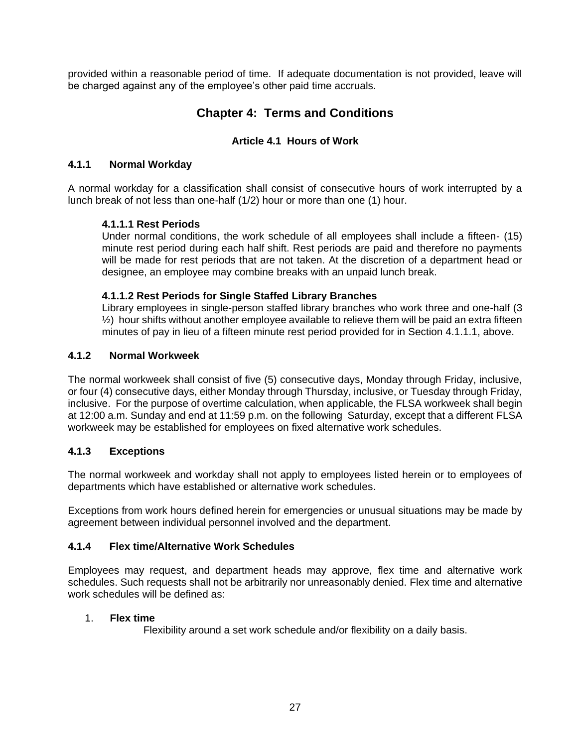<span id="page-32-0"></span>provided within a reasonable period of time. If adequate documentation is not provided, leave will be charged against any of the employee's other paid time accruals.

## **Chapter 4: Terms and Conditions**

## **Article 4.1 Hours of Work**

#### <span id="page-32-2"></span><span id="page-32-1"></span>**4.1.1 Normal Workday**

A normal workday for a classification shall consist of consecutive hours of work interrupted by a lunch break of not less than one-half (1/2) hour or more than one (1) hour.

### **4.1.1.1 Rest Periods**

Under normal conditions, the work schedule of all employees shall include a fifteen- (15) minute rest period during each half shift. Rest periods are paid and therefore no payments will be made for rest periods that are not taken. At the discretion of a department head or designee, an employee may combine breaks with an unpaid lunch break.

#### **4.1.1.2 Rest Periods for Single Staffed Library Branches**

Library employees in single-person staffed library branches who work three and one-half (3  $\frac{1}{2}$ ) hour shifts without another employee available to relieve them will be paid an extra fifteen minutes of pay in lieu of a fifteen minute rest period provided for in Section 4.1.1.1, above.

### <span id="page-32-3"></span>**4.1.2 Normal Workweek**

The normal workweek shall consist of five (5) consecutive days, Monday through Friday, inclusive, or four (4) consecutive days, either Monday through Thursday, inclusive, or Tuesday through Friday, inclusive. For the purpose of overtime calculation, when applicable, the FLSA workweek shall begin at 12:00 a.m. Sunday and end at 11:59 p.m. on the following Saturday, except that a different FLSA workweek may be established for employees on fixed alternative work schedules.

## <span id="page-32-4"></span>**4.1.3 Exceptions**

The normal workweek and workday shall not apply to employees listed herein or to employees of departments which have established or alternative work schedules.

Exceptions from work hours defined herein for emergencies or unusual situations may be made by agreement between individual personnel involved and the department.

#### <span id="page-32-5"></span>**4.1.4 Flex time/Alternative Work Schedules**

Employees may request, and department heads may approve, flex time and alternative work schedules. Such requests shall not be arbitrarily nor unreasonably denied. Flex time and alternative work schedules will be defined as:

#### 1. **Flex time**

Flexibility around a set work schedule and/or flexibility on a daily basis.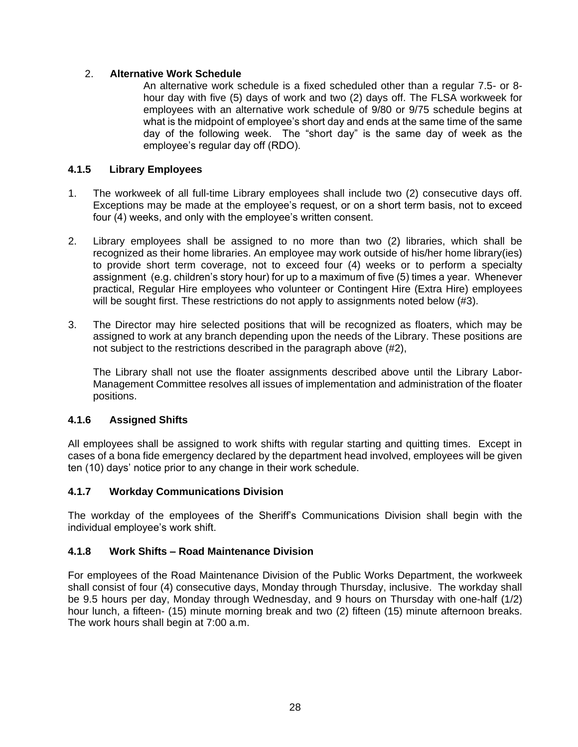### 2. **Alternative Work Schedule**

An alternative work schedule is a fixed scheduled other than a regular 7.5- or 8 hour day with five (5) days of work and two (2) days off. The FLSA workweek for employees with an alternative work schedule of 9/80 or 9/75 schedule begins at what is the midpoint of employee's short day and ends at the same time of the same day of the following week. The "short day" is the same day of week as the employee's regular day off (RDO).

## <span id="page-33-0"></span>**4.1.5 Library Employees**

- 1. The workweek of all full-time Library employees shall include two (2) consecutive days off. Exceptions may be made at the employee's request, or on a short term basis, not to exceed four (4) weeks, and only with the employee's written consent.
- 2. Library employees shall be assigned to no more than two (2) libraries, which shall be recognized as their home libraries. An employee may work outside of his/her home library(ies) to provide short term coverage, not to exceed four (4) weeks or to perform a specialty assignment (e.g. children's story hour) for up to a maximum of five (5) times a year. Whenever practical, Regular Hire employees who volunteer or Contingent Hire (Extra Hire) employees will be sought first. These restrictions do not apply to assignments noted below (#3).
- 3. The Director may hire selected positions that will be recognized as floaters, which may be assigned to work at any branch depending upon the needs of the Library. These positions are not subject to the restrictions described in the paragraph above (#2),

The Library shall not use the floater assignments described above until the Library Labor-Management Committee resolves all issues of implementation and administration of the floater positions.

#### <span id="page-33-1"></span>**4.1.6 Assigned Shifts**

All employees shall be assigned to work shifts with regular starting and quitting times. Except in cases of a bona fide emergency declared by the department head involved, employees will be given ten (10) days' notice prior to any change in their work schedule.

#### <span id="page-33-2"></span>**4.1.7 Workday Communications Division**

The workday of the employees of the Sheriff's Communications Division shall begin with the individual employee's work shift.

#### <span id="page-33-3"></span>**4.1.8 Work Shifts – Road Maintenance Division**

For employees of the Road Maintenance Division of the Public Works Department, the workweek shall consist of four (4) consecutive days, Monday through Thursday, inclusive. The workday shall be 9.5 hours per day, Monday through Wednesday, and 9 hours on Thursday with one-half (1/2) hour lunch, a fifteen- (15) minute morning break and two (2) fifteen (15) minute afternoon breaks. The work hours shall begin at 7:00 a.m.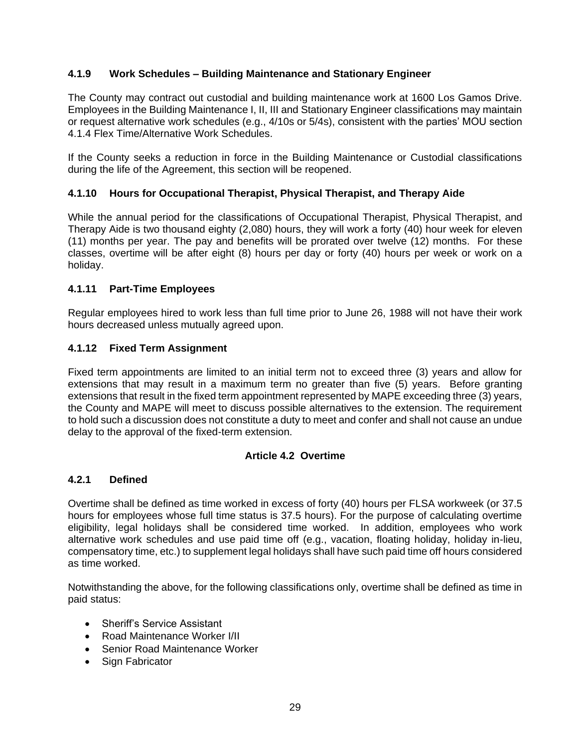## <span id="page-34-0"></span>**4.1.9 Work Schedules – Building Maintenance and Stationary Engineer**

The County may contract out custodial and building maintenance work at 1600 Los Gamos Drive. Employees in the Building Maintenance I, II, III and Stationary Engineer classifications may maintain or request alternative work schedules (e.g., 4/10s or 5/4s), consistent with the parties' MOU section 4.1.4 Flex Time/Alternative Work Schedules.

If the County seeks a reduction in force in the Building Maintenance or Custodial classifications during the life of the Agreement, this section will be reopened.

#### <span id="page-34-1"></span>**4.1.10 Hours for Occupational Therapist, Physical Therapist, and Therapy Aide**

While the annual period for the classifications of Occupational Therapist, Physical Therapist, and Therapy Aide is two thousand eighty (2,080) hours, they will work a forty (40) hour week for eleven (11) months per year. The pay and benefits will be prorated over twelve (12) months. For these classes, overtime will be after eight (8) hours per day or forty (40) hours per week or work on a holiday.

#### <span id="page-34-2"></span>**4.1.11 Part-Time Employees**

Regular employees hired to work less than full time prior to June 26, 1988 will not have their work hours decreased unless mutually agreed upon.

#### <span id="page-34-3"></span>**4.1.12 Fixed Term Assignment**

Fixed term appointments are limited to an initial term not to exceed three (3) years and allow for extensions that may result in a maximum term no greater than five (5) years. Before granting extensions that result in the fixed term appointment represented by MAPE exceeding three (3) years, the County and MAPE will meet to discuss possible alternatives to the extension. The requirement to hold such a discussion does not constitute a duty to meet and confer and shall not cause an undue delay to the approval of the fixed-term extension.

#### **Article 4.2 Overtime**

#### <span id="page-34-5"></span><span id="page-34-4"></span>**4.2.1 Defined**

Overtime shall be defined as time worked in excess of forty (40) hours per FLSA workweek (or 37.5 hours for employees whose full time status is 37.5 hours). For the purpose of calculating overtime eligibility, legal holidays shall be considered time worked. In addition, employees who work alternative work schedules and use paid time off (e.g., vacation, floating holiday, holiday in-lieu, compensatory time, etc.) to supplement legal holidays shall have such paid time off hours considered as time worked.

Notwithstanding the above, for the following classifications only, overtime shall be defined as time in paid status:

- Sheriff's Service Assistant
- Road Maintenance Worker I/II
- Senior Road Maintenance Worker
- Sign Fabricator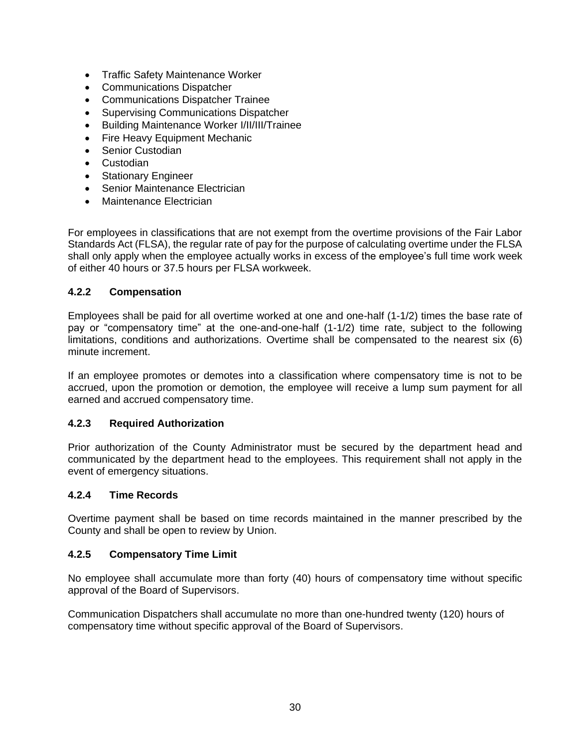- Traffic Safety Maintenance Worker
- Communications Dispatcher
- Communications Dispatcher Trainee
- Supervising Communications Dispatcher
- Building Maintenance Worker I/II/III/Trainee
- Fire Heavy Equipment Mechanic
- Senior Custodian
- Custodian
- Stationary Engineer
- Senior Maintenance Electrician
- Maintenance Electrician

For employees in classifications that are not exempt from the overtime provisions of the Fair Labor Standards Act (FLSA), the regular rate of pay for the purpose of calculating overtime under the FLSA shall only apply when the employee actually works in excess of the employee's full time work week of either 40 hours or 37.5 hours per FLSA workweek.

#### <span id="page-35-0"></span>**4.2.2 Compensation**

Employees shall be paid for all overtime worked at one and one-half (1-1/2) times the base rate of pay or "compensatory time" at the one-and-one-half (1-1/2) time rate, subject to the following limitations, conditions and authorizations. Overtime shall be compensated to the nearest six (6) minute increment.

If an employee promotes or demotes into a classification where compensatory time is not to be accrued, upon the promotion or demotion, the employee will receive a lump sum payment for all earned and accrued compensatory time.

#### <span id="page-35-1"></span>**4.2.3 Required Authorization**

Prior authorization of the County Administrator must be secured by the department head and communicated by the department head to the employees. This requirement shall not apply in the event of emergency situations.

#### <span id="page-35-2"></span>**4.2.4 Time Records**

Overtime payment shall be based on time records maintained in the manner prescribed by the County and shall be open to review by Union.

#### <span id="page-35-3"></span>**4.2.5 Compensatory Time Limit**

No employee shall accumulate more than forty (40) hours of compensatory time without specific approval of the Board of Supervisors.

Communication Dispatchers shall accumulate no more than one-hundred twenty (120) hours of compensatory time without specific approval of the Board of Supervisors.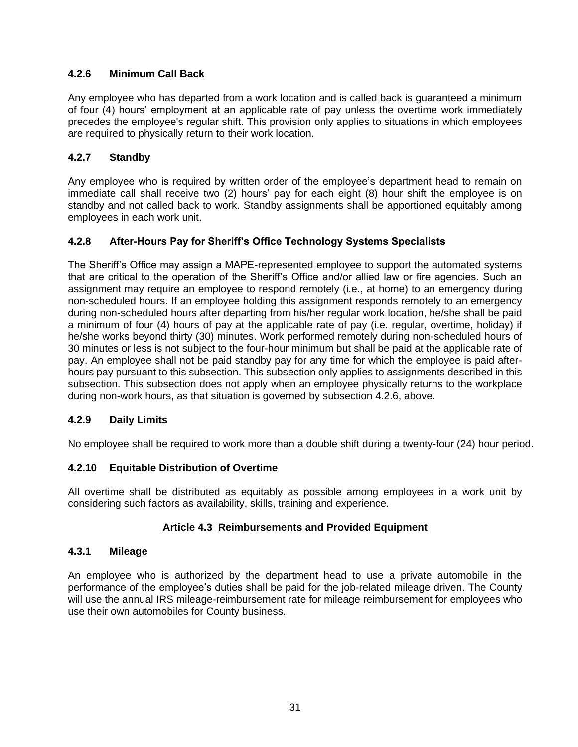## <span id="page-36-0"></span>**4.2.6 Minimum Call Back**

Any employee who has departed from a work location and is called back is guaranteed a minimum of four (4) hours' employment at an applicable rate of pay unless the overtime work immediately precedes the employee's regular shift. This provision only applies to situations in which employees are required to physically return to their work location.

## <span id="page-36-1"></span>**4.2.7 Standby**

Any employee who is required by written order of the employee's department head to remain on immediate call shall receive two (2) hours' pay for each eight (8) hour shift the employee is on standby and not called back to work. Standby assignments shall be apportioned equitably among employees in each work unit.

## <span id="page-36-2"></span>**4.2.8 After-Hours Pay for Sheriff's Office Technology Systems Specialists**

The Sheriff's Office may assign a MAPE-represented employee to support the automated systems that are critical to the operation of the Sheriff's Office and/or allied law or fire agencies. Such an assignment may require an employee to respond remotely (i.e., at home) to an emergency during non-scheduled hours. If an employee holding this assignment responds remotely to an emergency during non-scheduled hours after departing from his/her regular work location, he/she shall be paid a minimum of four (4) hours of pay at the applicable rate of pay (i.e. regular, overtime, holiday) if he/she works beyond thirty (30) minutes. Work performed remotely during non-scheduled hours of 30 minutes or less is not subject to the four-hour minimum but shall be paid at the applicable rate of pay. An employee shall not be paid standby pay for any time for which the employee is paid afterhours pay pursuant to this subsection. This subsection only applies to assignments described in this subsection. This subsection does not apply when an employee physically returns to the workplace during non-work hours, as that situation is governed by subsection 4.2.6, above.

## <span id="page-36-3"></span>**4.2.9 Daily Limits**

No employee shall be required to work more than a double shift during a twenty-four (24) hour period.

## <span id="page-36-4"></span>**4.2.10 Equitable Distribution of Overtime**

All overtime shall be distributed as equitably as possible among employees in a work unit by considering such factors as availability, skills, training and experience.

## **Article 4.3 Reimbursements and Provided Equipment**

## <span id="page-36-6"></span><span id="page-36-5"></span>**4.3.1 Mileage**

An employee who is authorized by the department head to use a private automobile in the performance of the employee's duties shall be paid for the job-related mileage driven. The County will use the annual IRS mileage-reimbursement rate for mileage reimbursement for employees who use their own automobiles for County business.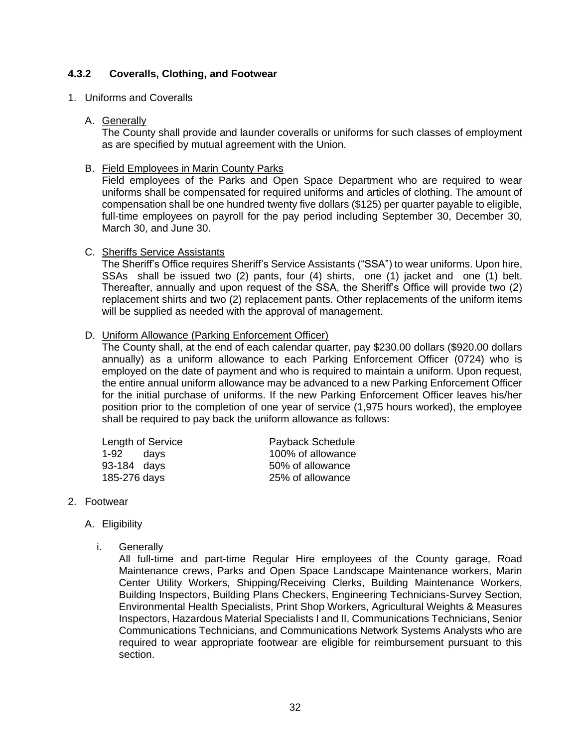#### <span id="page-37-0"></span>**4.3.2 Coveralls, Clothing, and Footwear**

#### 1. Uniforms and Coveralls

#### A. Generally

The County shall provide and launder coveralls or uniforms for such classes of employment as are specified by mutual agreement with the Union.

#### B. Field Employees in Marin County Parks

Field employees of the Parks and Open Space Department who are required to wear uniforms shall be compensated for required uniforms and articles of clothing. The amount of compensation shall be one hundred twenty five dollars (\$125) per quarter payable to eligible, full-time employees on payroll for the pay period including September 30, December 30, March 30, and June 30.

#### C. Sheriffs Service Assistants

The Sheriff's Office requires Sheriff's Service Assistants ("SSA") to wear uniforms. Upon hire, SSAs shall be issued two (2) pants, four (4) shirts, one (1) jacket and one (1) belt. Thereafter, annually and upon request of the SSA, the Sheriff's Office will provide two (2) replacement shirts and two (2) replacement pants. Other replacements of the uniform items will be supplied as needed with the approval of management.

#### D. Uniform Allowance (Parking Enforcement Officer)

The County shall, at the end of each calendar quarter, pay \$230.00 dollars (\$920.00 dollars annually) as a uniform allowance to each Parking Enforcement Officer (0724) who is employed on the date of payment and who is required to maintain a uniform. Upon request, the entire annual uniform allowance may be advanced to a new Parking Enforcement Officer for the initial purchase of uniforms. If the new Parking Enforcement Officer leaves his/her position prior to the completion of one year of service (1,975 hours worked), the employee shall be required to pay back the uniform allowance as follows:

|              | Length of Service | Payback Schedule  |
|--------------|-------------------|-------------------|
| 1-92 days    |                   | 100% of allowance |
| 93-184 days  |                   | 50% of allowance  |
| 185-276 days |                   | 25% of allowance  |

#### 2. Footwear

- A. Eligibility
	- i. Generally

All full-time and part-time Regular Hire employees of the County garage, Road Maintenance crews, Parks and Open Space Landscape Maintenance workers, Marin Center Utility Workers, Shipping/Receiving Clerks, Building Maintenance Workers, Building Inspectors, Building Plans Checkers, Engineering Technicians-Survey Section, Environmental Health Specialists, Print Shop Workers, Agricultural Weights & Measures Inspectors, Hazardous Material Specialists I and II, Communications Technicians, Senior Communications Technicians, and Communications Network Systems Analysts who are required to wear appropriate footwear are eligible for reimbursement pursuant to this section.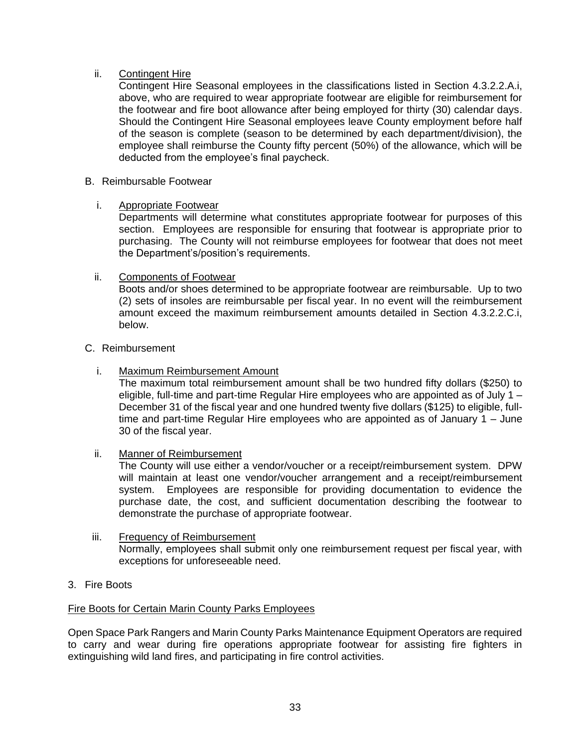### ii. Contingent Hire

Contingent Hire Seasonal employees in the classifications listed in Section 4.3.2.2.A.i, above, who are required to wear appropriate footwear are eligible for reimbursement for the footwear and fire boot allowance after being employed for thirty (30) calendar days. Should the Contingent Hire Seasonal employees leave County employment before half of the season is complete (season to be determined by each department/division), the employee shall reimburse the County fifty percent (50%) of the allowance, which will be deducted from the employee's final paycheck.

#### B. Reimbursable Footwear

#### i. Appropriate Footwear

Departments will determine what constitutes appropriate footwear for purposes of this section. Employees are responsible for ensuring that footwear is appropriate prior to purchasing. The County will not reimburse employees for footwear that does not meet the Department's/position's requirements.

#### ii. Components of Footwear

Boots and/or shoes determined to be appropriate footwear are reimbursable. Up to two (2) sets of insoles are reimbursable per fiscal year. In no event will the reimbursement amount exceed the maximum reimbursement amounts detailed in Section 4.3.2.2.C.i, below.

#### C. Reimbursement

i. Maximum Reimbursement Amount

The maximum total reimbursement amount shall be two hundred fifty dollars (\$250) to eligible, full-time and part-time Regular Hire employees who are appointed as of July 1 – December 31 of the fiscal year and one hundred twenty five dollars (\$125) to eligible, fulltime and part-time Regular Hire employees who are appointed as of January 1 – June 30 of the fiscal year.

#### ii. Manner of Reimbursement

The County will use either a vendor/voucher or a receipt/reimbursement system. DPW will maintain at least one vendor/voucher arrangement and a receipt/reimbursement system. Employees are responsible for providing documentation to evidence the purchase date, the cost, and sufficient documentation describing the footwear to demonstrate the purchase of appropriate footwear.

#### iii. Frequency of Reimbursement Normally, employees shall submit only one reimbursement request per fiscal year, with exceptions for unforeseeable need.

3. Fire Boots

#### Fire Boots for Certain Marin County Parks Employees

Open Space Park Rangers and Marin County Parks Maintenance Equipment Operators are required to carry and wear during fire operations appropriate footwear for assisting fire fighters in extinguishing wild land fires, and participating in fire control activities.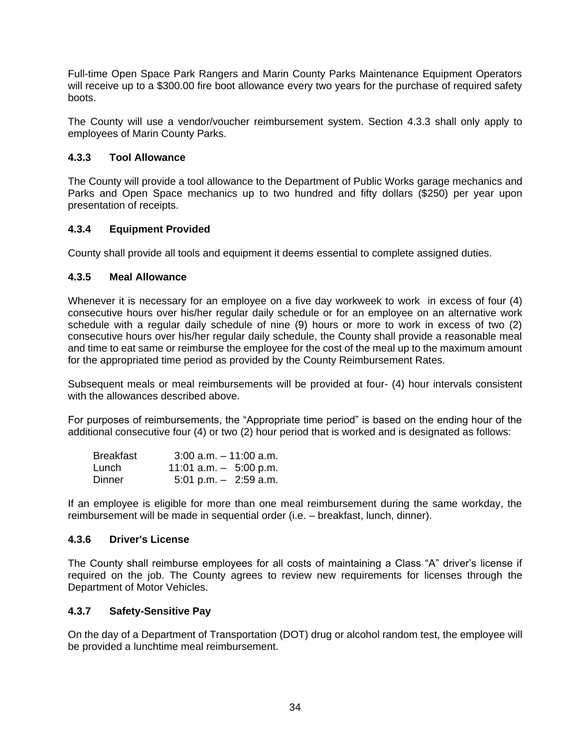Full-time Open Space Park Rangers and Marin County Parks Maintenance Equipment Operators will receive up to a \$300.00 fire boot allowance every two years for the purchase of required safety boots.

The County will use a vendor/voucher reimbursement system. Section 4.3.3 shall only apply to employees of Marin County Parks.

### <span id="page-39-0"></span>**4.3.3 Tool Allowance**

The County will provide a tool allowance to the Department of Public Works garage mechanics and Parks and Open Space mechanics up to two hundred and fifty dollars (\$250) per year upon presentation of receipts.

### <span id="page-39-1"></span>**4.3.4 Equipment Provided**

County shall provide all tools and equipment it deems essential to complete assigned duties.

#### <span id="page-39-2"></span>**4.3.5 Meal Allowance**

Whenever it is necessary for an employee on a five day workweek to work in excess of four (4) consecutive hours over his/her regular daily schedule or for an employee on an alternative work schedule with a regular daily schedule of nine (9) hours or more to work in excess of two (2) consecutive hours over his/her regular daily schedule, the County shall provide a reasonable meal and time to eat same or reimburse the employee for the cost of the meal up to the maximum amount for the appropriated time period as provided by the County Reimbursement Rates.

Subsequent meals or meal reimbursements will be provided at four- (4) hour intervals consistent with the allowances described above.

For purposes of reimbursements, the "Appropriate time period" is based on the ending hour of the additional consecutive four (4) or two (2) hour period that is worked and is designated as follows:

| <b>Breakfast</b> | $3:00$ a.m. $-11:00$ a.m.               |
|------------------|-----------------------------------------|
| Lunch            | 11:01 a.m. $-$ 5:00 p.m.                |
| Dinner           | $5:01 \text{ p.m.} - 2:59 \text{ a.m.}$ |

If an employee is eligible for more than one meal reimbursement during the same workday, the reimbursement will be made in sequential order (i.e. – breakfast, lunch, dinner).

#### <span id="page-39-3"></span>**4.3.6 Driver's License**

The County shall reimburse employees for all costs of maintaining a Class "A" driver's license if required on the job. The County agrees to review new requirements for licenses through the Department of Motor Vehicles.

#### <span id="page-39-4"></span>**4.3.7 Safety-Sensitive Pay**

On the day of a Department of Transportation (DOT) drug or alcohol random test, the employee will be provided a lunchtime meal reimbursement.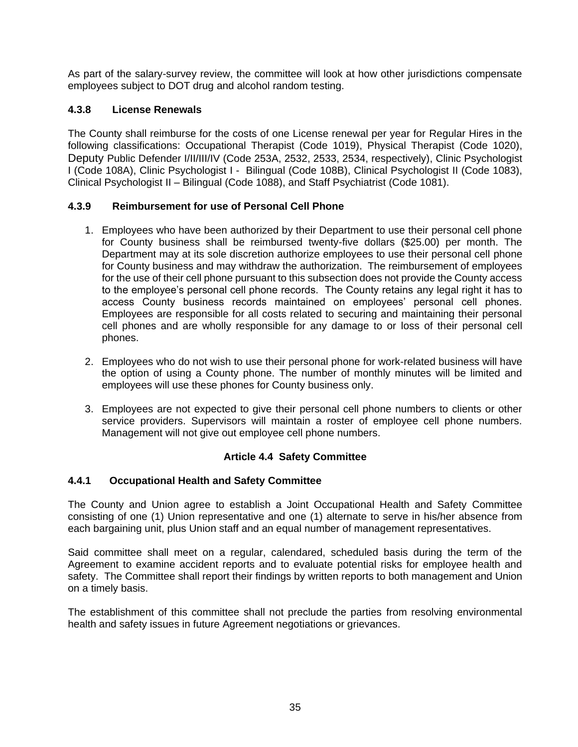As part of the salary-survey review, the committee will look at how other jurisdictions compensate employees subject to DOT drug and alcohol random testing.

## <span id="page-40-0"></span>**4.3.8 License Renewals**

The County shall reimburse for the costs of one License renewal per year for Regular Hires in the following classifications: Occupational Therapist (Code 1019), Physical Therapist (Code 1020), Deputy Public Defender I/II/III/IV (Code 253A, 2532, 2533, 2534, respectively), Clinic Psychologist I (Code 108A), Clinic Psychologist I - Bilingual (Code 108B), Clinical Psychologist II (Code 1083), Clinical Psychologist II – Bilingual (Code 1088), and Staff Psychiatrist (Code 1081).

## <span id="page-40-1"></span>**4.3.9 Reimbursement for use of Personal Cell Phone**

- 1. Employees who have been authorized by their Department to use their personal cell phone for County business shall be reimbursed twenty-five dollars (\$25.00) per month. The Department may at its sole discretion authorize employees to use their personal cell phone for County business and may withdraw the authorization. The reimbursement of employees for the use of their cell phone pursuant to this subsection does not provide the County access to the employee's personal cell phone records. The County retains any legal right it has to access County business records maintained on employees' personal cell phones. Employees are responsible for all costs related to securing and maintaining their personal cell phones and are wholly responsible for any damage to or loss of their personal cell phones.
- 2. Employees who do not wish to use their personal phone for work-related business will have the option of using a County phone. The number of monthly minutes will be limited and employees will use these phones for County business only.
- 3. Employees are not expected to give their personal cell phone numbers to clients or other service providers. Supervisors will maintain a roster of employee cell phone numbers. Management will not give out employee cell phone numbers.

## **Article 4.4 Safety Committee**

## <span id="page-40-3"></span><span id="page-40-2"></span>**4.4.1 Occupational Health and Safety Committee**

The County and Union agree to establish a Joint Occupational Health and Safety Committee consisting of one (1) Union representative and one (1) alternate to serve in his/her absence from each bargaining unit, plus Union staff and an equal number of management representatives.

Said committee shall meet on a regular, calendared, scheduled basis during the term of the Agreement to examine accident reports and to evaluate potential risks for employee health and safety. The Committee shall report their findings by written reports to both management and Union on a timely basis.

The establishment of this committee shall not preclude the parties from resolving environmental health and safety issues in future Agreement negotiations or grievances.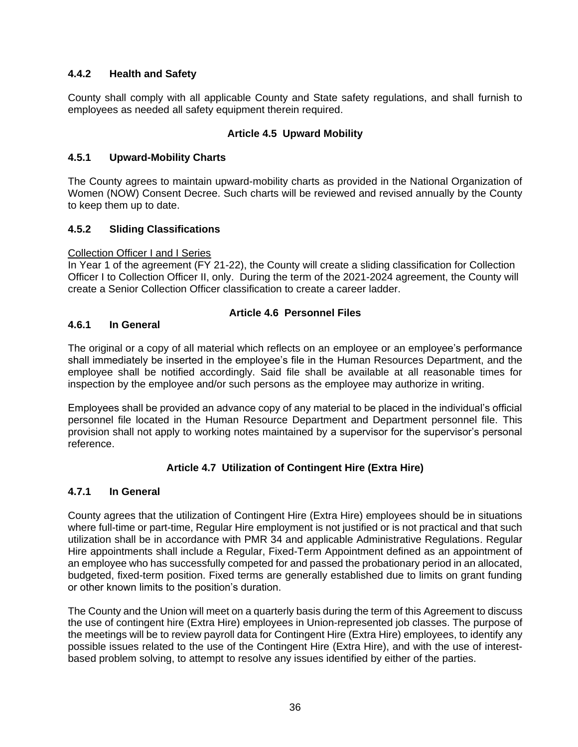## <span id="page-41-0"></span>**4.4.2 Health and Safety**

County shall comply with all applicable County and State safety regulations, and shall furnish to employees as needed all safety equipment therein required.

## **Article 4.5 Upward Mobility**

### <span id="page-41-2"></span><span id="page-41-1"></span>**4.5.1 Upward-Mobility Charts**

The County agrees to maintain upward-mobility charts as provided in the National Organization of Women (NOW) Consent Decree. Such charts will be reviewed and revised annually by the County to keep them up to date.

### <span id="page-41-3"></span>**4.5.2 Sliding Classifications**

#### Collection Officer I and I Series

In Year 1 of the agreement (FY 21-22), the County will create a sliding classification for Collection Officer I to Collection Officer II, only. During the term of the 2021-2024 agreement, the County will create a Senior Collection Officer classification to create a career ladder.

### **Article 4.6 Personnel Files**

### <span id="page-41-5"></span><span id="page-41-4"></span>**4.6.1 In General**

The original or a copy of all material which reflects on an employee or an employee's performance shall immediately be inserted in the employee's file in the Human Resources Department, and the employee shall be notified accordingly. Said file shall be available at all reasonable times for inspection by the employee and/or such persons as the employee may authorize in writing.

Employees shall be provided an advance copy of any material to be placed in the individual's official personnel file located in the Human Resource Department and Department personnel file. This provision shall not apply to working notes maintained by a supervisor for the supervisor's personal reference.

## **Article 4.7 Utilization of Contingent Hire (Extra Hire)**

#### <span id="page-41-7"></span><span id="page-41-6"></span>**4.7.1 In General**

County agrees that the utilization of Contingent Hire (Extra Hire) employees should be in situations where full-time or part-time, Regular Hire employment is not justified or is not practical and that such utilization shall be in accordance with PMR 34 and applicable Administrative Regulations. Regular Hire appointments shall include a Regular, Fixed-Term Appointment defined as an appointment of an employee who has successfully competed for and passed the probationary period in an allocated, budgeted, fixed-term position. Fixed terms are generally established due to limits on grant funding or other known limits to the position's duration.

The County and the Union will meet on a quarterly basis during the term of this Agreement to discuss the use of contingent hire (Extra Hire) employees in Union-represented job classes. The purpose of the meetings will be to review payroll data for Contingent Hire (Extra Hire) employees, to identify any possible issues related to the use of the Contingent Hire (Extra Hire), and with the use of interestbased problem solving, to attempt to resolve any issues identified by either of the parties.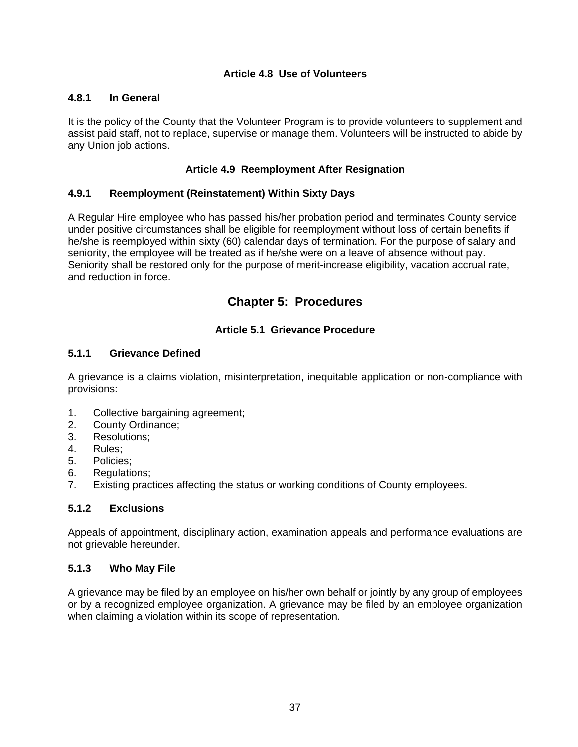#### **Article 4.8 Use of Volunteers**

#### <span id="page-42-1"></span><span id="page-42-0"></span>**4.8.1 In General**

It is the policy of the County that the Volunteer Program is to provide volunteers to supplement and assist paid staff, not to replace, supervise or manage them. Volunteers will be instructed to abide by any Union job actions.

### **Article 4.9 Reemployment After Resignation**

#### <span id="page-42-3"></span><span id="page-42-2"></span>**4.9.1 Reemployment (Reinstatement) Within Sixty Days**

A Regular Hire employee who has passed his/her probation period and terminates County service under positive circumstances shall be eligible for reemployment without loss of certain benefits if he/she is reemployed within sixty (60) calendar days of termination. For the purpose of salary and seniority, the employee will be treated as if he/she were on a leave of absence without pay. Seniority shall be restored only for the purpose of merit-increase eligibility, vacation accrual rate, and reduction in force.

## **Chapter 5: Procedures**

## **Article 5.1 Grievance Procedure**

### <span id="page-42-6"></span><span id="page-42-5"></span><span id="page-42-4"></span>**5.1.1 Grievance Defined**

A grievance is a claims violation, misinterpretation, inequitable application or non-compliance with provisions:

- 1. Collective bargaining agreement;
- 2. County Ordinance;
- 3. Resolutions;
- 4. Rules;
- 5. Policies;
- 6. Regulations;
- 7. Existing practices affecting the status or working conditions of County employees.

## <span id="page-42-7"></span>**5.1.2 Exclusions**

Appeals of appointment, disciplinary action, examination appeals and performance evaluations are not grievable hereunder.

#### <span id="page-42-8"></span>**5.1.3 Who May File**

A grievance may be filed by an employee on his/her own behalf or jointly by any group of employees or by a recognized employee organization. A grievance may be filed by an employee organization when claiming a violation within its scope of representation.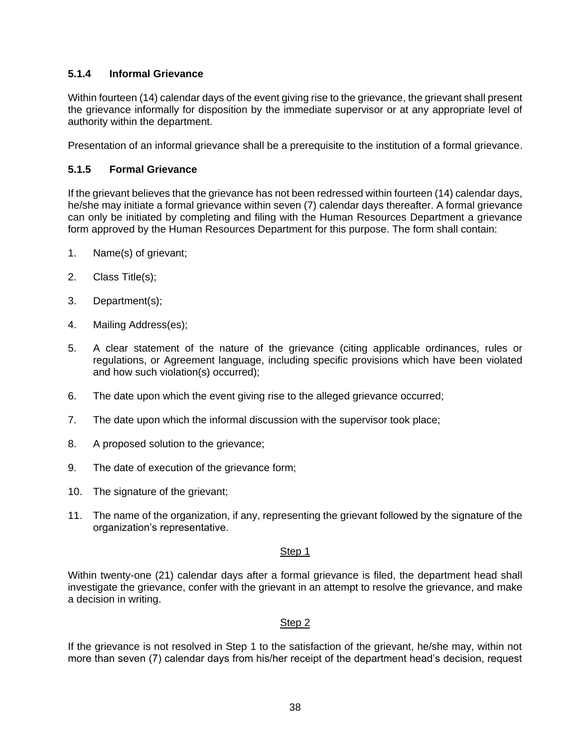## <span id="page-43-0"></span>**5.1.4 Informal Grievance**

Within fourteen (14) calendar days of the event giving rise to the grievance, the grievant shall present the grievance informally for disposition by the immediate supervisor or at any appropriate level of authority within the department.

Presentation of an informal grievance shall be a prerequisite to the institution of a formal grievance.

#### <span id="page-43-1"></span>**5.1.5 Formal Grievance**

If the grievant believes that the grievance has not been redressed within fourteen (14) calendar days, he/she may initiate a formal grievance within seven (7) calendar days thereafter. A formal grievance can only be initiated by completing and filing with the Human Resources Department a grievance form approved by the Human Resources Department for this purpose. The form shall contain:

- 1. Name(s) of grievant;
- 2. Class Title(s);
- 3. Department(s);
- 4. Mailing Address(es);
- 5. A clear statement of the nature of the grievance (citing applicable ordinances, rules or regulations, or Agreement language, including specific provisions which have been violated and how such violation(s) occurred);
- 6. The date upon which the event giving rise to the alleged grievance occurred;
- 7. The date upon which the informal discussion with the supervisor took place;
- 8. A proposed solution to the grievance;
- 9. The date of execution of the grievance form;
- 10. The signature of the grievant;
- 11. The name of the organization, if any, representing the grievant followed by the signature of the organization's representative.

#### Step 1

Within twenty-one (21) calendar days after a formal grievance is filed, the department head shall investigate the grievance, confer with the grievant in an attempt to resolve the grievance, and make a decision in writing.

#### Step 2

If the grievance is not resolved in Step 1 to the satisfaction of the grievant, he/she may, within not more than seven (7) calendar days from his/her receipt of the department head's decision, request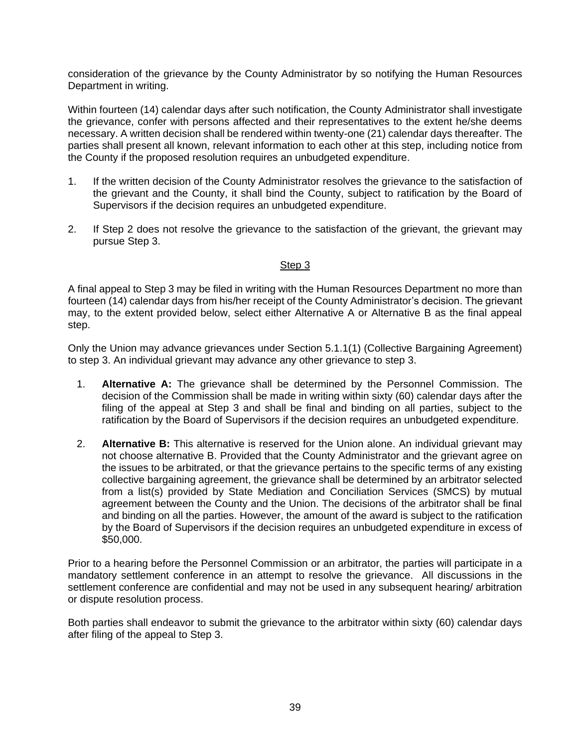consideration of the grievance by the County Administrator by so notifying the Human Resources Department in writing.

Within fourteen (14) calendar days after such notification, the County Administrator shall investigate the grievance, confer with persons affected and their representatives to the extent he/she deems necessary. A written decision shall be rendered within twenty-one (21) calendar days thereafter. The parties shall present all known, relevant information to each other at this step, including notice from the County if the proposed resolution requires an unbudgeted expenditure.

- 1. If the written decision of the County Administrator resolves the grievance to the satisfaction of the grievant and the County, it shall bind the County, subject to ratification by the Board of Supervisors if the decision requires an unbudgeted expenditure.
- 2. If Step 2 does not resolve the grievance to the satisfaction of the grievant, the grievant may pursue Step 3.

### Step 3

A final appeal to Step 3 may be filed in writing with the Human Resources Department no more than fourteen (14) calendar days from his/her receipt of the County Administrator's decision. The grievant may, to the extent provided below, select either Alternative A or Alternative B as the final appeal step.

Only the Union may advance grievances under Section 5.1.1(1) (Collective Bargaining Agreement) to step 3. An individual grievant may advance any other grievance to step 3.

- 1. **Alternative A:** The grievance shall be determined by the Personnel Commission. The decision of the Commission shall be made in writing within sixty (60) calendar days after the filing of the appeal at Step 3 and shall be final and binding on all parties, subject to the ratification by the Board of Supervisors if the decision requires an unbudgeted expenditure.
- 2. **Alternative B:** This alternative is reserved for the Union alone. An individual grievant may not choose alternative B. Provided that the County Administrator and the grievant agree on the issues to be arbitrated, or that the grievance pertains to the specific terms of any existing collective bargaining agreement, the grievance shall be determined by an arbitrator selected from a list(s) provided by State Mediation and Conciliation Services (SMCS) by mutual agreement between the County and the Union. The decisions of the arbitrator shall be final and binding on all the parties. However, the amount of the award is subject to the ratification by the Board of Supervisors if the decision requires an unbudgeted expenditure in excess of \$50,000.

Prior to a hearing before the Personnel Commission or an arbitrator, the parties will participate in a mandatory settlement conference in an attempt to resolve the grievance. All discussions in the settlement conference are confidential and may not be used in any subsequent hearing/ arbitration or dispute resolution process.

Both parties shall endeavor to submit the grievance to the arbitrator within sixty (60) calendar days after filing of the appeal to Step 3.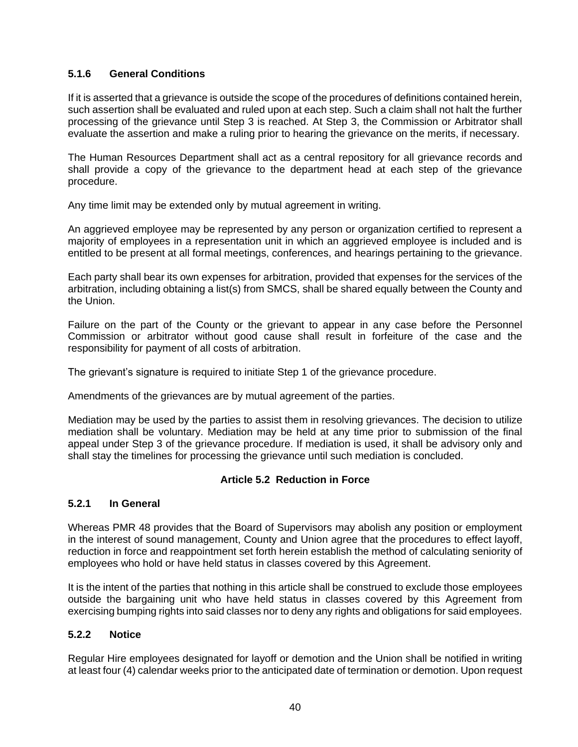## <span id="page-45-0"></span>**5.1.6 General Conditions**

If it is asserted that a grievance is outside the scope of the procedures of definitions contained herein, such assertion shall be evaluated and ruled upon at each step. Such a claim shall not halt the further processing of the grievance until Step 3 is reached. At Step 3, the Commission or Arbitrator shall evaluate the assertion and make a ruling prior to hearing the grievance on the merits, if necessary.

The Human Resources Department shall act as a central repository for all grievance records and shall provide a copy of the grievance to the department head at each step of the grievance procedure.

Any time limit may be extended only by mutual agreement in writing.

An aggrieved employee may be represented by any person or organization certified to represent a majority of employees in a representation unit in which an aggrieved employee is included and is entitled to be present at all formal meetings, conferences, and hearings pertaining to the grievance.

Each party shall bear its own expenses for arbitration, provided that expenses for the services of the arbitration, including obtaining a list(s) from SMCS, shall be shared equally between the County and the Union.

Failure on the part of the County or the grievant to appear in any case before the Personnel Commission or arbitrator without good cause shall result in forfeiture of the case and the responsibility for payment of all costs of arbitration.

The grievant's signature is required to initiate Step 1 of the grievance procedure.

Amendments of the grievances are by mutual agreement of the parties.

Mediation may be used by the parties to assist them in resolving grievances. The decision to utilize mediation shall be voluntary. Mediation may be held at any time prior to submission of the final appeal under Step 3 of the grievance procedure. If mediation is used, it shall be advisory only and shall stay the timelines for processing the grievance until such mediation is concluded.

#### **Article 5.2 Reduction in Force**

#### <span id="page-45-2"></span><span id="page-45-1"></span>**5.2.1 In General**

Whereas PMR 48 provides that the Board of Supervisors may abolish any position or employment in the interest of sound management, County and Union agree that the procedures to effect layoff, reduction in force and reappointment set forth herein establish the method of calculating seniority of employees who hold or have held status in classes covered by this Agreement.

It is the intent of the parties that nothing in this article shall be construed to exclude those employees outside the bargaining unit who have held status in classes covered by this Agreement from exercising bumping rights into said classes nor to deny any rights and obligations for said employees.

## <span id="page-45-3"></span>**5.2.2 Notice**

Regular Hire employees designated for layoff or demotion and the Union shall be notified in writing at least four (4) calendar weeks prior to the anticipated date of termination or demotion. Upon request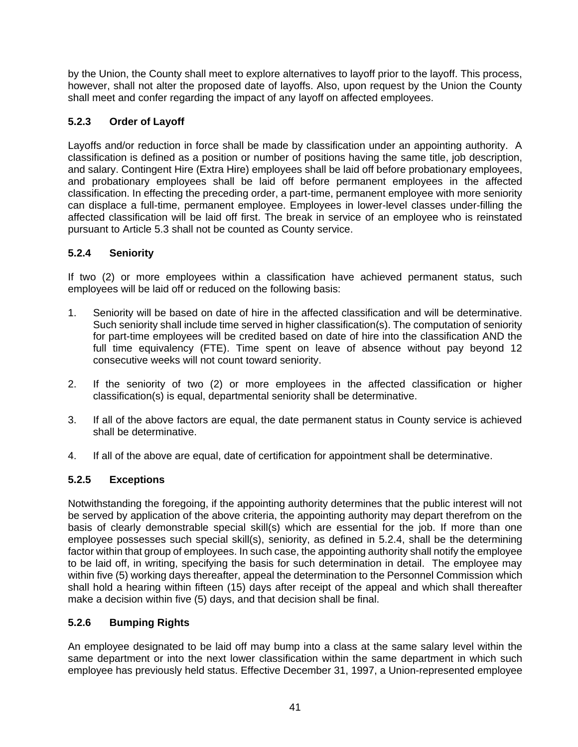by the Union, the County shall meet to explore alternatives to layoff prior to the layoff. This process, however, shall not alter the proposed date of layoffs. Also, upon request by the Union the County shall meet and confer regarding the impact of any layoff on affected employees.

## <span id="page-46-0"></span>**5.2.3 Order of Layoff**

Layoffs and/or reduction in force shall be made by classification under an appointing authority. A classification is defined as a position or number of positions having the same title, job description, and salary. Contingent Hire (Extra Hire) employees shall be laid off before probationary employees, and probationary employees shall be laid off before permanent employees in the affected classification. In effecting the preceding order, a part-time, permanent employee with more seniority can displace a full-time, permanent employee. Employees in lower-level classes under-filling the affected classification will be laid off first. The break in service of an employee who is reinstated pursuant to Article 5.3 shall not be counted as County service.

## <span id="page-46-1"></span>**5.2.4 Seniority**

If two (2) or more employees within a classification have achieved permanent status, such employees will be laid off or reduced on the following basis:

- 1. Seniority will be based on date of hire in the affected classification and will be determinative. Such seniority shall include time served in higher classification(s). The computation of seniority for part-time employees will be credited based on date of hire into the classification AND the full time equivalency (FTE). Time spent on leave of absence without pay beyond 12 consecutive weeks will not count toward seniority.
- 2. If the seniority of two (2) or more employees in the affected classification or higher classification(s) is equal, departmental seniority shall be determinative.
- 3. If all of the above factors are equal, the date permanent status in County service is achieved shall be determinative.
- 4. If all of the above are equal, date of certification for appointment shall be determinative.

## <span id="page-46-2"></span>**5.2.5 Exceptions**

Notwithstanding the foregoing, if the appointing authority determines that the public interest will not be served by application of the above criteria, the appointing authority may depart therefrom on the basis of clearly demonstrable special skill(s) which are essential for the job. If more than one employee possesses such special skill(s), seniority, as defined in 5.2.4, shall be the determining factor within that group of employees. In such case, the appointing authority shall notify the employee to be laid off, in writing, specifying the basis for such determination in detail. The employee may within five (5) working days thereafter, appeal the determination to the Personnel Commission which shall hold a hearing within fifteen (15) days after receipt of the appeal and which shall thereafter make a decision within five (5) days, and that decision shall be final.

## <span id="page-46-3"></span>**5.2.6 Bumping Rights**

An employee designated to be laid off may bump into a class at the same salary level within the same department or into the next lower classification within the same department in which such employee has previously held status. Effective December 31, 1997, a Union-represented employee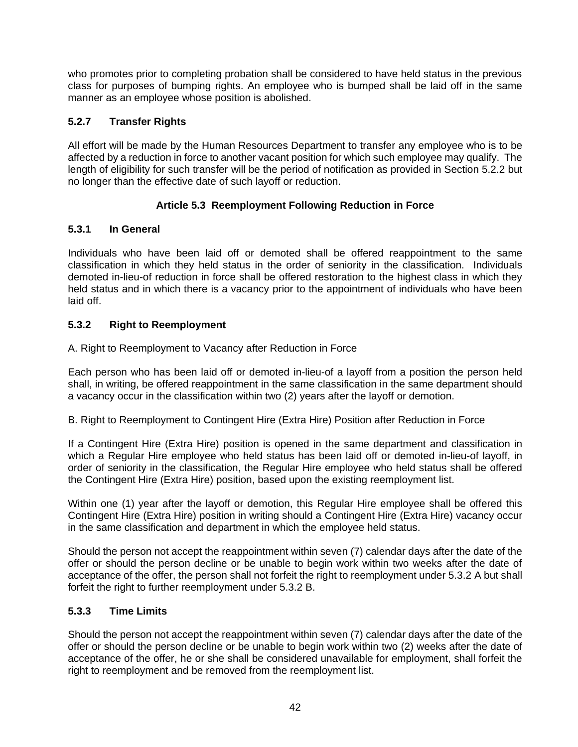who promotes prior to completing probation shall be considered to have held status in the previous class for purposes of bumping rights. An employee who is bumped shall be laid off in the same manner as an employee whose position is abolished.

## <span id="page-47-0"></span>**5.2.7 Transfer Rights**

All effort will be made by the Human Resources Department to transfer any employee who is to be affected by a reduction in force to another vacant position for which such employee may qualify. The length of eligibility for such transfer will be the period of notification as provided in Section 5.2.2 but no longer than the effective date of such layoff or reduction.

## **Article 5.3 Reemployment Following Reduction in Force**

## <span id="page-47-2"></span><span id="page-47-1"></span>**5.3.1 In General**

Individuals who have been laid off or demoted shall be offered reappointment to the same classification in which they held status in the order of seniority in the classification. Individuals demoted in-lieu-of reduction in force shall be offered restoration to the highest class in which they held status and in which there is a vacancy prior to the appointment of individuals who have been laid off.

## <span id="page-47-3"></span>**5.3.2 Right to Reemployment**

A. Right to Reemployment to Vacancy after Reduction in Force

Each person who has been laid off or demoted in-lieu-of a layoff from a position the person held shall, in writing, be offered reappointment in the same classification in the same department should a vacancy occur in the classification within two (2) years after the layoff or demotion.

B. Right to Reemployment to Contingent Hire (Extra Hire) Position after Reduction in Force

If a Contingent Hire (Extra Hire) position is opened in the same department and classification in which a Regular Hire employee who held status has been laid off or demoted in-lieu-of layoff, in order of seniority in the classification, the Regular Hire employee who held status shall be offered the Contingent Hire (Extra Hire) position, based upon the existing reemployment list.

Within one (1) year after the layoff or demotion, this Regular Hire employee shall be offered this Contingent Hire (Extra Hire) position in writing should a Contingent Hire (Extra Hire) vacancy occur in the same classification and department in which the employee held status.

Should the person not accept the reappointment within seven (7) calendar days after the date of the offer or should the person decline or be unable to begin work within two weeks after the date of acceptance of the offer, the person shall not forfeit the right to reemployment under 5.3.2 A but shall forfeit the right to further reemployment under 5.3.2 B.

## <span id="page-47-4"></span>**5.3.3 Time Limits**

Should the person not accept the reappointment within seven (7) calendar days after the date of the offer or should the person decline or be unable to begin work within two (2) weeks after the date of acceptance of the offer, he or she shall be considered unavailable for employment, shall forfeit the right to reemployment and be removed from the reemployment list.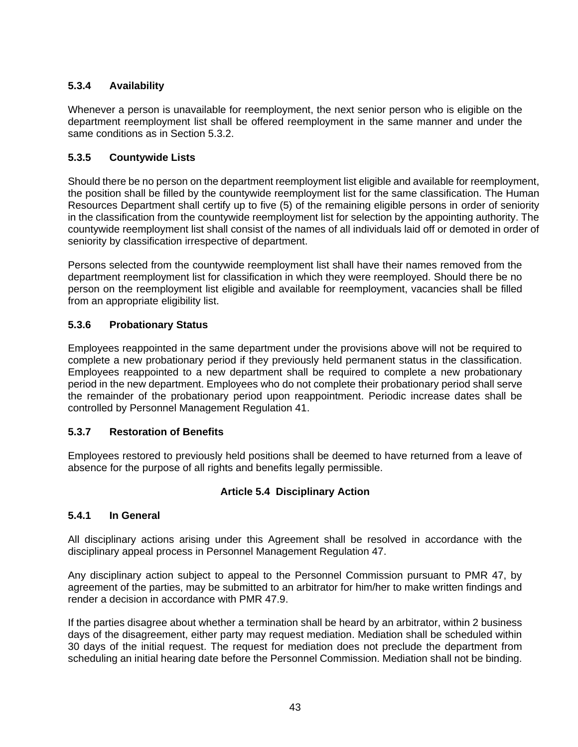## <span id="page-48-0"></span>**5.3.4 Availability**

Whenever a person is unavailable for reemployment, the next senior person who is eligible on the department reemployment list shall be offered reemployment in the same manner and under the same conditions as in Section 5.3.2.

## <span id="page-48-1"></span>**5.3.5 Countywide Lists**

Should there be no person on the department reemployment list eligible and available for reemployment, the position shall be filled by the countywide reemployment list for the same classification. The Human Resources Department shall certify up to five (5) of the remaining eligible persons in order of seniority in the classification from the countywide reemployment list for selection by the appointing authority. The countywide reemployment list shall consist of the names of all individuals laid off or demoted in order of seniority by classification irrespective of department.

Persons selected from the countywide reemployment list shall have their names removed from the department reemployment list for classification in which they were reemployed. Should there be no person on the reemployment list eligible and available for reemployment, vacancies shall be filled from an appropriate eligibility list.

## <span id="page-48-2"></span>**5.3.6 Probationary Status**

Employees reappointed in the same department under the provisions above will not be required to complete a new probationary period if they previously held permanent status in the classification. Employees reappointed to a new department shall be required to complete a new probationary period in the new department. Employees who do not complete their probationary period shall serve the remainder of the probationary period upon reappointment. Periodic increase dates shall be controlled by Personnel Management Regulation 41.

## <span id="page-48-3"></span>**5.3.7 Restoration of Benefits**

Employees restored to previously held positions shall be deemed to have returned from a leave of absence for the purpose of all rights and benefits legally permissible.

## **Article 5.4 Disciplinary Action**

## <span id="page-48-5"></span><span id="page-48-4"></span>**5.4.1 In General**

All disciplinary actions arising under this Agreement shall be resolved in accordance with the disciplinary appeal process in Personnel Management Regulation 47.

Any disciplinary action subject to appeal to the Personnel Commission pursuant to PMR 47, by agreement of the parties, may be submitted to an arbitrator for him/her to make written findings and render a decision in accordance with PMR 47.9.

If the parties disagree about whether a termination shall be heard by an arbitrator, within 2 business days of the disagreement, either party may request mediation. Mediation shall be scheduled within 30 days of the initial request. The request for mediation does not preclude the department from scheduling an initial hearing date before the Personnel Commission. Mediation shall not be binding.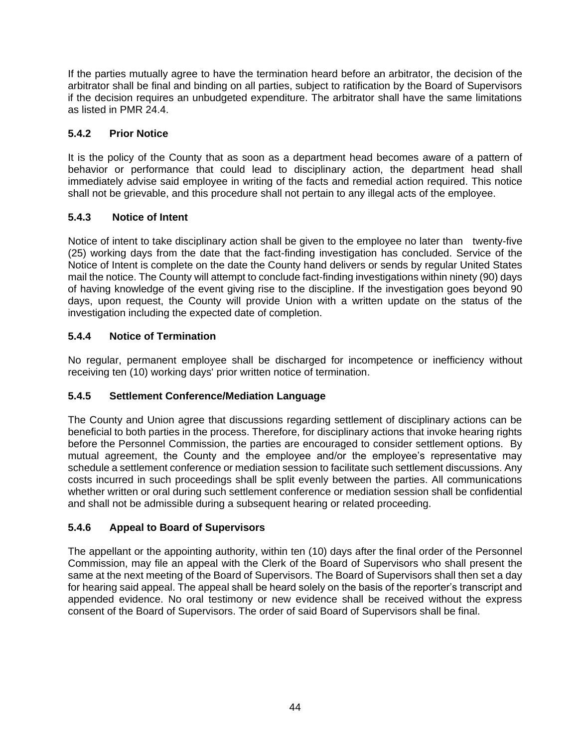If the parties mutually agree to have the termination heard before an arbitrator, the decision of the arbitrator shall be final and binding on all parties, subject to ratification by the Board of Supervisors if the decision requires an unbudgeted expenditure. The arbitrator shall have the same limitations as listed in PMR 24.4.

## <span id="page-49-0"></span>**5.4.2 Prior Notice**

It is the policy of the County that as soon as a department head becomes aware of a pattern of behavior or performance that could lead to disciplinary action, the department head shall immediately advise said employee in writing of the facts and remedial action required. This notice shall not be grievable, and this procedure shall not pertain to any illegal acts of the employee.

## <span id="page-49-1"></span>**5.4.3 Notice of Intent**

Notice of intent to take disciplinary action shall be given to the employee no later than twenty-five (25) working days from the date that the fact-finding investigation has concluded. Service of the Notice of Intent is complete on the date the County hand delivers or sends by regular United States mail the notice. The County will attempt to conclude fact-finding investigations within ninety (90) days of having knowledge of the event giving rise to the discipline. If the investigation goes beyond 90 days, upon request, the County will provide Union with a written update on the status of the investigation including the expected date of completion.

## <span id="page-49-2"></span>**5.4.4 Notice of Termination**

No regular, permanent employee shall be discharged for incompetence or inefficiency without receiving ten (10) working days' prior written notice of termination.

## <span id="page-49-3"></span>**5.4.5 Settlement Conference/Mediation Language**

The County and Union agree that discussions regarding settlement of disciplinary actions can be beneficial to both parties in the process. Therefore, for disciplinary actions that invoke hearing rights before the Personnel Commission, the parties are encouraged to consider settlement options. By mutual agreement, the County and the employee and/or the employee's representative may schedule a settlement conference or mediation session to facilitate such settlement discussions. Any costs incurred in such proceedings shall be split evenly between the parties. All communications whether written or oral during such settlement conference or mediation session shall be confidential and shall not be admissible during a subsequent hearing or related proceeding.

## <span id="page-49-4"></span>**5.4.6 Appeal to Board of Supervisors**

The appellant or the appointing authority, within ten (10) days after the final order of the Personnel Commission, may file an appeal with the Clerk of the Board of Supervisors who shall present the same at the next meeting of the Board of Supervisors. The Board of Supervisors shall then set a day for hearing said appeal. The appeal shall be heard solely on the basis of the reporter's transcript and appended evidence. No oral testimony or new evidence shall be received without the express consent of the Board of Supervisors. The order of said Board of Supervisors shall be final.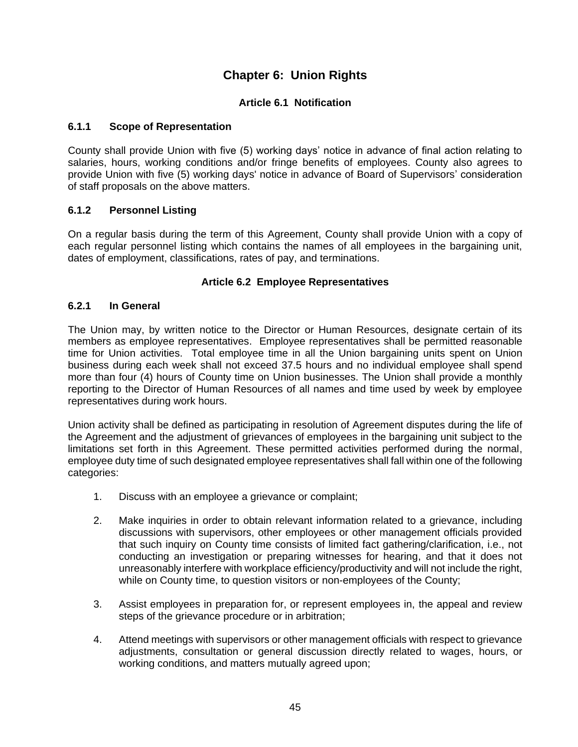## **Chapter 6: Union Rights**

## **Article 6.1 Notification**

#### <span id="page-50-2"></span><span id="page-50-1"></span><span id="page-50-0"></span>**6.1.1 Scope of Representation**

County shall provide Union with five (5) working days' notice in advance of final action relating to salaries, hours, working conditions and/or fringe benefits of employees. County also agrees to provide Union with five (5) working days' notice in advance of Board of Supervisors' consideration of staff proposals on the above matters.

### <span id="page-50-3"></span>**6.1.2 Personnel Listing**

On a regular basis during the term of this Agreement, County shall provide Union with a copy of each regular personnel listing which contains the names of all employees in the bargaining unit, dates of employment, classifications, rates of pay, and terminations.

#### **Article 6.2 Employee Representatives**

#### <span id="page-50-5"></span><span id="page-50-4"></span>**6.2.1 In General**

The Union may, by written notice to the Director or Human Resources, designate certain of its members as employee representatives. Employee representatives shall be permitted reasonable time for Union activities. Total employee time in all the Union bargaining units spent on Union business during each week shall not exceed 37.5 hours and no individual employee shall spend more than four (4) hours of County time on Union businesses. The Union shall provide a monthly reporting to the Director of Human Resources of all names and time used by week by employee representatives during work hours.

Union activity shall be defined as participating in resolution of Agreement disputes during the life of the Agreement and the adjustment of grievances of employees in the bargaining unit subject to the limitations set forth in this Agreement. These permitted activities performed during the normal, employee duty time of such designated employee representatives shall fall within one of the following categories:

- 1. Discuss with an employee a grievance or complaint;
- 2. Make inquiries in order to obtain relevant information related to a grievance, including discussions with supervisors, other employees or other management officials provided that such inquiry on County time consists of limited fact gathering/clarification, i.e., not conducting an investigation or preparing witnesses for hearing, and that it does not unreasonably interfere with workplace efficiency/productivity and will not include the right, while on County time, to question visitors or non-employees of the County;
- 3. Assist employees in preparation for, or represent employees in, the appeal and review steps of the grievance procedure or in arbitration;
- 4. Attend meetings with supervisors or other management officials with respect to grievance adjustments, consultation or general discussion directly related to wages, hours, or working conditions, and matters mutually agreed upon;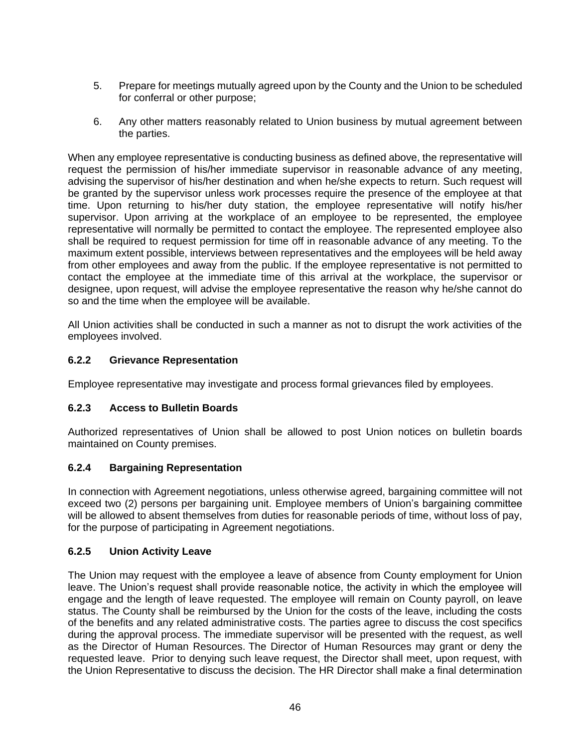- 5. Prepare for meetings mutually agreed upon by the County and the Union to be scheduled for conferral or other purpose;
- 6. Any other matters reasonably related to Union business by mutual agreement between the parties.

When any employee representative is conducting business as defined above, the representative will request the permission of his/her immediate supervisor in reasonable advance of any meeting, advising the supervisor of his/her destination and when he/she expects to return. Such request will be granted by the supervisor unless work processes require the presence of the employee at that time. Upon returning to his/her duty station, the employee representative will notify his/her supervisor. Upon arriving at the workplace of an employee to be represented, the employee representative will normally be permitted to contact the employee. The represented employee also shall be required to request permission for time off in reasonable advance of any meeting. To the maximum extent possible, interviews between representatives and the employees will be held away from other employees and away from the public. If the employee representative is not permitted to contact the employee at the immediate time of this arrival at the workplace, the supervisor or designee, upon request, will advise the employee representative the reason why he/she cannot do so and the time when the employee will be available.

All Union activities shall be conducted in such a manner as not to disrupt the work activities of the employees involved.

## <span id="page-51-0"></span>**6.2.2 Grievance Representation**

Employee representative may investigate and process formal grievances filed by employees.

#### <span id="page-51-1"></span>**6.2.3 Access to Bulletin Boards**

Authorized representatives of Union shall be allowed to post Union notices on bulletin boards maintained on County premises.

#### <span id="page-51-2"></span>**6.2.4 Bargaining Representation**

In connection with Agreement negotiations, unless otherwise agreed, bargaining committee will not exceed two (2) persons per bargaining unit. Employee members of Union's bargaining committee will be allowed to absent themselves from duties for reasonable periods of time, without loss of pay, for the purpose of participating in Agreement negotiations.

#### <span id="page-51-3"></span>**6.2.5 Union Activity Leave**

The Union may request with the employee a leave of absence from County employment for Union leave. The Union's request shall provide reasonable notice, the activity in which the employee will engage and the length of leave requested. The employee will remain on County payroll, on leave status. The County shall be reimbursed by the Union for the costs of the leave, including the costs of the benefits and any related administrative costs. The parties agree to discuss the cost specifics during the approval process. The immediate supervisor will be presented with the request, as well as the Director of Human Resources. The Director of Human Resources may grant or deny the requested leave. Prior to denying such leave request, the Director shall meet, upon request, with the Union Representative to discuss the decision. The HR Director shall make a final determination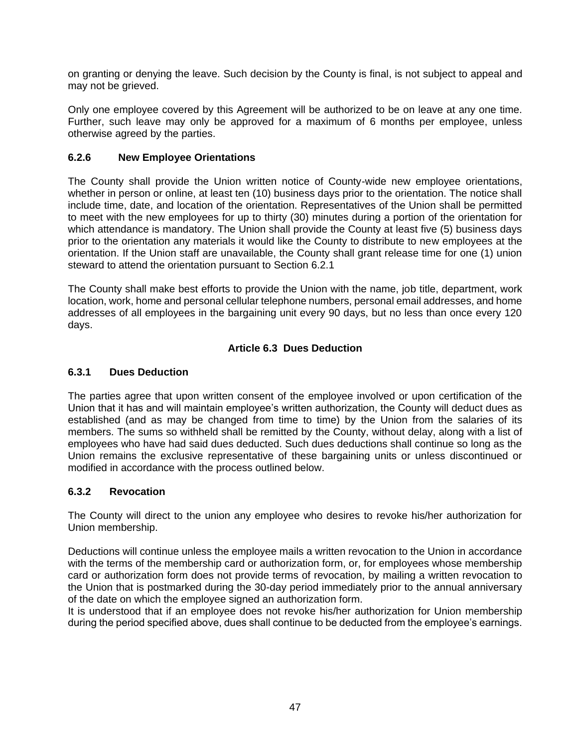on granting or denying the leave. Such decision by the County is final, is not subject to appeal and may not be grieved.

Only one employee covered by this Agreement will be authorized to be on leave at any one time. Further, such leave may only be approved for a maximum of 6 months per employee, unless otherwise agreed by the parties.

### <span id="page-52-0"></span>**6.2.6 New Employee Orientations**

The County shall provide the Union written notice of County-wide new employee orientations, whether in person or online, at least ten (10) business days prior to the orientation. The notice shall include time, date, and location of the orientation. Representatives of the Union shall be permitted to meet with the new employees for up to thirty (30) minutes during a portion of the orientation for which attendance is mandatory. The Union shall provide the County at least five (5) business days prior to the orientation any materials it would like the County to distribute to new employees at the orientation. If the Union staff are unavailable, the County shall grant release time for one (1) union steward to attend the orientation pursuant to Section 6.2.1

The County shall make best efforts to provide the Union with the name, job title, department, work location, work, home and personal cellular telephone numbers, personal email addresses, and home addresses of all employees in the bargaining unit every 90 days, but no less than once every 120 days.

### **Article 6.3 Dues Deduction**

## <span id="page-52-2"></span><span id="page-52-1"></span>**6.3.1 Dues Deduction**

The parties agree that upon written consent of the employee involved or upon certification of the Union that it has and will maintain employee's written authorization, the County will deduct dues as established (and as may be changed from time to time) by the Union from the salaries of its members. The sums so withheld shall be remitted by the County, without delay, along with a list of employees who have had said dues deducted. Such dues deductions shall continue so long as the Union remains the exclusive representative of these bargaining units or unless discontinued or modified in accordance with the process outlined below.

#### <span id="page-52-3"></span>**6.3.2 Revocation**

The County will direct to the union any employee who desires to revoke his/her authorization for Union membership.

Deductions will continue unless the employee mails a written revocation to the Union in accordance with the terms of the membership card or authorization form, or, for employees whose membership card or authorization form does not provide terms of revocation, by mailing a written revocation to the Union that is postmarked during the 30-day period immediately prior to the annual anniversary of the date on which the employee signed an authorization form.

It is understood that if an employee does not revoke his/her authorization for Union membership during the period specified above, dues shall continue to be deducted from the employee's earnings.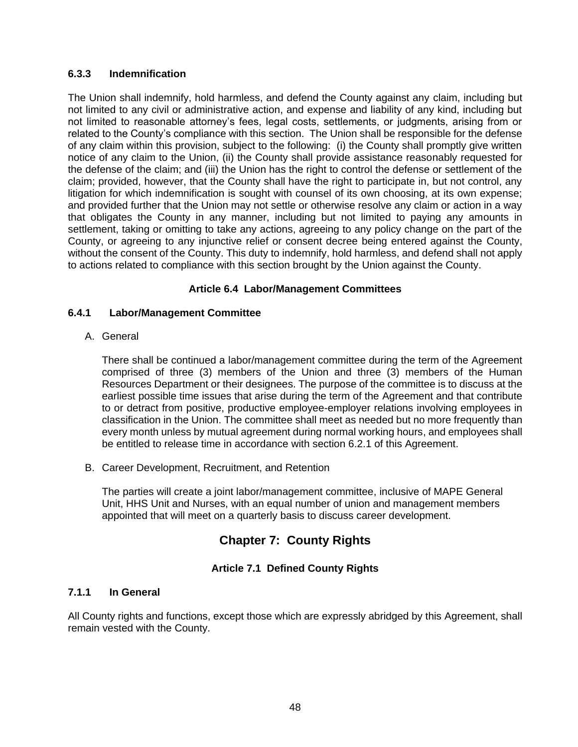#### <span id="page-53-0"></span>**6.3.3 Indemnification**

The Union shall indemnify, hold harmless, and defend the County against any claim, including but not limited to any civil or administrative action, and expense and liability of any kind, including but not limited to reasonable attorney's fees, legal costs, settlements, or judgments, arising from or related to the County's compliance with this section. The Union shall be responsible for the defense of any claim within this provision, subject to the following: (i) the County shall promptly give written notice of any claim to the Union, (ii) the County shall provide assistance reasonably requested for the defense of the claim; and (iii) the Union has the right to control the defense or settlement of the claim; provided, however, that the County shall have the right to participate in, but not control, any litigation for which indemnification is sought with counsel of its own choosing, at its own expense; and provided further that the Union may not settle or otherwise resolve any claim or action in a way that obligates the County in any manner, including but not limited to paying any amounts in settlement, taking or omitting to take any actions, agreeing to any policy change on the part of the County, or agreeing to any injunctive relief or consent decree being entered against the County, without the consent of the County. This duty to indemnify, hold harmless, and defend shall not apply to actions related to compliance with this section brought by the Union against the County.

#### **Article 6.4 Labor/Management Committees**

#### <span id="page-53-2"></span><span id="page-53-1"></span>**6.4.1 Labor/Management Committee**

A. General

There shall be continued a labor/management committee during the term of the Agreement comprised of three (3) members of the Union and three (3) members of the Human Resources Department or their designees. The purpose of the committee is to discuss at the earliest possible time issues that arise during the term of the Agreement and that contribute to or detract from positive, productive employee-employer relations involving employees in classification in the Union. The committee shall meet as needed but no more frequently than every month unless by mutual agreement during normal working hours, and employees shall be entitled to release time in accordance with section 6.2.1 of this Agreement.

B. Career Development, Recruitment, and Retention

The parties will create a joint labor/management committee, inclusive of MAPE General Unit, HHS Unit and Nurses, with an equal number of union and management members appointed that will meet on a quarterly basis to discuss career development.

## **Chapter 7: County Rights**

#### **Article 7.1 Defined County Rights**

## <span id="page-53-5"></span><span id="page-53-4"></span><span id="page-53-3"></span>**7.1.1 In General**

All County rights and functions, except those which are expressly abridged by this Agreement, shall remain vested with the County.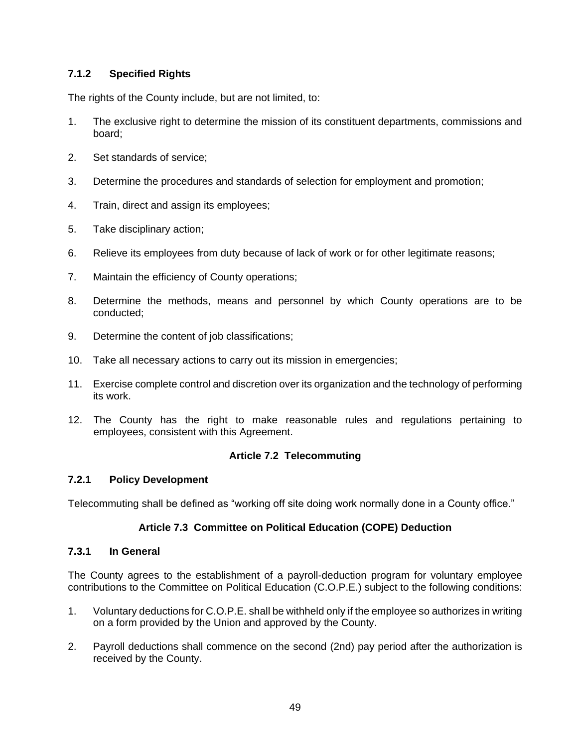## <span id="page-54-0"></span>**7.1.2 Specified Rights**

The rights of the County include, but are not limited, to:

- 1. The exclusive right to determine the mission of its constituent departments, commissions and board;
- 2. Set standards of service;
- 3. Determine the procedures and standards of selection for employment and promotion;
- 4. Train, direct and assign its employees;
- 5. Take disciplinary action;
- 6. Relieve its employees from duty because of lack of work or for other legitimate reasons;
- 7. Maintain the efficiency of County operations;
- 8. Determine the methods, means and personnel by which County operations are to be conducted;
- 9. Determine the content of job classifications;
- 10. Take all necessary actions to carry out its mission in emergencies;
- 11. Exercise complete control and discretion over its organization and the technology of performing its work.
- 12. The County has the right to make reasonable rules and regulations pertaining to employees, consistent with this Agreement.

#### **Article 7.2 Telecommuting**

#### <span id="page-54-2"></span><span id="page-54-1"></span>**7.2.1 Policy Development**

<span id="page-54-3"></span>Telecommuting shall be defined as "working off site doing work normally done in a County office."

#### **Article 7.3 Committee on Political Education (COPE) Deduction**

#### <span id="page-54-4"></span>**7.3.1 In General**

The County agrees to the establishment of a payroll-deduction program for voluntary employee contributions to the Committee on Political Education (C.O.P.E.) subject to the following conditions:

- 1. Voluntary deductions for C.O.P.E. shall be withheld only if the employee so authorizes in writing on a form provided by the Union and approved by the County.
- 2. Payroll deductions shall commence on the second (2nd) pay period after the authorization is received by the County.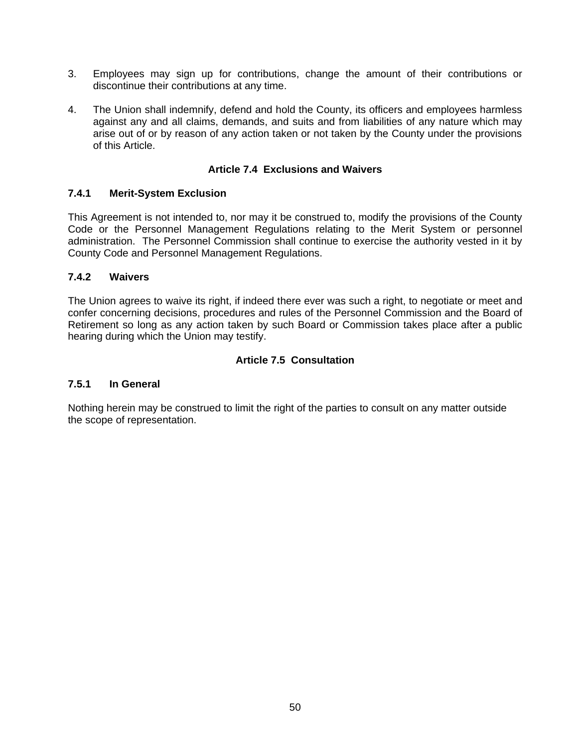- 3. Employees may sign up for contributions, change the amount of their contributions or discontinue their contributions at any time.
- 4. The Union shall indemnify, defend and hold the County, its officers and employees harmless against any and all claims, demands, and suits and from liabilities of any nature which may arise out of or by reason of any action taken or not taken by the County under the provisions of this Article.

#### **Article 7.4 Exclusions and Waivers**

#### <span id="page-55-1"></span><span id="page-55-0"></span>**7.4.1 Merit-System Exclusion**

This Agreement is not intended to, nor may it be construed to, modify the provisions of the County Code or the Personnel Management Regulations relating to the Merit System or personnel administration. The Personnel Commission shall continue to exercise the authority vested in it by County Code and Personnel Management Regulations.

#### <span id="page-55-2"></span>**7.4.2 Waivers**

The Union agrees to waive its right, if indeed there ever was such a right, to negotiate or meet and confer concerning decisions, procedures and rules of the Personnel Commission and the Board of Retirement so long as any action taken by such Board or Commission takes place after a public hearing during which the Union may testify.

#### **Article 7.5 Consultation**

#### <span id="page-55-4"></span><span id="page-55-3"></span>**7.5.1 In General**

Nothing herein may be construed to limit the right of the parties to consult on any matter outside the scope of representation.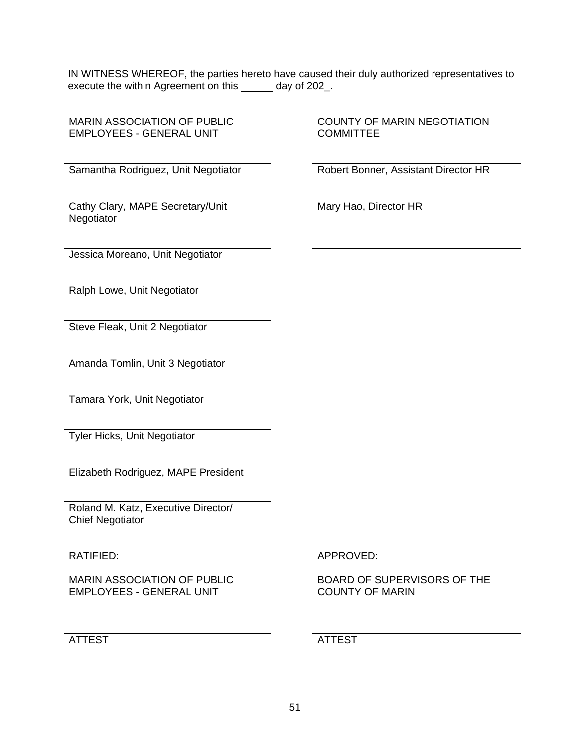IN WITNESS WHEREOF, the parties hereto have caused their duly authorized representatives to execute the within Agreement on this \_\_\_\_\_ day of 202\_.

MARIN ASSOCIATION OF PUBLIC EMPLOYEES - GENERAL UNIT

COUNTY OF MARIN NEGOTIATION **COMMITTEE** 

Samantha Rodriguez, Unit Negotiator Robert Bonner, Assistant Director HR

Cathy Clary, MAPE Secretary/Unit **Negotiator** 

Mary Hao, Director HR

Jessica Moreano, Unit Negotiator

Ralph Lowe, Unit Negotiator

Steve Fleak, Unit 2 Negotiator

Amanda Tomlin, Unit 3 Negotiator

Tamara York, Unit Negotiator

Tyler Hicks, Unit Negotiator

Elizabeth Rodriguez, MAPE President

Roland M. Katz, Executive Director/ Chief Negotiator

MARIN ASSOCIATION OF PUBLIC EMPLOYEES - GENERAL UNIT

ATTEST ATTEST

RATIFIED: APPROVED:

BOARD OF SUPERVISORS OF THE COUNTY OF MARIN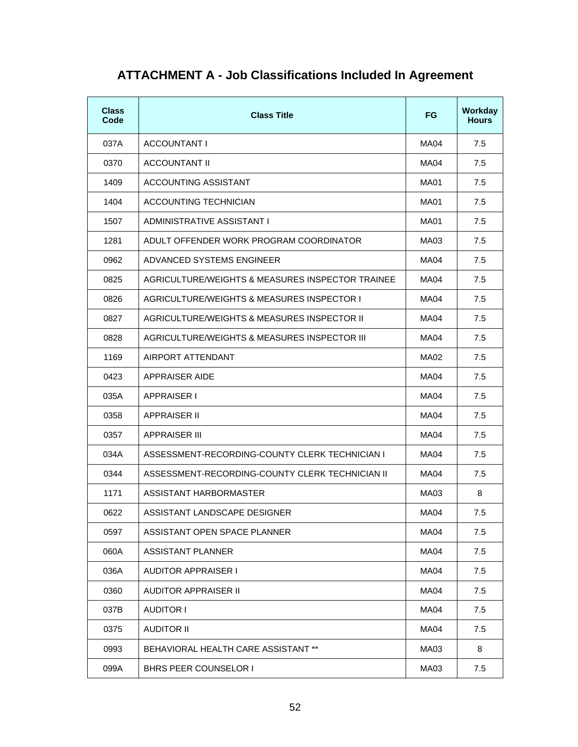<span id="page-57-0"></span>

| <b>Class</b><br>Code | <b>Class Title</b>                               | FG.         | Workday<br><b>Hours</b> |
|----------------------|--------------------------------------------------|-------------|-------------------------|
| 037A                 | ACCOUNTANT I                                     | MA04        | 7.5                     |
| 0370                 | ACCOUNTANT II                                    | MA04        | 7.5                     |
| 1409                 | ACCOUNTING ASSISTANT                             | MA01        | 7.5                     |
| 1404                 | ACCOUNTING TECHNICIAN                            | MA01        | 7.5                     |
| 1507                 | ADMINISTRATIVE ASSISTANT I                       | MA01        | 7.5                     |
| 1281                 | ADULT OFFENDER WORK PROGRAM COORDINATOR          | MA03        | 7.5                     |
| 0962                 | ADVANCED SYSTEMS ENGINEER                        | MA04        | 7.5                     |
| 0825                 | AGRICULTURE/WEIGHTS & MEASURES INSPECTOR TRAINEE | MA04        | 7.5                     |
| 0826                 | AGRICULTURE/WEIGHTS & MEASURES INSPECTOR I       | MA04        | 7.5                     |
| 0827                 | AGRICULTURE/WEIGHTS & MEASURES INSPECTOR II      | MA04        | 7.5                     |
| 0828                 | AGRICULTURE/WEIGHTS & MEASURES INSPECTOR III     | <b>MA04</b> | 7.5                     |
| 1169                 | AIRPORT ATTENDANT                                | MA02        | 7.5                     |
| 0423                 | APPRAISER AIDE                                   | MA04        | 7.5                     |
| 035A                 | <b>APPRAISER I</b>                               | MA04        | 7.5                     |
| 0358                 | APPRAISER II                                     | MA04        | 7.5                     |
| 0357                 | APPRAISER III                                    | MA04        | 7.5                     |
| 034A                 | ASSESSMENT-RECORDING-COUNTY CLERK TECHNICIAN I   | MA04        | 7.5                     |
| 0344                 | ASSESSMENT-RECORDING-COUNTY CLERK TECHNICIAN II  | MA04        | 7.5                     |
| 1171                 | ASSISTANT HARBORMASTER                           | MA03        | 8                       |
| 0622                 | ASSISTANT LANDSCAPE DESIGNER                     | MA04        | 7.5                     |
| 0597                 | ASSISTANT OPEN SPACE PLANNER                     | MA04        | 7.5                     |
| 060A                 | <b>ASSISTANT PLANNER</b>                         | MA04        | 7.5                     |
| 036A                 | <b>AUDITOR APPRAISER I</b>                       | MA04        | 7.5                     |
| 0360                 | AUDITOR APPRAISER II                             | MA04        | 7.5                     |
| 037B                 | <b>AUDITOR I</b>                                 | MA04        | 7.5                     |
| 0375                 | <b>AUDITOR II</b>                                | MA04        | 7.5                     |
| 0993                 | BEHAVIORAL HEALTH CARE ASSISTANT **              | MA03        | 8                       |
| 099A                 | BHRS PEER COUNSELOR I                            | MA03        | 7.5                     |

# **ATTACHMENT A - Job Classifications Included In Agreement**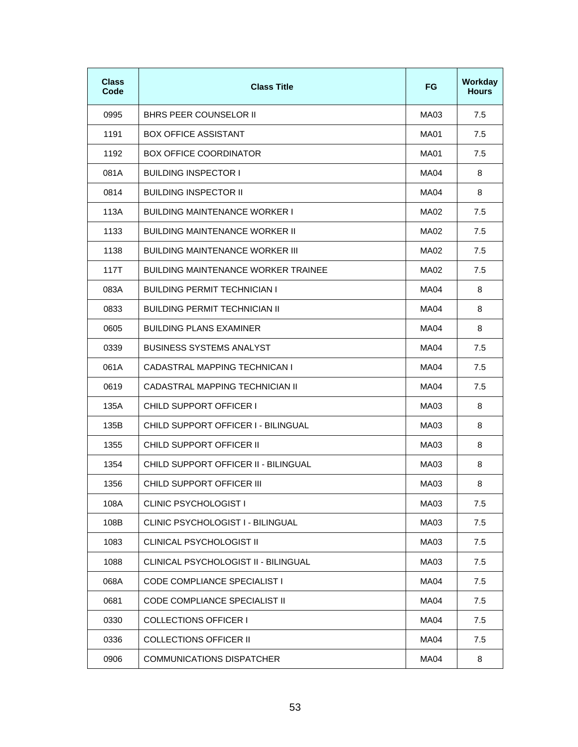| <b>Class</b><br>Code | <b>Class Title</b>                         | FG.         | Workday<br><b>Hours</b> |
|----------------------|--------------------------------------------|-------------|-------------------------|
| 0995                 | BHRS PEER COUNSELOR II                     | MA03        | 7.5                     |
| 1191                 | <b>BOX OFFICE ASSISTANT</b>                | MA01        | 7.5                     |
| 1192                 | <b>BOX OFFICE COORDINATOR</b>              | MA01        | 7.5                     |
| 081A                 | <b>BUILDING INSPECTOR I</b>                | MA04        | 8                       |
| 0814                 | <b>BUILDING INSPECTOR II</b>               | MA04        | 8                       |
| 113A                 | <b>BUILDING MAINTENANCE WORKER I</b>       | MA02        | 7.5                     |
| 1133                 | <b>BUILDING MAINTENANCE WORKER II</b>      | MA02        | 7.5                     |
| 1138                 | <b>BUILDING MAINTENANCE WORKER III</b>     | MA02        | 7.5                     |
| 117T                 | <b>BUILDING MAINTENANCE WORKER TRAINEE</b> | MA02        | 7.5                     |
| 083A                 | <b>BUILDING PERMIT TECHNICIAN I</b>        | MA04        | 8                       |
| 0833                 | <b>BUILDING PERMIT TECHNICIAN II</b>       | <b>MA04</b> | 8                       |
| 0605                 | <b>BUILDING PLANS EXAMINER</b>             | MA04        | 8                       |
| 0339                 | BUSINESS SYSTEMS ANALYST                   | MA04        | 7.5                     |
| 061A                 | CADASTRAL MAPPING TECHNICAN I              | MA04        | 7.5                     |
| 0619                 | CADASTRAL MAPPING TECHNICIAN II            | MA04        | 7.5                     |
| 135A                 | CHILD SUPPORT OFFICER I                    | MA03        | 8                       |
| 135B                 | CHILD SUPPORT OFFICER I - BILINGUAL        | MA03        | 8                       |
| 1355                 | CHILD SUPPORT OFFICER II                   | MA03        | 8                       |
| 1354                 | CHILD SUPPORT OFFICER II - BILINGUAL       | MA03        | 8                       |
| 1356                 | CHILD SUPPORT OFFICER III                  | MA03        | 8                       |
| 108A                 | <b>CLINIC PSYCHOLOGIST I</b>               | MA03        | 7.5                     |
| 108B                 | CLINIC PSYCHOLOGIST I - BILINGUAL          | MA03        | 7.5                     |
| 1083                 | CLINICAL PSYCHOLOGIST II                   | MA03        | 7.5                     |
| 1088                 | CLINICAL PSYCHOLOGIST II - BILINGUAL       | MA03        | 7.5                     |
| 068A                 | <b>CODE COMPLIANCE SPECIALIST I</b>        | MA04        | 7.5                     |
| 0681                 | CODE COMPLIANCE SPECIALIST II              | <b>MA04</b> | 7.5                     |
| 0330                 | <b>COLLECTIONS OFFICER I</b>               | MA04        | 7.5                     |
| 0336                 | <b>COLLECTIONS OFFICER II</b>              | MA04        | 7.5                     |
| 0906                 | <b>COMMUNICATIONS DISPATCHER</b>           | MA04        | 8                       |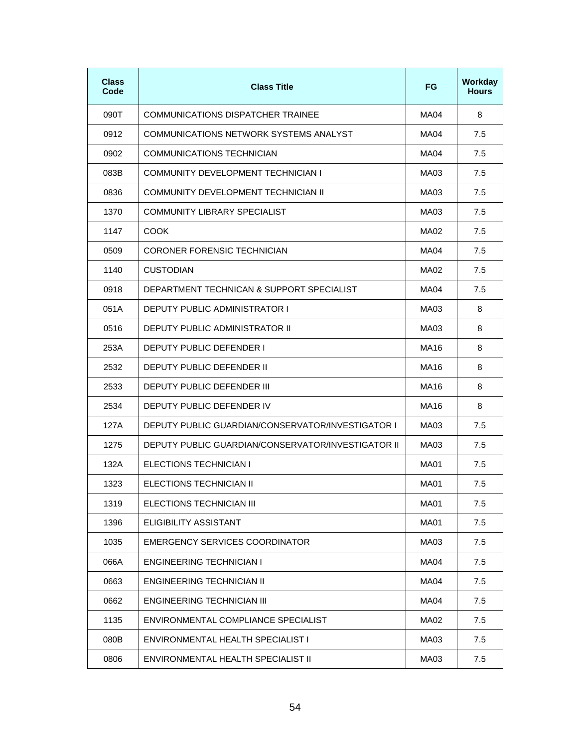| <b>Class</b><br>Code | <b>Class Title</b>                                 | FG.         | Workday<br><b>Hours</b> |
|----------------------|----------------------------------------------------|-------------|-------------------------|
| 090T                 | COMMUNICATIONS DISPATCHER TRAINEE                  | MA04        | 8                       |
| 0912                 | COMMUNICATIONS NETWORK SYSTEMS ANALYST             | MA04        | 7.5                     |
| 0902                 | COMMUNICATIONS TECHNICIAN                          | MA04        | 7.5                     |
| 083B                 | COMMUNITY DEVELOPMENT TECHNICIAN I                 | MA03        | 7.5                     |
| 0836                 | COMMUNITY DEVELOPMENT TECHNICIAN II                | MA03        | 7.5                     |
| 1370                 | COMMUNITY LIBRARY SPECIALIST                       | MA03        | 7.5                     |
| 1147                 | <b>COOK</b>                                        | MA02        | 7.5                     |
| 0509                 | CORONER FORENSIC TECHNICIAN                        | MA04        | 7.5                     |
| 1140                 | <b>CUSTODIAN</b>                                   | MA02        | 7.5                     |
| 0918                 | DEPARTMENT TECHNICAN & SUPPORT SPECIALIST          | MA04        | 7.5                     |
| 051A                 | <b>DEPUTY PUBLIC ADMINISTRATOR I</b>               | MA03        | 8                       |
| 0516                 | DEPUTY PUBLIC ADMINISTRATOR II                     | MA03        | 8                       |
| 253A                 | DEPUTY PUBLIC DEFENDER I                           | MA16        | 8                       |
| 2532                 | DEPUTY PUBLIC DEFENDER II                          | MA16        | 8                       |
| 2533                 | DEPUTY PUBLIC DEFENDER III                         | MA16        | 8                       |
| 2534                 | DEPUTY PUBLIC DEFENDER IV                          | MA16        | 8                       |
| 127A                 | DEPUTY PUBLIC GUARDIAN/CONSERVATOR/INVESTIGATOR I  | MA03        | 7.5                     |
| 1275                 | DEPUTY PUBLIC GUARDIAN/CONSERVATOR/INVESTIGATOR II | MA03        | 7.5                     |
| 132A                 | ELECTIONS TECHNICIAN I                             | MA01        | 7.5                     |
| 1323                 | ELECTIONS TECHNICIAN II                            | MA01        | 7.5                     |
| 1319                 | ELECTIONS TECHNICIAN III                           | <b>MA01</b> | 7.5                     |
| 1396                 | <b>ELIGIBILITY ASSISTANT</b>                       | <b>MA01</b> | 7.5                     |
| 1035                 | EMERGENCY SERVICES COORDINATOR                     | MA03        | 7.5                     |
| 066A                 | <b>ENGINEERING TECHNICIAN I</b>                    | MA04        | 7.5                     |
| 0663                 | <b>ENGINEERING TECHNICIAN II</b>                   | MA04        | 7.5                     |
| 0662                 | ENGINEERING TECHNICIAN III                         | MA04        | 7.5                     |
| 1135                 | ENVIRONMENTAL COMPLIANCE SPECIALIST                | MA02        | 7.5                     |
| 080B                 | ENVIRONMENTAL HEALTH SPECIALIST I                  | MA03        | 7.5                     |
| 0806                 | ENVIRONMENTAL HEALTH SPECIALIST II                 | MA03        | 7.5                     |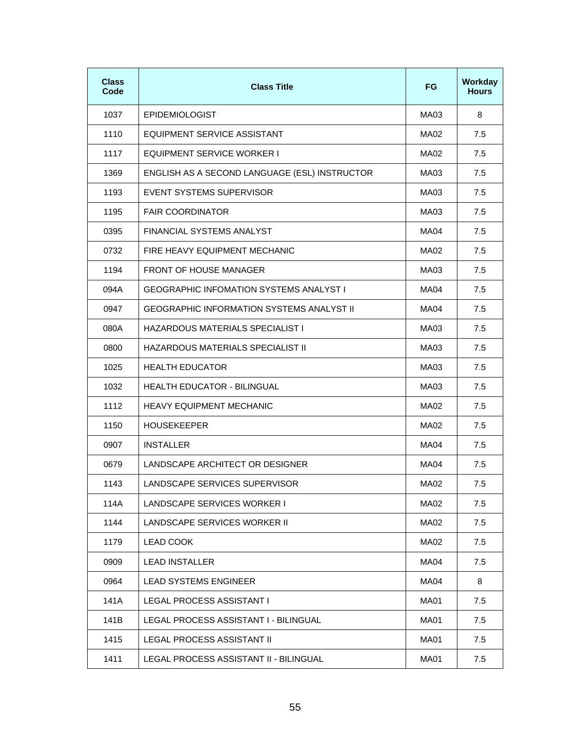| <b>Class</b><br>Code | <b>Class Title</b>                               | <b>FG</b>   | Workday<br><b>Hours</b> |
|----------------------|--------------------------------------------------|-------------|-------------------------|
| 1037                 | <b>EPIDEMIOLOGIST</b>                            | MA03        | 8                       |
| 1110                 | EQUIPMENT SERVICE ASSISTANT                      | MA02        | 7.5                     |
| 1117                 | EQUIPMENT SERVICE WORKER I                       | MA02        | 7.5                     |
| 1369                 | ENGLISH AS A SECOND LANGUAGE (ESL) INSTRUCTOR    | MA03        | 7.5                     |
| 1193                 | EVENT SYSTEMS SUPERVISOR                         | MA03        | 7.5                     |
| 1195                 | <b>FAIR COORDINATOR</b>                          | MA03        | 7.5                     |
| 0395                 | FINANCIAL SYSTEMS ANALYST                        | MA04        | 7.5                     |
| 0732                 | FIRE HEAVY EQUIPMENT MECHANIC                    | MA02        | 7.5                     |
| 1194                 | <b>FRONT OF HOUSE MANAGER</b>                    | MA03        | 7.5                     |
| 094A                 | <b>GEOGRAPHIC INFOMATION SYSTEMS ANALYST I</b>   | MA04        | 7.5                     |
| 0947                 | <b>GEOGRAPHIC INFORMATION SYSTEMS ANALYST II</b> | MA04        | 7.5                     |
| 080A                 | HAZARDOUS MATERIALS SPECIALIST I                 | MA03        | 7.5                     |
| 0800                 | HAZARDOUS MATERIALS SPECIALIST II                | MA03        | 7.5                     |
| 1025                 | <b>HEALTH EDUCATOR</b>                           | MA03        | 7.5                     |
| 1032                 | <b>HEALTH EDUCATOR - BILINGUAL</b>               | MA03        | 7.5                     |
| 1112                 | <b>HEAVY EQUIPMENT MECHANIC</b>                  | MA02        | 7.5                     |
| 1150                 | <b>HOUSEKEEPER</b>                               | MA02        | 7.5                     |
| 0907                 | <b>INSTALLER</b>                                 | MA04        | 7.5                     |
| 0679                 | LANDSCAPE ARCHITECT OR DESIGNER                  | MA04        | 7.5                     |
| 1143                 | LANDSCAPE SERVICES SUPERVISOR                    | MA02        | 7.5                     |
| 114A                 | LANDSCAPE SERVICES WORKER I                      | MA02        | 7.5                     |
| 1144                 | LANDSCAPE SERVICES WORKER II                     | MA02        | 7.5                     |
| 1179                 | <b>LEAD COOK</b>                                 | MA02        | 7.5                     |
| 0909                 | <b>LEAD INSTALLER</b>                            | MA04        | 7.5                     |
| 0964                 | <b>LEAD SYSTEMS ENGINEER</b>                     | MA04        | 8                       |
| 141A                 | <b>LEGAL PROCESS ASSISTANT I</b>                 | <b>MA01</b> | 7.5                     |
| 141B                 | LEGAL PROCESS ASSISTANT I - BILINGUAL            | <b>MA01</b> | 7.5                     |
| 1415                 | LEGAL PROCESS ASSISTANT II                       | <b>MA01</b> | 7.5                     |
| 1411                 | LEGAL PROCESS ASSISTANT II - BILINGUAL           | <b>MA01</b> | 7.5                     |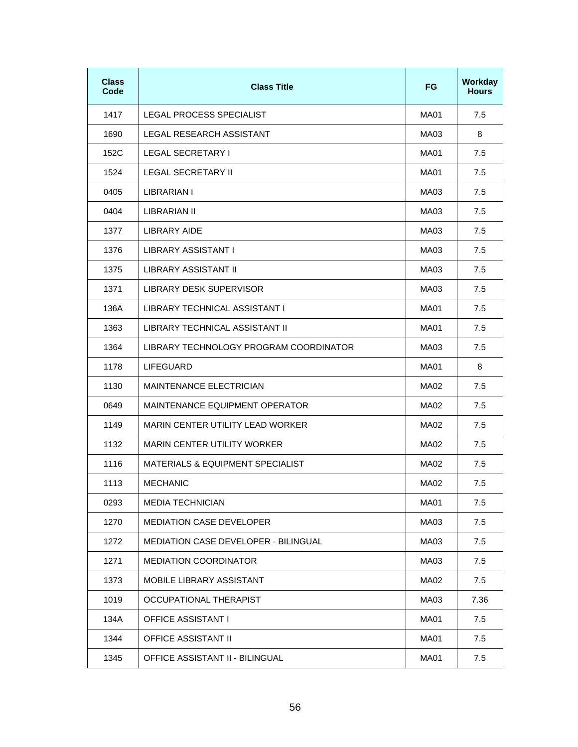| <b>Class</b><br>Code | <b>Class Title</b>                     | <b>FG</b>   | Workday<br><b>Hours</b> |
|----------------------|----------------------------------------|-------------|-------------------------|
| 1417                 | LEGAL PROCESS SPECIALIST               | MA01        | 7.5                     |
| 1690                 | LEGAL RESEARCH ASSISTANT               | MA03        | 8                       |
| 152C                 | LEGAL SECRETARY I                      | MA01        | 7.5                     |
| 1524                 | LEGAL SECRETARY II                     | MA01        | 7.5                     |
| 0405                 | LIBRARIAN I                            | MA03        | 7.5                     |
| 0404                 | LIBRARIAN II                           | MA03        | 7.5                     |
| 1377                 | <b>LIBRARY AIDE</b>                    | MA03        | 7.5                     |
| 1376                 | LIBRARY ASSISTANT I                    | MA03        | 7.5                     |
| 1375                 | <b>LIBRARY ASSISTANT II</b>            | MA03        | 7.5                     |
| 1371                 | LIBRARY DESK SUPERVISOR                | MA03        | 7.5                     |
| 136A                 | LIBRARY TECHNICAL ASSISTANT I          | MA01        | 7.5                     |
| 1363                 | LIBRARY TECHNICAL ASSISTANT II         | MA01        | 7.5                     |
| 1364                 | LIBRARY TECHNOLOGY PROGRAM COORDINATOR | MA03        | 7.5                     |
| 1178                 | <b>LIFEGUARD</b>                       | MA01        | 8                       |
| 1130                 | <b>MAINTENANCE ELECTRICIAN</b>         | MA02        | 7.5                     |
| 0649                 | MAINTENANCE EQUIPMENT OPERATOR         | MA02        | 7.5                     |
| 1149                 | MARIN CENTER UTILITY LEAD WORKER       | MA02        | 7.5                     |
| 1132                 | <b>MARIN CENTER UTILITY WORKER</b>     | MA02        | 7.5                     |
| 1116                 | MATERIALS & EQUIPMENT SPECIALIST       | MA02        | 7.5                     |
| 1113                 | <b>MECHANIC</b>                        | MA02        | 7.5                     |
| 0293                 | <b>MEDIA TECHNICIAN</b>                | MA01        | 7.5                     |
| 1270                 | <b>MEDIATION CASE DEVELOPER</b>        | MA03        | 7.5                     |
| 1272                 | MEDIATION CASE DEVELOPER - BILINGUAL   | MA03        | 7.5                     |
| 1271                 | <b>MEDIATION COORDINATOR</b>           | MA03        | 7.5                     |
| 1373                 | MOBILE LIBRARY ASSISTANT               | MA02        | 7.5                     |
| 1019                 | OCCUPATIONAL THERAPIST                 | MA03        | 7.36                    |
| 134A                 | <b>OFFICE ASSISTANT I</b>              | MA01        | 7.5                     |
| 1344                 | <b>OFFICE ASSISTANT II</b>             | <b>MA01</b> | 7.5                     |
| 1345                 | OFFICE ASSISTANT II - BILINGUAL        | MA01        | 7.5                     |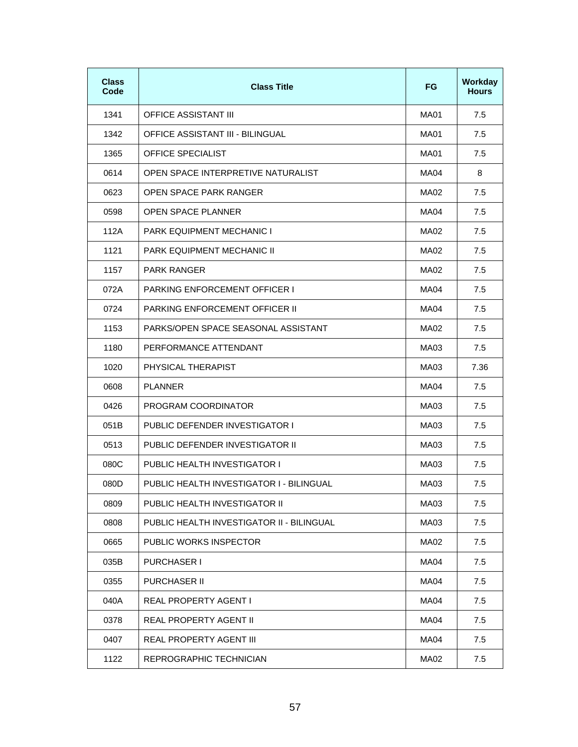| <b>Class</b><br>Code | <b>Class Title</b>                        | <b>FG</b> | Workday<br><b>Hours</b> |
|----------------------|-------------------------------------------|-----------|-------------------------|
| 1341                 | <b>OFFICE ASSISTANT III</b>               | MA01      | 7.5                     |
| 1342                 | OFFICE ASSISTANT III - BILINGUAL          | MA01      | 7.5                     |
| 1365                 | <b>OFFICE SPECIALIST</b>                  | MA01      | 7.5                     |
| 0614                 | OPEN SPACE INTERPRETIVE NATURALIST        | MA04      | 8                       |
| 0623                 | OPEN SPACE PARK RANGER                    | MA02      | 7.5                     |
| 0598                 | <b>OPEN SPACE PLANNER</b>                 | MA04      | 7.5                     |
| 112A                 | <b>PARK EQUIPMENT MECHANIC I</b>          | MA02      | 7.5                     |
| 1121                 | PARK EQUIPMENT MECHANIC II                | MA02      | 7.5                     |
| 1157                 | <b>PARK RANGER</b>                        | MA02      | 7.5                     |
| 072A                 | <b>PARKING ENFORCEMENT OFFICER I</b>      | MA04      | 7.5                     |
| 0724                 | <b>PARKING ENFORCEMENT OFFICER II</b>     | MA04      | 7.5                     |
| 1153                 | PARKS/OPEN SPACE SEASONAL ASSISTANT       | MA02      | 7.5                     |
| 1180                 | PERFORMANCE ATTENDANT                     | MA03      | 7.5                     |
| 1020                 | PHYSICAL THERAPIST                        | MA03      | 7.36                    |
| 0608                 | <b>PLANNER</b>                            | MA04      | 7.5                     |
| 0426                 | PROGRAM COORDINATOR                       | MA03      | 7.5                     |
| 051B                 | PUBLIC DEFENDER INVESTIGATOR I            | MA03      | 7.5                     |
| 0513                 | PUBLIC DEFENDER INVESTIGATOR II           | MA03      | 7.5                     |
| 080C                 | <b>PUBLIC HEALTH INVESTIGATOR I</b>       | MA03      | 7.5                     |
| 080D                 | PUBLIC HEALTH INVESTIGATOR I - BILINGUAL  | MA03      | 7.5                     |
| 0809                 | PUBLIC HEALTH INVESTIGATOR II             | MA03      | 7.5                     |
| 0808                 | PUBLIC HEALTH INVESTIGATOR II - BILINGUAL | MA03      | 7.5                     |
| 0665                 | PUBLIC WORKS INSPECTOR                    | MA02      | 7.5                     |
| 035B                 | <b>PURCHASER I</b>                        | MA04      | 7.5                     |
| 0355                 | <b>PURCHASER II</b>                       | MA04      | 7.5                     |
| 040A                 | REAL PROPERTY AGENT I                     | MA04      | 7.5                     |
| 0378                 | REAL PROPERTY AGENT II                    | MA04      | 7.5                     |
| 0407                 | REAL PROPERTY AGENT III                   | MA04      | 7.5                     |
| 1122                 | REPROGRAPHIC TECHNICIAN                   | MA02      | 7.5                     |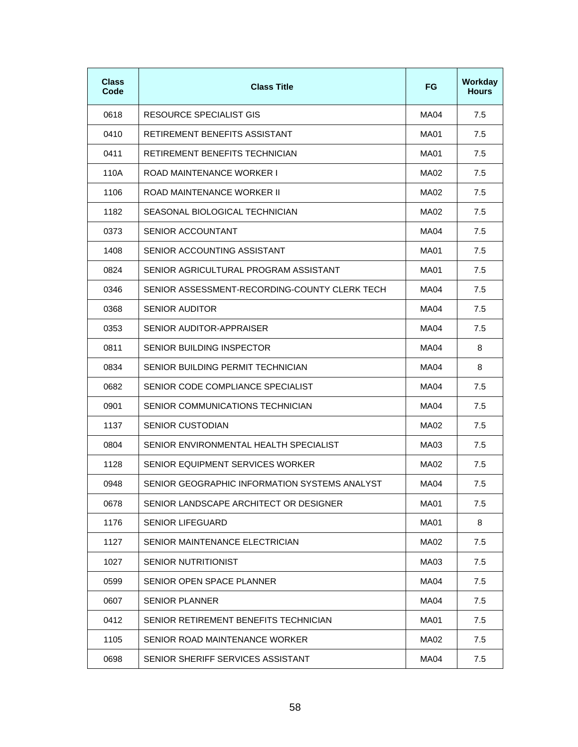| <b>Class</b><br>Code | <b>Class Title</b>                            | FG.         | Workday<br><b>Hours</b> |
|----------------------|-----------------------------------------------|-------------|-------------------------|
| 0618                 | RESOURCE SPECIALIST GIS                       | MA04        | 7.5                     |
| 0410                 | RETIREMENT BENEFITS ASSISTANT                 | MA01        | 7.5                     |
| 0411                 | RETIREMENT BENEFITS TECHNICIAN                | MA01        | 7.5                     |
| 110A                 | ROAD MAINTENANCE WORKER I                     | MA02        | 7.5                     |
| 1106                 | ROAD MAINTENANCE WORKER III                   | MA02        | 7.5                     |
| 1182                 | SEASONAL BIOLOGICAL TECHNICIAN                | MA02        | 7.5                     |
| 0373                 | SENIOR ACCOUNTANT                             | MA04        | 7.5                     |
| 1408                 | SENIOR ACCOUNTING ASSISTANT                   | MA01        | 7.5                     |
| 0824                 | SENIOR AGRICULTURAL PROGRAM ASSISTANT         | MA01        | 7.5                     |
| 0346                 | SENIOR ASSESSMENT-RECORDING-COUNTY CLERK TECH | MA04        | 7.5                     |
| 0368                 | <b>SENIOR AUDITOR</b>                         | MA04        | 7.5                     |
| 0353                 | SENIOR AUDITOR-APPRAISER                      | MA04        | 7.5                     |
| 0811                 | SENIOR BUILDING INSPECTOR                     | MA04        | 8                       |
| 0834                 | SENIOR BUILDING PERMIT TECHNICIAN             | MA04        | 8                       |
| 0682                 | SENIOR CODE COMPLIANCE SPECIALIST             | MA04        | 7.5                     |
| 0901                 | SENIOR COMMUNICATIONS TECHNICIAN              | MA04        | 7.5                     |
| 1137                 | SENIOR CUSTODIAN                              | MA02        | 7.5                     |
| 0804                 | SENIOR ENVIRONMENTAL HEALTH SPECIALIST        | MA03        | 7.5                     |
| 1128                 | SENIOR EQUIPMENT SERVICES WORKER              | MA02        | 7.5                     |
| 0948                 | SENIOR GEOGRAPHIC INFORMATION SYSTEMS ANALYST | MA04        | $7.5$                   |
| 0678                 | SENIOR LANDSCAPE ARCHITECT OR DESIGNER        | <b>MA01</b> | 7.5                     |
| 1176                 | <b>SENIOR LIFEGUARD</b>                       | <b>MA01</b> | 8                       |
| 1127                 | SENIOR MAINTENANCE ELECTRICIAN                | MA02        | 7.5                     |
| 1027                 | <b>SENIOR NUTRITIONIST</b>                    | MA03        | 7.5                     |
| 0599                 | SENIOR OPEN SPACE PLANNER                     | <b>MA04</b> | 7.5                     |
| 0607                 | <b>SENIOR PLANNER</b>                         | MA04        | 7.5                     |
| 0412                 | SENIOR RETIREMENT BENEFITS TECHNICIAN         | <b>MA01</b> | 7.5                     |
| 1105                 | SENIOR ROAD MAINTENANCE WORKER                | MA02        | 7.5                     |
| 0698                 | SENIOR SHERIFF SERVICES ASSISTANT             | MA04        | 7.5                     |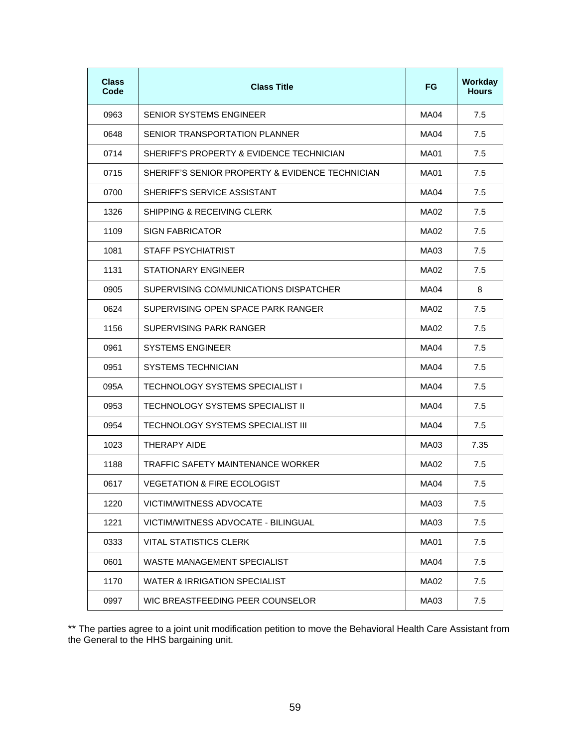| <b>Class</b><br>Code | <b>Class Title</b>                              | <b>FG</b>   | <b>Workday</b><br><b>Hours</b> |
|----------------------|-------------------------------------------------|-------------|--------------------------------|
| 0963                 | SENIOR SYSTEMS ENGINEER                         | MA04        | 7.5                            |
| 0648                 | SENIOR TRANSPORTATION PLANNER                   | MA04        | 7.5                            |
| 0714                 | SHERIFF'S PROPERTY & EVIDENCE TECHNICIAN        | MA01        | 7.5                            |
| 0715                 | SHERIFF'S SENIOR PROPERTY & EVIDENCE TECHNICIAN | MA01        | 7.5                            |
| 0700                 | SHERIFF'S SERVICE ASSISTANT                     | MA04        | 7.5                            |
| 1326                 | SHIPPING & RECEIVING CLERK                      | MA02        | 7.5                            |
| 1109                 | <b>SIGN FABRICATOR</b>                          | MA02        | 7.5                            |
| 1081                 | STAFF PSYCHIATRIST                              | MA03        | 7.5                            |
| 1131                 | STATIONARY ENGINEER                             | MA02        | 7.5                            |
| 0905                 | SUPERVISING COMMUNICATIONS DISPATCHER           | MA04        | 8                              |
| 0624                 | SUPERVISING OPEN SPACE PARK RANGER              | MA02        | 7.5                            |
| 1156                 | SUPERVISING PARK RANGER                         | MA02        | 7.5                            |
| 0961                 | <b>SYSTEMS ENGINEER</b>                         | MA04        | 7.5                            |
| 0951                 | SYSTEMS TECHNICIAN                              | MA04        | 7.5                            |
| 095A                 | <b>TECHNOLOGY SYSTEMS SPECIALIST I</b>          | MA04        | 7.5                            |
| 0953                 | TECHNOLOGY SYSTEMS SPECIALIST II                | MA04        | 7.5                            |
| 0954                 | TECHNOLOGY SYSTEMS SPECIALIST III               | MA04        | 7.5                            |
| 1023                 | THERAPY AIDE                                    | MA03        | 7.35                           |
| 1188                 | TRAFFIC SAFETY MAINTENANCE WORKER               | MA02        | 7.5                            |
| 0617                 | <b>VEGETATION &amp; FIRE ECOLOGIST</b>          | MA04        | 7.5                            |
| 1220                 | <b>VICTIM/WITNESS ADVOCATE</b>                  | MA03        | 7.5                            |
| 1221                 | VICTIM/WITNESS ADVOCATE - BILINGUAL             | MA03        | 7.5                            |
| 0333                 | <b>VITAL STATISTICS CLERK</b>                   | <b>MA01</b> | 7.5                            |
| 0601                 | WASTE MANAGEMENT SPECIALIST                     | MA04        | 7.5                            |
| 1170                 | WATER & IRRIGATION SPECIALIST                   | MA02        | 7.5                            |
| 0997                 | WIC BREASTFEEDING PEER COUNSELOR                | MA03        | 7.5                            |

\*\* The parties agree to a joint unit modification petition to move the Behavioral Health Care Assistant from the General to the HHS bargaining unit.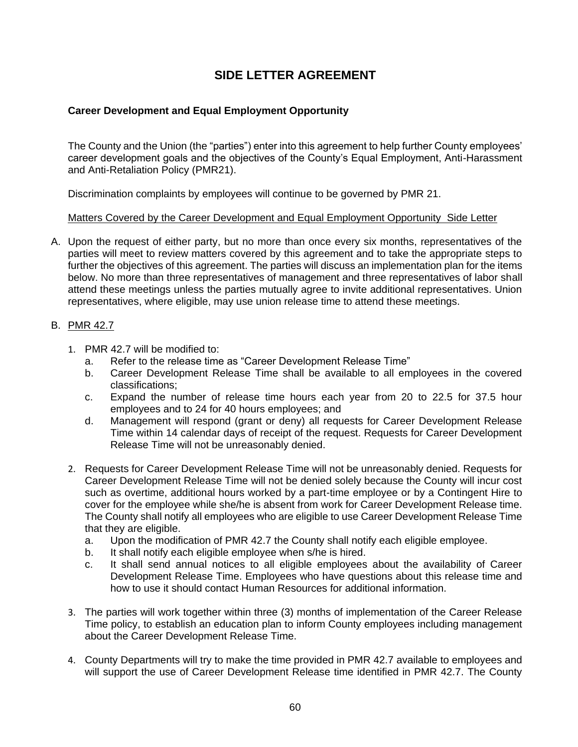## **SIDE LETTER AGREEMENT**

### <span id="page-65-1"></span><span id="page-65-0"></span>**Career Development and Equal Employment Opportunity**

The County and the Union (the "parties") enter into this agreement to help further County employees' career development goals and the objectives of the County's Equal Employment, Anti-Harassment and Anti-Retaliation Policy (PMR21).

Discrimination complaints by employees will continue to be governed by PMR 21.

#### Matters Covered by the Career Development and Equal Employment Opportunity Side Letter

A. Upon the request of either party, but no more than once every six months, representatives of the parties will meet to review matters covered by this agreement and to take the appropriate steps to further the objectives of this agreement. The parties will discuss an implementation plan for the items below. No more than three representatives of management and three representatives of labor shall attend these meetings unless the parties mutually agree to invite additional representatives. Union representatives, where eligible, may use union release time to attend these meetings.

#### B. PMR 42.7

- 1. PMR 42.7 will be modified to:
	- a. Refer to the release time as "Career Development Release Time"
	- b. Career Development Release Time shall be available to all employees in the covered classifications;
	- c. Expand the number of release time hours each year from 20 to 22.5 for 37.5 hour employees and to 24 for 40 hours employees; and
	- d. Management will respond (grant or deny) all requests for Career Development Release Time within 14 calendar days of receipt of the request. Requests for Career Development Release Time will not be unreasonably denied.
- 2. Requests for Career Development Release Time will not be unreasonably denied. Requests for Career Development Release Time will not be denied solely because the County will incur cost such as overtime, additional hours worked by a part-time employee or by a Contingent Hire to cover for the employee while she/he is absent from work for Career Development Release time. The County shall notify all employees who are eligible to use Career Development Release Time that they are eligible.
	- a. Upon the modification of PMR 42.7 the County shall notify each eligible employee.
	- b. It shall notify each eligible employee when s/he is hired.
	- c. It shall send annual notices to all eligible employees about the availability of Career Development Release Time. Employees who have questions about this release time and how to use it should contact Human Resources for additional information.
- 3. The parties will work together within three (3) months of implementation of the Career Release Time policy, to establish an education plan to inform County employees including management about the Career Development Release Time.
- 4. County Departments will try to make the time provided in PMR 42.7 available to employees and will support the use of Career Development Release time identified in PMR 42.7. The County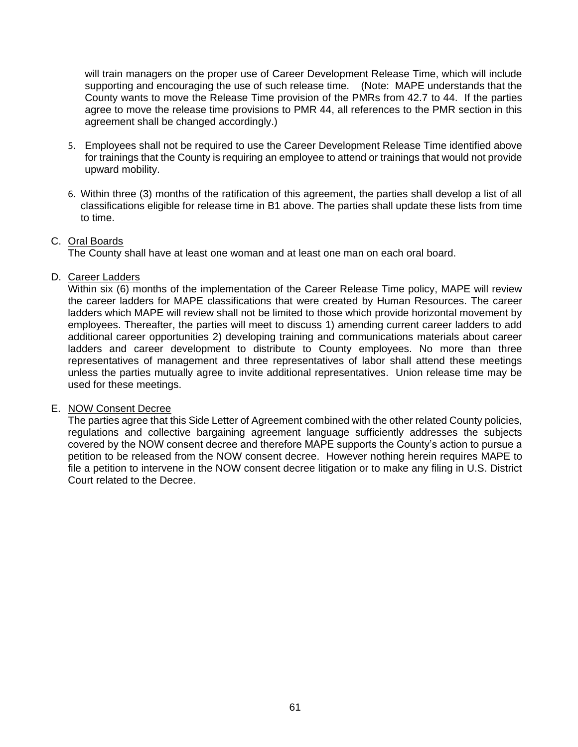will train managers on the proper use of Career Development Release Time, which will include supporting and encouraging the use of such release time. (Note: MAPE understands that the County wants to move the Release Time provision of the PMRs from 42.7 to 44. If the parties agree to move the release time provisions to PMR 44, all references to the PMR section in this agreement shall be changed accordingly.)

- 5. Employees shall not be required to use the Career Development Release Time identified above for trainings that the County is requiring an employee to attend or trainings that would not provide upward mobility.
- 6. Within three (3) months of the ratification of this agreement, the parties shall develop a list of all classifications eligible for release time in B1 above. The parties shall update these lists from time to time.

#### C. Oral Boards

The County shall have at least one woman and at least one man on each oral board.

#### D. Career Ladders

Within six (6) months of the implementation of the Career Release Time policy, MAPE will review the career ladders for MAPE classifications that were created by Human Resources. The career ladders which MAPE will review shall not be limited to those which provide horizontal movement by employees. Thereafter, the parties will meet to discuss 1) amending current career ladders to add additional career opportunities 2) developing training and communications materials about career ladders and career development to distribute to County employees. No more than three representatives of management and three representatives of labor shall attend these meetings unless the parties mutually agree to invite additional representatives. Union release time may be used for these meetings.

#### E. NOW Consent Decree

The parties agree that this Side Letter of Agreement combined with the other related County policies, regulations and collective bargaining agreement language sufficiently addresses the subjects covered by the NOW consent decree and therefore MAPE supports the County's action to pursue a petition to be released from the NOW consent decree. However nothing herein requires MAPE to file a petition to intervene in the NOW consent decree litigation or to make any filing in U.S. District Court related to the Decree.